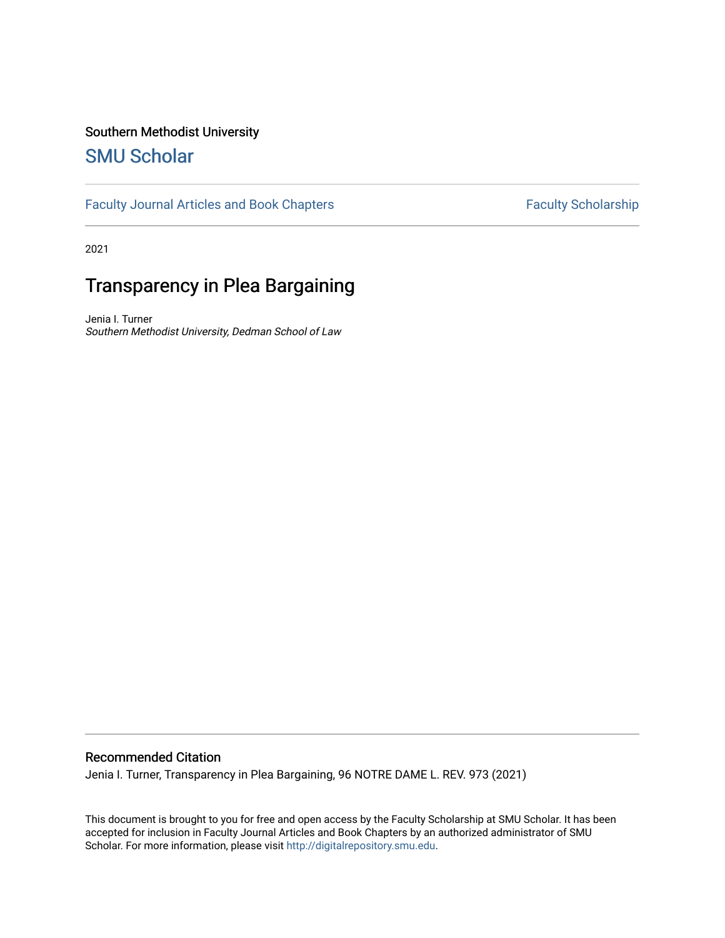# Southern Methodist University

# [SMU Scholar](https://scholar.smu.edu/)

[Faculty Journal Articles and Book Chapters](https://scholar.smu.edu/law_faculty) Faculty Scholarship

2021

# Transparency in Plea Bargaining

Jenia I. Turner Southern Methodist University, Dedman School of Law

# Recommended Citation

Jenia I. Turner, Transparency in Plea Bargaining, 96 NOTRE DAME L. REV. 973 (2021)

This document is brought to you for free and open access by the Faculty Scholarship at SMU Scholar. It has been accepted for inclusion in Faculty Journal Articles and Book Chapters by an authorized administrator of SMU Scholar. For more information, please visit [http://digitalrepository.smu.edu.](http://digitalrepository.smu.edu/)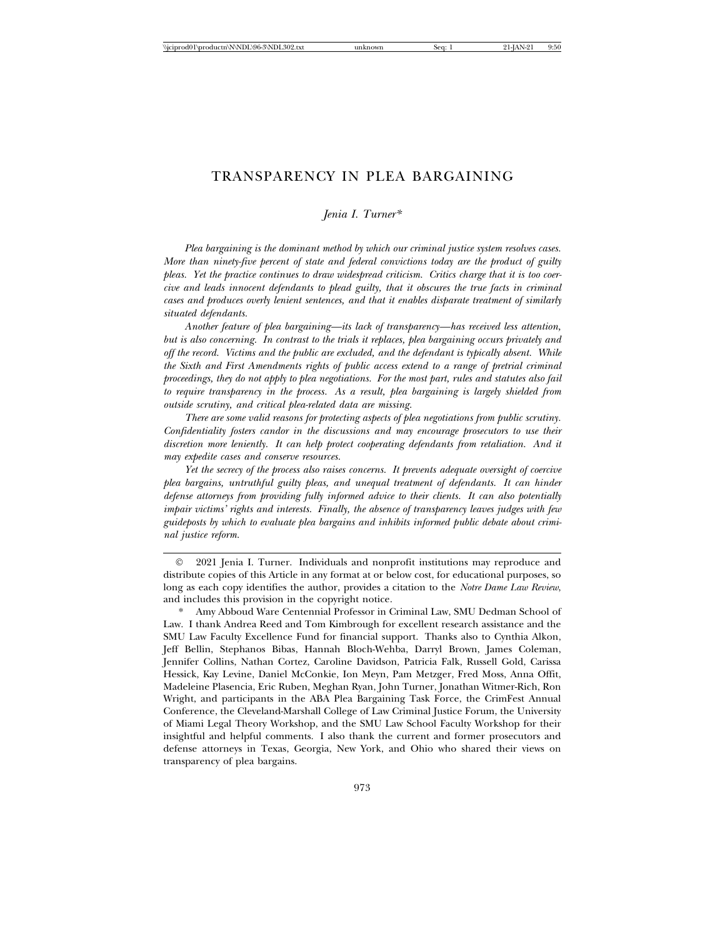# TRANSPARENCY IN PLEA BARGAINING

*Jenia I. Turner\**

*Plea bargaining is the dominant method by which our criminal justice system resolves cases. More than ninety-five percent of state and federal convictions today are the product of guilty pleas. Yet the practice continues to draw widespread criticism. Critics charge that it is too coercive and leads innocent defendants to plead guilty, that it obscures the true facts in criminal cases and produces overly lenient sentences, and that it enables disparate treatment of similarly situated defendants.*

*Another feature of plea bargaining—its lack of transparency—has received less attention, but is also concerning. In contrast to the trials it replaces, plea bargaining occurs privately and off the record. Victims and the public are excluded, and the defendant is typically absent. While the Sixth and First Amendments rights of public access extend to a range of pretrial criminal proceedings, they do not apply to plea negotiations. For the most part, rules and statutes also fail to require transparency in the process. As a result, plea bargaining is largely shielded from outside scrutiny, and critical plea-related data are missing.*

*There are some valid reasons for protecting aspects of plea negotiations from public scrutiny. Confidentiality fosters candor in the discussions and may encourage prosecutors to use their discretion more leniently. It can help protect cooperating defendants from retaliation. And it may expedite cases and conserve resources.*

*Yet the secrecy of the process also raises concerns. It prevents adequate oversight of coercive plea bargains, untruthful guilty pleas, and unequal treatment of defendants. It can hinder defense attorneys from providing fully informed advice to their clients. It can also potentially impair victims' rights and interests. Finally, the absence of transparency leaves judges with few guideposts by which to evaluate plea bargains and inhibits informed public debate about criminal justice reform.*

© 2021 Jenia I. Turner. Individuals and nonprofit institutions may reproduce and distribute copies of this Article in any format at or below cost, for educational purposes, so long as each copy identifies the author, provides a citation to the *Notre Dame Law Review*, and includes this provision in the copyright notice.

Amy Abboud Ware Centennial Professor in Criminal Law, SMU Dedman School of Law. I thank Andrea Reed and Tom Kimbrough for excellent research assistance and the SMU Law Faculty Excellence Fund for financial support. Thanks also to Cynthia Alkon, Jeff Bellin, Stephanos Bibas, Hannah Bloch-Wehba, Darryl Brown, James Coleman, Jennifer Collins, Nathan Cortez, Caroline Davidson, Patricia Falk, Russell Gold, Carissa Hessick, Kay Levine, Daniel McConkie, Ion Meyn, Pam Metzger, Fred Moss, Anna Offit, Madeleine Plasencia, Eric Ruben, Meghan Ryan, John Turner, Jonathan Witmer-Rich, Ron Wright, and participants in the ABA Plea Bargaining Task Force, the CrimFest Annual Conference, the Cleveland-Marshall College of Law Criminal Justice Forum, the University of Miami Legal Theory Workshop, and the SMU Law School Faculty Workshop for their insightful and helpful comments. I also thank the current and former prosecutors and defense attorneys in Texas, Georgia, New York, and Ohio who shared their views on transparency of plea bargains.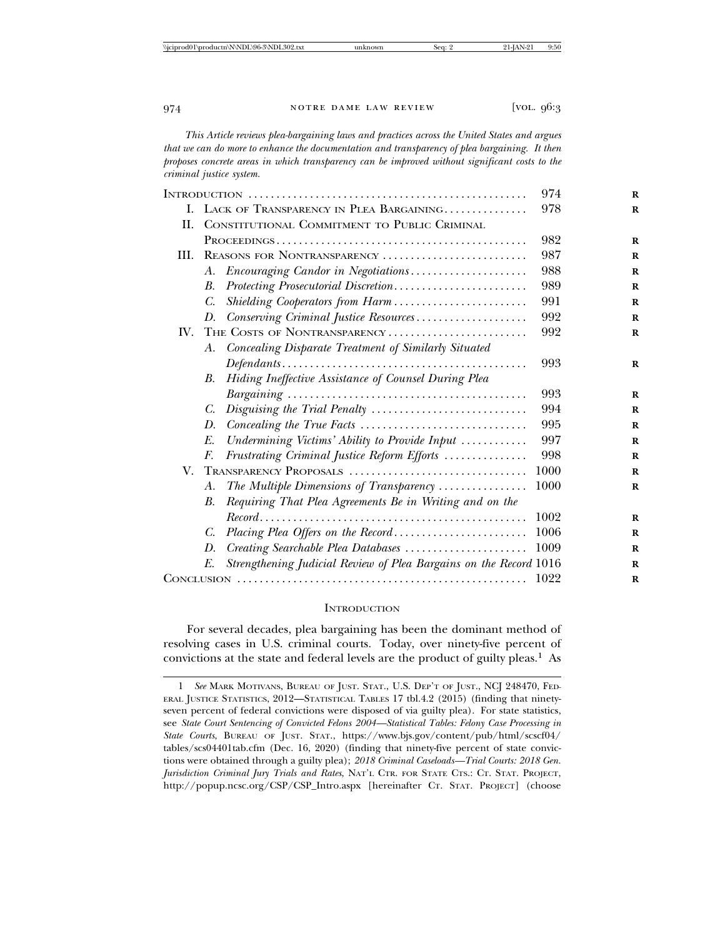*This Article reviews plea-bargaining laws and practices across the United States and argues that we can do more to enhance the documentation and transparency of plea bargaining. It then proposes concrete areas in which transparency can be improved without significant costs to the criminal justice system.*

|      |                                                                         | 974  |
|------|-------------------------------------------------------------------------|------|
|      | I. LACK OF TRANSPARENCY IN PLEA BARGAINING                              | 978  |
| H.   | CONSTITUTIONAL COMMITMENT TO PUBLIC CRIMINAL                            |      |
|      |                                                                         | 982  |
| III. | REASONS FOR NONTRANSPARENCY                                             | 987  |
|      | Encouraging Candor in Negotiations<br>A.                                | 988  |
|      | В.                                                                      | 989  |
|      | Shielding Cooperators from Harm<br>C.                                   | 991  |
|      | Conserving Criminal Justice Resources<br>D.                             | 992  |
| IV.  | THE COSTS OF NONTRANSPARENCY                                            | 992  |
|      | A. Concealing Disparate Treatment of Similarly Situated                 |      |
|      |                                                                         | 993  |
|      | Hiding Ineffective Assistance of Counsel During Plea<br>В.              |      |
|      |                                                                         | 993  |
|      | C.                                                                      | 994  |
|      | D.                                                                      | 995  |
|      | Undermining Victims' Ability to Provide Input<br>E.                     | 997  |
|      | Frustrating Criminal Justice Reform Efforts<br>F.                       | 998  |
| V.   | TRANSPARENCY PROPOSALS                                                  | 1000 |
|      | The Multiple Dimensions of Transparency<br>А.                           | 1000 |
|      | Requiring That Plea Agreements Be in Writing and on the<br>В.           |      |
|      |                                                                         | 1002 |
|      | C.                                                                      | 1006 |
|      | D.                                                                      | 1009 |
|      | Strengthening Judicial Review of Plea Bargains on the Record 1016<br>E. |      |
|      | 1022                                                                    |      |

#### **INTRODUCTION**

For several decades, plea bargaining has been the dominant method of resolving cases in U.S. criminal courts. Today, over ninety-five percent of convictions at the state and federal levels are the product of guilty pleas.1 As

<sup>1</sup> *See* MARK MOTIVANS, BUREAU OF JUST. STAT., U.S. DEP'T OF JUST., NCJ 248470, FED-ERAL JUSTICE STATISTICS, 2012—STATISTICAL TABLES 17 tbl.4.2 (2015) (finding that ninetyseven percent of federal convictions were disposed of via guilty plea). For state statistics, see *State Court Sentencing of Convicted Felons 2004—Statistical Tables: Felony Case Processing in State Courts*, BUREAU OF JUST. STAT., https://www.bjs.gov/content/pub/html/scscf04/ tables/scs04401tab.cfm (Dec. 16, 2020) (finding that ninety-five percent of state convictions were obtained through a guilty plea); *2018 Criminal Caseloads—Trial Courts: 2018 Gen. Jurisdiction Criminal Jury Trials and Rates*, NAT'L CTR. FOR STATE CTS.: CT. STAT. PROJECT, http://popup.ncsc.org/CSP/CSP\_Intro.aspx [hereinafter CT. STAT. PROJECT] (choose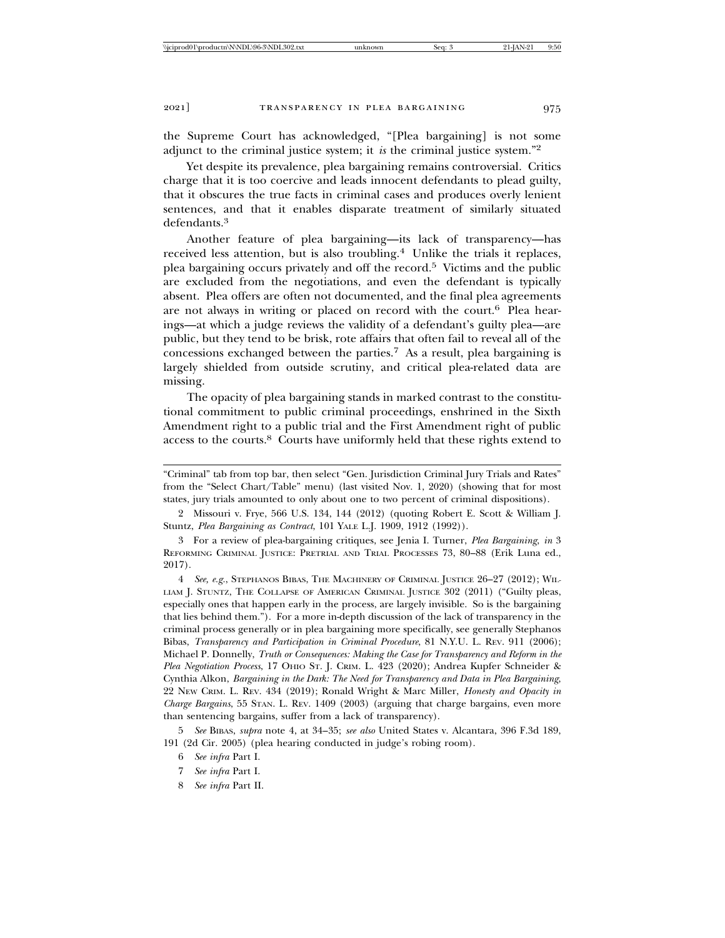the Supreme Court has acknowledged, "[Plea bargaining] is not some adjunct to the criminal justice system; it *is* the criminal justice system."<sup>2</sup>

Yet despite its prevalence, plea bargaining remains controversial. Critics charge that it is too coercive and leads innocent defendants to plead guilty, that it obscures the true facts in criminal cases and produces overly lenient sentences, and that it enables disparate treatment of similarly situated defendants.3

Another feature of plea bargaining—its lack of transparency—has received less attention, but is also troubling.<sup>4</sup> Unlike the trials it replaces, plea bargaining occurs privately and off the record.5 Victims and the public are excluded from the negotiations, and even the defendant is typically absent. Plea offers are often not documented, and the final plea agreements are not always in writing or placed on record with the court.<sup>6</sup> Plea hearings—at which a judge reviews the validity of a defendant's guilty plea—are public, but they tend to be brisk, rote affairs that often fail to reveal all of the concessions exchanged between the parties.7 As a result, plea bargaining is largely shielded from outside scrutiny, and critical plea-related data are missing.

The opacity of plea bargaining stands in marked contrast to the constitutional commitment to public criminal proceedings, enshrined in the Sixth Amendment right to a public trial and the First Amendment right of public access to the courts.8 Courts have uniformly held that these rights extend to

4 *See, e.g.*, STEPHANOS BIBAS, THE MACHINERY OF CRIMINAL JUSTICE 26–27 (2012); WIL-LIAM J. STUNTZ, THE COLLAPSE OF AMERICAN CRIMINAL JUSTICE 302 (2011) ("Guilty pleas, especially ones that happen early in the process, are largely invisible. So is the bargaining that lies behind them."). For a more in-depth discussion of the lack of transparency in the criminal process generally or in plea bargaining more specifically, see generally Stephanos Bibas, *Transparency and Participation in Criminal Procedure*, 81 N.Y.U. L. REV. 911 (2006); Michael P. Donnelly, *Truth or Consequences: Making the Case for Transparency and Reform in the Plea Negotiation Process*, 17 OHIO ST. J. CRIM. L. 423 (2020); Andrea Kupfer Schneider & Cynthia Alkon, *Bargaining in the Dark: The Need for Transparency and Data in Plea Bargaining*, 22 NEW CRIM. L. REV. 434 (2019); Ronald Wright & Marc Miller, *Honesty and Opacity in Charge Bargains*, 55 STAN. L. REV. 1409 (2003) (arguing that charge bargains, even more than sentencing bargains, suffer from a lack of transparency).

5 *See* BIBAS, *supra* note 4, at 34–35; *see also* United States v. Alcantara, 396 F.3d 189, 191 (2d Cir. 2005) (plea hearing conducted in judge's robing room).

- 7 *See infra* Part I.
- 8 *See infra* Part II.

<sup>&</sup>quot;Criminal" tab from top bar, then select "Gen. Jurisdiction Criminal Jury Trials and Rates" from the "Select Chart/Table" menu) (last visited Nov. 1, 2020) (showing that for most states, jury trials amounted to only about one to two percent of criminal dispositions).

<sup>2</sup> Missouri v. Frye, 566 U.S. 134, 144 (2012) (quoting Robert E. Scott & William J. Stuntz, *Plea Bargaining as Contract*, 101 YALE L.J. 1909, 1912 (1992)).

<sup>3</sup> For a review of plea-bargaining critiques, see Jenia I. Turner, *Plea Bargaining*, *in* 3 REFORMING CRIMINAL JUSTICE: PRETRIAL AND TRIAL PROCESSES 73, 80–88 (Erik Luna ed., 2017).

<sup>6</sup> *See infra* Part I.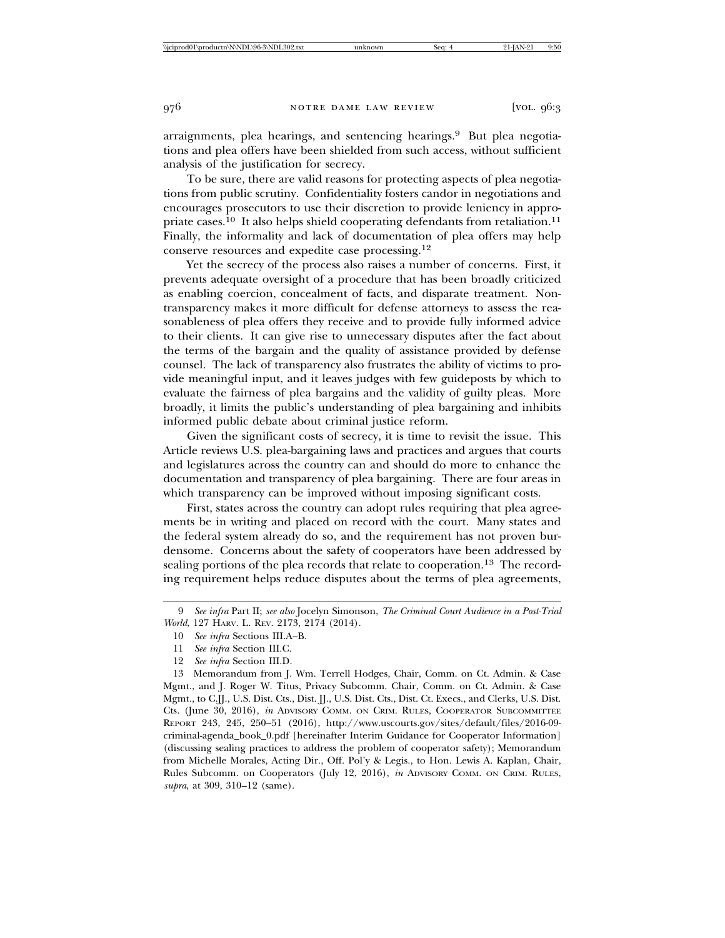arraignments, plea hearings, and sentencing hearings.9 But plea negotiations and plea offers have been shielded from such access, without sufficient analysis of the justification for secrecy.

To be sure, there are valid reasons for protecting aspects of plea negotiations from public scrutiny. Confidentiality fosters candor in negotiations and encourages prosecutors to use their discretion to provide leniency in appropriate cases.<sup>10</sup> It also helps shield cooperating defendants from retaliation.<sup>11</sup> Finally, the informality and lack of documentation of plea offers may help conserve resources and expedite case processing.<sup>12</sup>

Yet the secrecy of the process also raises a number of concerns. First, it prevents adequate oversight of a procedure that has been broadly criticized as enabling coercion, concealment of facts, and disparate treatment. Nontransparency makes it more difficult for defense attorneys to assess the reasonableness of plea offers they receive and to provide fully informed advice to their clients. It can give rise to unnecessary disputes after the fact about the terms of the bargain and the quality of assistance provided by defense counsel. The lack of transparency also frustrates the ability of victims to provide meaningful input, and it leaves judges with few guideposts by which to evaluate the fairness of plea bargains and the validity of guilty pleas. More broadly, it limits the public's understanding of plea bargaining and inhibits informed public debate about criminal justice reform.

Given the significant costs of secrecy, it is time to revisit the issue. This Article reviews U.S. plea-bargaining laws and practices and argues that courts and legislatures across the country can and should do more to enhance the documentation and transparency of plea bargaining. There are four areas in which transparency can be improved without imposing significant costs.

First, states across the country can adopt rules requiring that plea agreements be in writing and placed on record with the court. Many states and the federal system already do so, and the requirement has not proven burdensome. Concerns about the safety of cooperators have been addressed by sealing portions of the plea records that relate to cooperation.<sup>13</sup> The recording requirement helps reduce disputes about the terms of plea agreements,

13 Memorandum from J. Wm. Terrell Hodges, Chair, Comm. on Ct. Admin. & Case Mgmt., and J. Roger W. Titus, Privacy Subcomm. Chair, Comm. on Ct. Admin. & Case Mgmt., to C.JJ., U.S. Dist. Cts., Dist. JJ., U.S. Dist. Cts., Dist. Ct. Execs., and Clerks, U.S. Dist. Cts. (June 30, 2016), *in* ADVISORY COMM. ON CRIM. RULES, COOPERATOR SUBCOMMITTEE REPORT 243, 245, 250–51 (2016), http://www.uscourts.gov/sites/default/files/2016-09 criminal-agenda\_book\_0.pdf [hereinafter Interim Guidance for Cooperator Information] (discussing sealing practices to address the problem of cooperator safety); Memorandum from Michelle Morales, Acting Dir., Off. Pol'y & Legis., to Hon. Lewis A. Kaplan, Chair, Rules Subcomm. on Cooperators (July 12, 2016), *in* ADVISORY COMM. ON CRIM. RULES, *supra*, at 309, 310–12 (same).

<sup>9</sup> *See infra* Part II; *see also* Jocelyn Simonson, *The Criminal Court Audience in a Post-Trial World*, 127 HARV. L. REV. 2173, 2174 (2014).

<sup>10</sup> *See infra* Sections III.A–B.

<sup>11</sup> *See infra* Section III.C.

<sup>12</sup> *See infra* Section III.D.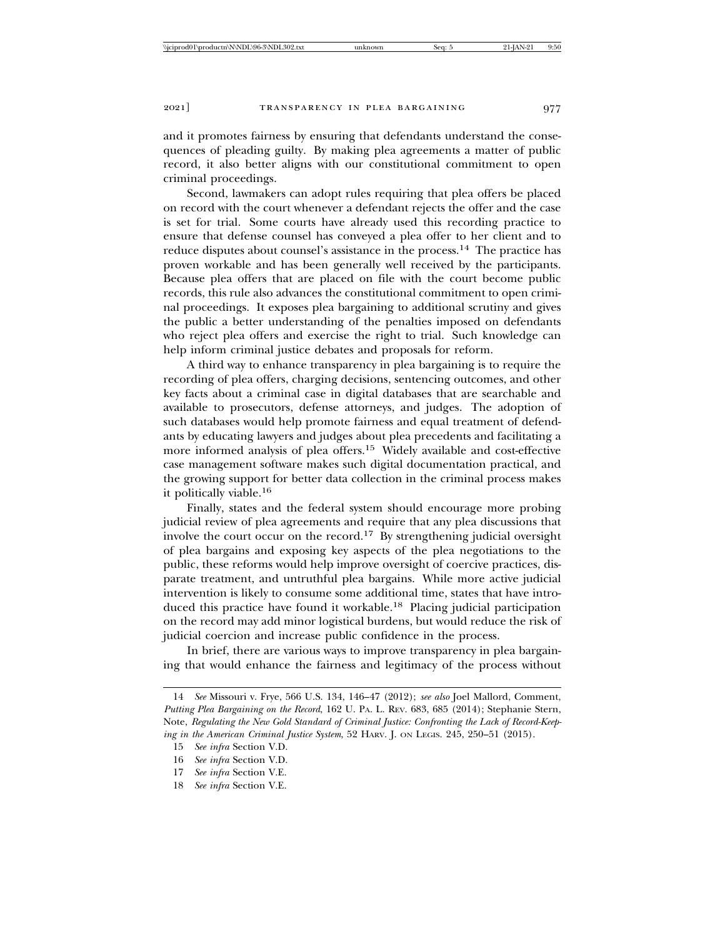and it promotes fairness by ensuring that defendants understand the consequences of pleading guilty. By making plea agreements a matter of public record, it also better aligns with our constitutional commitment to open criminal proceedings.

Second, lawmakers can adopt rules requiring that plea offers be placed on record with the court whenever a defendant rejects the offer and the case is set for trial. Some courts have already used this recording practice to ensure that defense counsel has conveyed a plea offer to her client and to reduce disputes about counsel's assistance in the process.14 The practice has proven workable and has been generally well received by the participants. Because plea offers that are placed on file with the court become public records, this rule also advances the constitutional commitment to open criminal proceedings. It exposes plea bargaining to additional scrutiny and gives the public a better understanding of the penalties imposed on defendants who reject plea offers and exercise the right to trial. Such knowledge can help inform criminal justice debates and proposals for reform.

A third way to enhance transparency in plea bargaining is to require the recording of plea offers, charging decisions, sentencing outcomes, and other key facts about a criminal case in digital databases that are searchable and available to prosecutors, defense attorneys, and judges. The adoption of such databases would help promote fairness and equal treatment of defendants by educating lawyers and judges about plea precedents and facilitating a more informed analysis of plea offers.15 Widely available and cost-effective case management software makes such digital documentation practical, and the growing support for better data collection in the criminal process makes it politically viable.<sup>16</sup>

Finally, states and the federal system should encourage more probing judicial review of plea agreements and require that any plea discussions that involve the court occur on the record.17 By strengthening judicial oversight of plea bargains and exposing key aspects of the plea negotiations to the public, these reforms would help improve oversight of coercive practices, disparate treatment, and untruthful plea bargains. While more active judicial intervention is likely to consume some additional time, states that have introduced this practice have found it workable.<sup>18</sup> Placing judicial participation on the record may add minor logistical burdens, but would reduce the risk of judicial coercion and increase public confidence in the process.

In brief, there are various ways to improve transparency in plea bargaining that would enhance the fairness and legitimacy of the process without

<sup>14</sup> *See* Missouri v. Frye, 566 U.S. 134, 146–47 (2012); *see also* Joel Mallord, Comment, *Putting Plea Bargaining on the Record*, 162 U. PA. L. REV. 683, 685 (2014); Stephanie Stern, Note, *Regulating the New Gold Standard of Criminal Justice: Confronting the Lack of Record-Keeping in the American Criminal Justice System*, 52 HARV. J. ON LEGIS. 245, 250–51 (2015).

<sup>15</sup> *See infra* Section V.D.

<sup>16</sup> *See infra* Section V.D.

<sup>17</sup> *See infra* Section V.E.

<sup>18</sup> *See infra* Section V.E.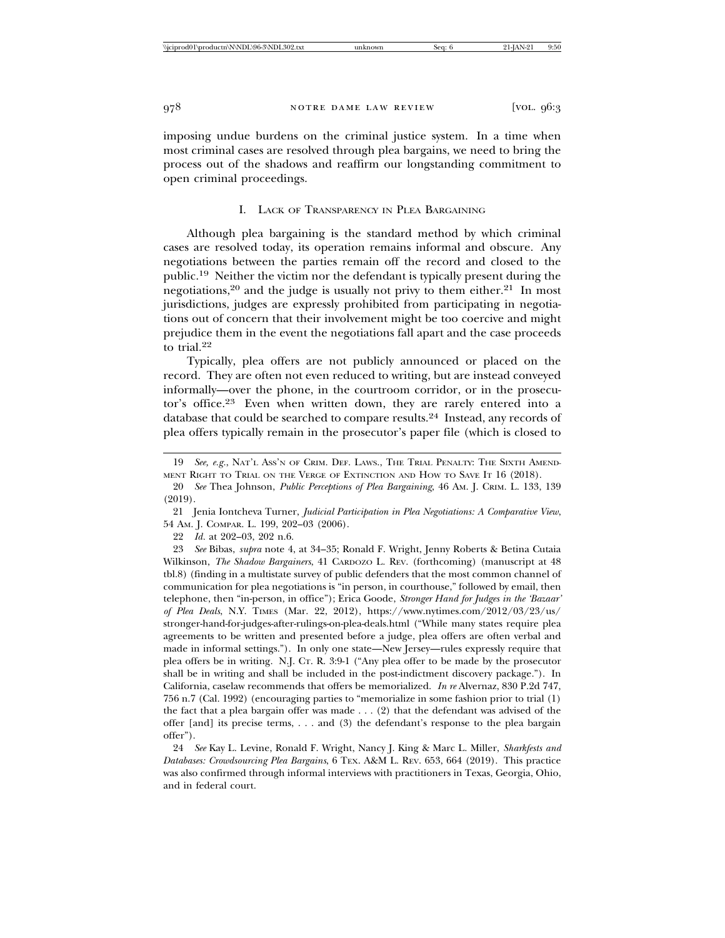imposing undue burdens on the criminal justice system. In a time when most criminal cases are resolved through plea bargains, we need to bring the process out of the shadows and reaffirm our longstanding commitment to open criminal proceedings.

#### I. LACK OF TRANSPARENCY IN PLEA BARGAINING

Although plea bargaining is the standard method by which criminal cases are resolved today, its operation remains informal and obscure. Any negotiations between the parties remain off the record and closed to the public.19 Neither the victim nor the defendant is typically present during the negotiations,<sup>20</sup> and the judge is usually not privy to them either.<sup>21</sup> In most jurisdictions, judges are expressly prohibited from participating in negotiations out of concern that their involvement might be too coercive and might prejudice them in the event the negotiations fall apart and the case proceeds to trial.<sup>22</sup>

Typically, plea offers are not publicly announced or placed on the record. They are often not even reduced to writing, but are instead conveyed informally—over the phone, in the courtroom corridor, or in the prosecutor's office.23 Even when written down, they are rarely entered into a database that could be searched to compare results.24 Instead, any records of plea offers typically remain in the prosecutor's paper file (which is closed to

21 Jenia Iontcheva Turner, *Judicial Participation in Plea Negotiations: A Comparative View*, 54 AM. J. COMPAR. L. 199, 202–03 (2006).

22 *Id.* at 202–03, 202 n.6.

23 *See* Bibas, *supra* note 4, at 34–35; Ronald F. Wright, Jenny Roberts & Betina Cutaia Wilkinson, *The Shadow Bargainers*, 41 CARDOZO L. REV. (forthcoming) (manuscript at 48 tbl.8) (finding in a multistate survey of public defenders that the most common channel of communication for plea negotiations is "in person, in courthouse," followed by email, then telephone, then "in-person, in office"); Erica Goode, *Stronger Hand for Judges in the 'Bazaar' of Plea Deals*, N.Y. TIMES (Mar. 22, 2012), https://www.nytimes.com/2012/03/23/us/ stronger-hand-for-judges-after-rulings-on-plea-deals.html ("While many states require plea agreements to be written and presented before a judge, plea offers are often verbal and made in informal settings."). In only one state—New Jersey—rules expressly require that plea offers be in writing. N.J. CT. R. 3:9-1 ("Any plea offer to be made by the prosecutor shall be in writing and shall be included in the post-indictment discovery package."). In California, caselaw recommends that offers be memorialized. *In re* Alvernaz, 830 P.2d 747, 756 n.7 (Cal. 1992) (encouraging parties to "memorialize in some fashion prior to trial (1) the fact that a plea bargain offer was made . . . (2) that the defendant was advised of the offer [and] its precise terms, . . . and (3) the defendant's response to the plea bargain offer").

24 *See* Kay L. Levine, Ronald F. Wright, Nancy J. King & Marc L. Miller, *Sharkfests and Databases: Crowdsourcing Plea Bargains*, 6 TEX. A&M L. REV. 653, 664 (2019). This practice was also confirmed through informal interviews with practitioners in Texas, Georgia, Ohio, and in federal court.

<sup>19</sup> *See, e.g.*, NAT'L ASS'N OF CRIM. DEF. LAWS., THE TRIAL PENALTY: THE SIXTH AMEND-MENT RIGHT TO TRIAL ON THE VERGE OF EXTINCTION AND HOW TO SAVE IT 16 (2018).

<sup>20</sup> *See* Thea Johnson, *Public Perceptions of Plea Bargaining*, 46 AM. J. CRIM. L. 133, 139 (2019).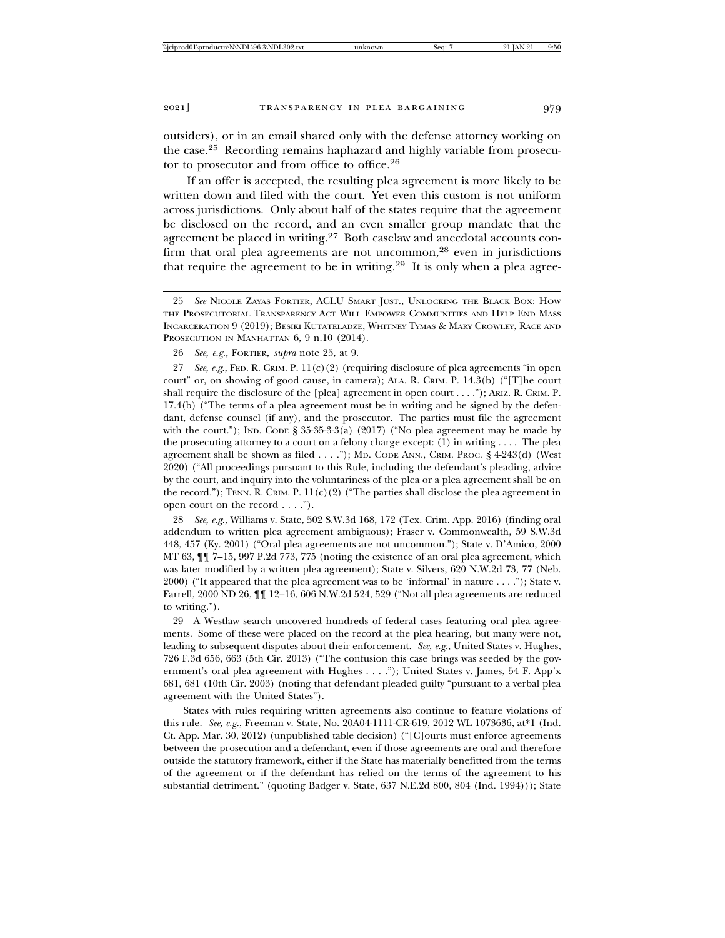outsiders), or in an email shared only with the defense attorney working on the case.25 Recording remains haphazard and highly variable from prosecutor to prosecutor and from office to office.<sup>26</sup>

If an offer is accepted, the resulting plea agreement is more likely to be written down and filed with the court. Yet even this custom is not uniform across jurisdictions. Only about half of the states require that the agreement be disclosed on the record, and an even smaller group mandate that the agreement be placed in writing.27 Both caselaw and anecdotal accounts confirm that oral plea agreements are not uncommon,<sup>28</sup> even in jurisdictions that require the agreement to be in writing.<sup>29</sup> It is only when a plea agree-

27 *See, e.g.*, FED. R. CRIM. P. 11(c)(2) (requiring disclosure of plea agreements "in open court" or, on showing of good cause, in camera); ALA. R. CRIM. P. 14.3(b) ("[T]he court shall require the disclosure of the [plea] agreement in open court  $\dots$ "); ARIZ. R. CRIM. P. 17.4(b) ("The terms of a plea agreement must be in writing and be signed by the defendant, defense counsel (if any), and the prosecutor. The parties must file the agreement with the court."); IND. CODE  $\S 35-35-3(2017)$  ("No plea agreement may be made by the prosecuting attorney to a court on a felony charge except: (1) in writing . . . . The plea agreement shall be shown as filed . . . ."); MD. CODE ANN., CRIM. PROC. § 4-243(d) (West 2020) ("All proceedings pursuant to this Rule, including the defendant's pleading, advice by the court, and inquiry into the voluntariness of the plea or a plea agreement shall be on the record."); TENN. R. CRIM. P.  $11(c)(2)$  ("The parties shall disclose the plea agreement in open court on the record . . . .").

28 *See, e.g.*, Williams v. State, 502 S.W.3d 168, 172 (Tex. Crim. App. 2016) (finding oral addendum to written plea agreement ambiguous); Fraser v. Commonwealth, 59 S.W.3d 448, 457 (Ky. 2001) ("Oral plea agreements are not uncommon."); State v. D'Amico, 2000 MT 63, ¶¶ 7–15, 997 P.2d 773, 775 (noting the existence of an oral plea agreement, which was later modified by a written plea agreement); State v. Silvers, 620 N.W.2d 73, 77 (Neb. 2000) ("It appeared that the plea agreement was to be 'informal' in nature . . . ."); State v. Farrell, 2000 ND 26, ¶¶ 12–16, 606 N.W.2d 524, 529 ("Not all plea agreements are reduced to writing.").

29 A Westlaw search uncovered hundreds of federal cases featuring oral plea agreements. Some of these were placed on the record at the plea hearing, but many were not, leading to subsequent disputes about their enforcement. *See, e.g.*, United States v. Hughes, 726 F.3d 656, 663 (5th Cir. 2013) ("The confusion this case brings was seeded by the government's oral plea agreement with Hughes . . . ."); United States v. James, 54 F. App'x 681, 681 (10th Cir. 2003) (noting that defendant pleaded guilty "pursuant to a verbal plea agreement with the United States").

States with rules requiring written agreements also continue to feature violations of this rule. *See, e.g.*, Freeman v. State, No. 20A04-1111-CR-619, 2012 WL 1073636, at\*1 (Ind. Ct. App. Mar. 30, 2012) (unpublished table decision) ("[C]ourts must enforce agreements between the prosecution and a defendant, even if those agreements are oral and therefore outside the statutory framework, either if the State has materially benefitted from the terms of the agreement or if the defendant has relied on the terms of the agreement to his substantial detriment." (quoting Badger v. State, 637 N.E.2d 800, 804 (Ind. 1994))); State

<sup>25</sup> *See* NICOLE ZAYAS FORTIER, ACLU SMART JUST., UNLOCKING THE BLACK BOX: HOW THE PROSECUTORIAL TRANSPARENCY ACT WILL EMPOWER COMMUNITIES AND HELP END MASS INCARCERATION 9 (2019); BESIKI KUTATELADZE, WHITNEY TYMAS & MARY CROWLEY, RACE AND PROSECUTION IN MANHATTAN 6, 9 n.10 (2014).

<sup>26</sup> *See, e.g.*, FORTIER, *supra* note 25, at 9.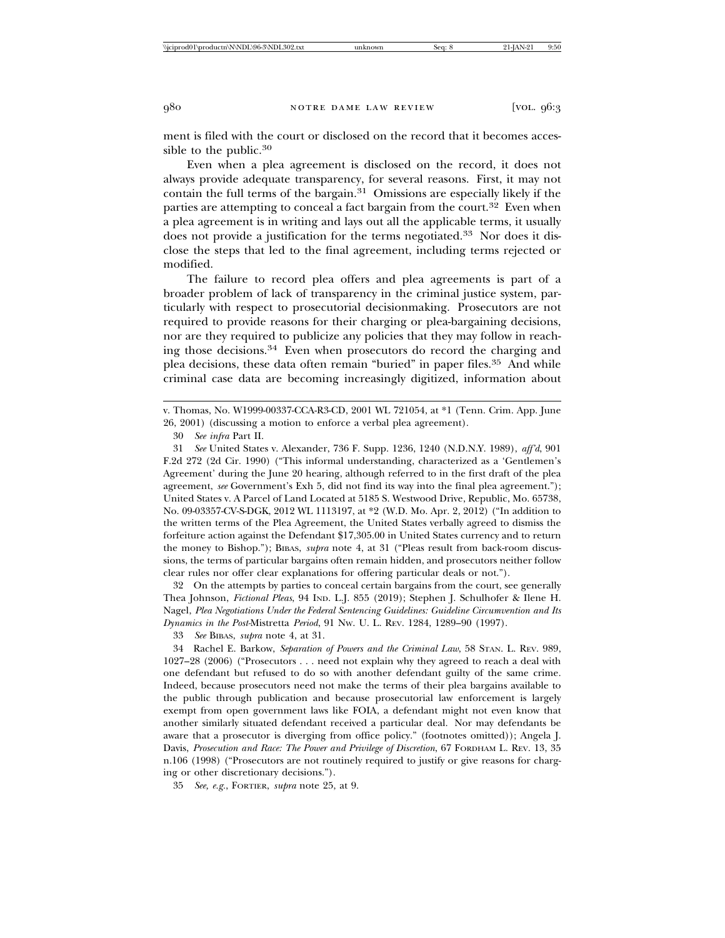ment is filed with the court or disclosed on the record that it becomes accessible to the public.<sup>30</sup>

Even when a plea agreement is disclosed on the record, it does not always provide adequate transparency, for several reasons. First, it may not contain the full terms of the bargain.31 Omissions are especially likely if the parties are attempting to conceal a fact bargain from the court.<sup>32</sup> Even when a plea agreement is in writing and lays out all the applicable terms, it usually does not provide a justification for the terms negotiated.<sup>33</sup> Nor does it disclose the steps that led to the final agreement, including terms rejected or modified.

The failure to record plea offers and plea agreements is part of a broader problem of lack of transparency in the criminal justice system, particularly with respect to prosecutorial decisionmaking. Prosecutors are not required to provide reasons for their charging or plea-bargaining decisions, nor are they required to publicize any policies that they may follow in reaching those decisions.34 Even when prosecutors do record the charging and plea decisions, these data often remain "buried" in paper files.<sup>35</sup> And while criminal case data are becoming increasingly digitized, information about

31 *See* United States v. Alexander, 736 F. Supp. 1236, 1240 (N.D.N.Y. 1989), *aff'd*, 901 F.2d 272 (2d Cir. 1990) ("This informal understanding, characterized as a 'Gentlemen's Agreement' during the June 20 hearing, although referred to in the first draft of the plea agreement, *see* Government's Exh 5, did not find its way into the final plea agreement."); United States v. A Parcel of Land Located at 5185 S. Westwood Drive, Republic, Mo. 65738, No. 09-03357-CV-S-DGK, 2012 WL 1113197, at \*2 (W.D. Mo. Apr. 2, 2012) ("In addition to the written terms of the Plea Agreement, the United States verbally agreed to dismiss the forfeiture action against the Defendant \$17,305.00 in United States currency and to return the money to Bishop."); BIBAS, *supra* note 4, at 31 ("Pleas result from back-room discussions, the terms of particular bargains often remain hidden, and prosecutors neither follow clear rules nor offer clear explanations for offering particular deals or not.").

32 On the attempts by parties to conceal certain bargains from the court, see generally Thea Johnson, *Fictional Pleas*, 94 IND. L.J. 855 (2019); Stephen J. Schulhofer & Ilene H. Nagel, *Plea Negotiations Under the Federal Sentencing Guidelines: Guideline Circumvention and Its Dynamics in the Post-*Mistretta *Period*, 91 NW. U. L. REV. 1284, 1289–90 (1997).

33 *See* BIBAS, *supra* note 4, at 31.

34 Rachel E. Barkow, *Separation of Powers and the Criminal Law*, 58 STAN. L. REV. 989, 1027–28 (2006) ("Prosecutors . . . need not explain why they agreed to reach a deal with one defendant but refused to do so with another defendant guilty of the same crime. Indeed, because prosecutors need not make the terms of their plea bargains available to the public through publication and because prosecutorial law enforcement is largely exempt from open government laws like FOIA, a defendant might not even know that another similarly situated defendant received a particular deal. Nor may defendants be aware that a prosecutor is diverging from office policy." (footnotes omitted)); Angela J. Davis, *Prosecution and Race: The Power and Privilege of Discretion*, 67 FORDHAM L. REV. 13, 35 n.106 (1998) ("Prosecutors are not routinely required to justify or give reasons for charging or other discretionary decisions.").

35 *See, e.g.*, FORTIER, *supra* note 25, at 9.

v. Thomas, No. W1999-00337-CCA-R3-CD, 2001 WL 721054, at \*1 (Tenn. Crim. App. June 26, 2001) (discussing a motion to enforce a verbal plea agreement).

<sup>30</sup> *See infra* Part II.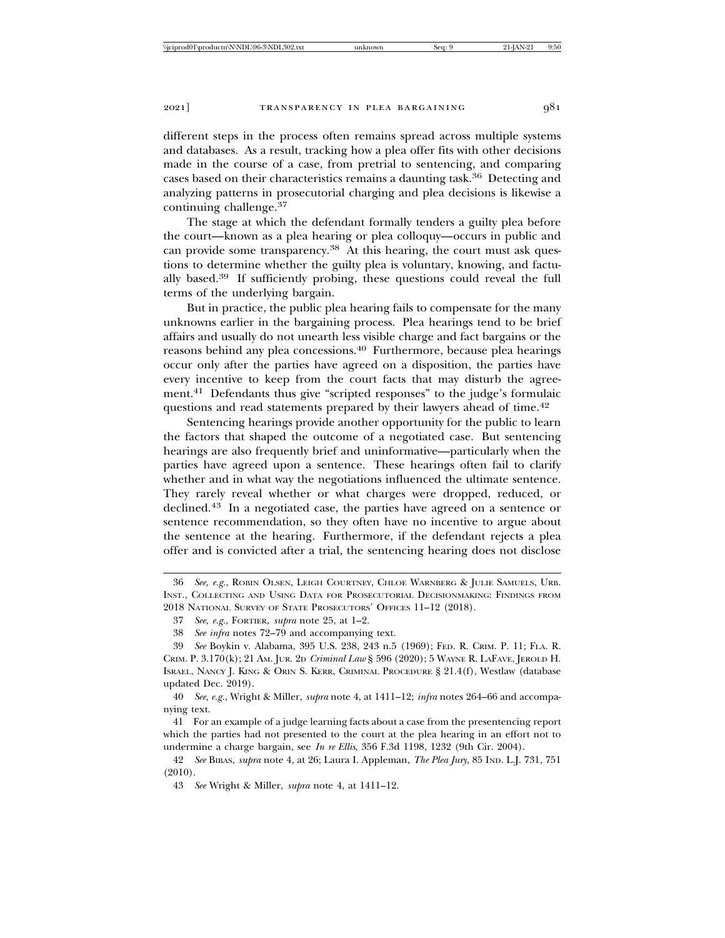different steps in the process often remains spread across multiple systems and databases. As a result, tracking how a plea offer fits with other decisions made in the course of a case, from pretrial to sentencing, and comparing cases based on their characteristics remains a daunting task.36 Detecting and analyzing patterns in prosecutorial charging and plea decisions is likewise a continuing challenge.<sup>37</sup>

The stage at which the defendant formally tenders a guilty plea before the court—known as a plea hearing or plea colloquy—occurs in public and can provide some transparency.<sup>38</sup> At this hearing, the court must ask questions to determine whether the guilty plea is voluntary, knowing, and factually based.39 If sufficiently probing, these questions could reveal the full terms of the underlying bargain.

But in practice, the public plea hearing fails to compensate for the many unknowns earlier in the bargaining process. Plea hearings tend to be brief affairs and usually do not unearth less visible charge and fact bargains or the reasons behind any plea concessions.40 Furthermore, because plea hearings occur only after the parties have agreed on a disposition, the parties have every incentive to keep from the court facts that may disturb the agreement.41 Defendants thus give "scripted responses" to the judge's formulaic questions and read statements prepared by their lawyers ahead of time.<sup>42</sup>

Sentencing hearings provide another opportunity for the public to learn the factors that shaped the outcome of a negotiated case. But sentencing hearings are also frequently brief and uninformative—particularly when the parties have agreed upon a sentence. These hearings often fail to clarify whether and in what way the negotiations influenced the ultimate sentence. They rarely reveal whether or what charges were dropped, reduced, or declined.43 In a negotiated case, the parties have agreed on a sentence or sentence recommendation, so they often have no incentive to argue about the sentence at the hearing. Furthermore, if the defendant rejects a plea offer and is convicted after a trial, the sentencing hearing does not disclose

<sup>36</sup> *See, e.g.*, ROBIN OLSEN, LEIGH COURTNEY, CHLOE WARNBERG & JULIE SAMUELS, URB. INST., COLLECTING AND USING DATA FOR PROSECUTORIAL DECISIONMAKING: FINDINGS FROM 2018 NATIONAL SURVEY OF STATE PROSECUTORS' OFFICES 11–12 (2018).

<sup>37</sup> *See, e.g.*, FORTIER, *supra* note 25, at 1–2.

<sup>38</sup> *See infra* notes 72–79 and accompanying text.

<sup>39</sup> *See* Boykin v. Alabama, 395 U.S. 238, 243 n.5 (1969); FED. R. CRIM. P. 11; FLA. R. CRIM. P. 3.170(k); 21 AM. JUR. 2D *Criminal Law* § 596 (2020); 5 WAYNE R. LAFAVE, JEROLD H. ISRAEL, NANCY J. KING & ORIN S. KERR, CRIMINAL PROCEDURE § 21.4(f), Westlaw (database updated Dec. 2019).

<sup>40</sup> *See, e.g.*, Wright & Miller, *supra* note 4, at 1411–12; *infra* notes 264–66 and accompanying text.

<sup>41</sup> For an example of a judge learning facts about a case from the presentencing report which the parties had not presented to the court at the plea hearing in an effort not to undermine a charge bargain, see *In re Ellis*, 356 F.3d 1198, 1232 (9th Cir. 2004).

<sup>42</sup> *See* BIBAS, *supra* note 4, at 26; Laura I. Appleman, *The Plea Jury*, 85 IND. L.J. 731, 751 (2010).

<sup>43</sup> *See* Wright & Miller, *supra* note 4, at 1411–12.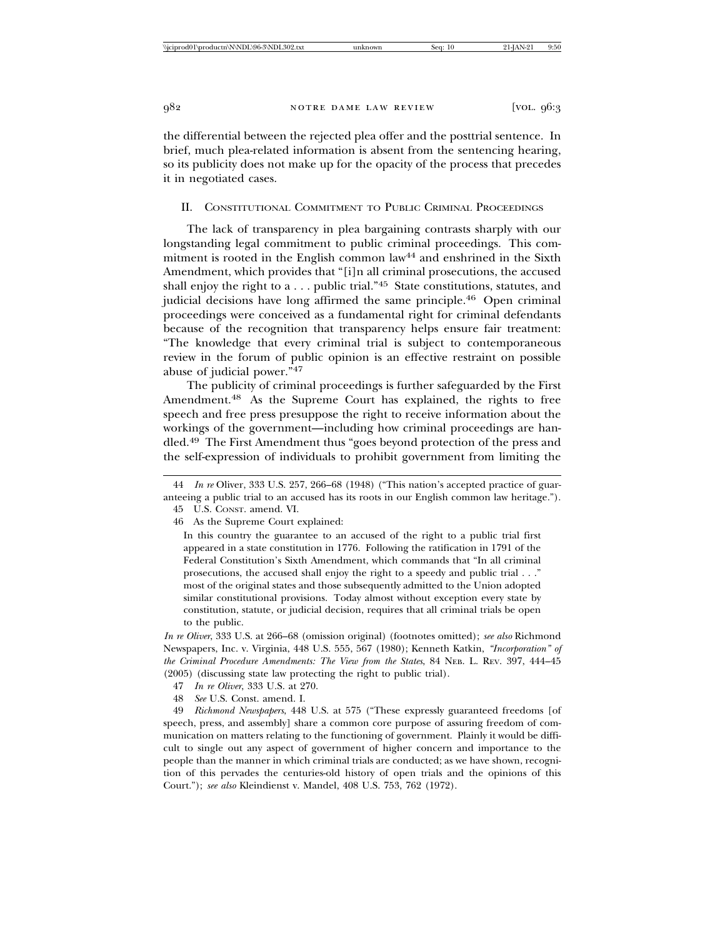the differential between the rejected plea offer and the posttrial sentence. In brief, much plea-related information is absent from the sentencing hearing, so its publicity does not make up for the opacity of the process that precedes it in negotiated cases.

## II. CONSTITUTIONAL COMMITMENT TO PUBLIC CRIMINAL PROCEEDINGS

The lack of transparency in plea bargaining contrasts sharply with our longstanding legal commitment to public criminal proceedings. This commitment is rooted in the English common law<sup>44</sup> and enshrined in the Sixth Amendment, which provides that "[i]n all criminal prosecutions, the accused shall enjoy the right to a  $\dots$  public trial."<sup>45</sup> State constitutions, statutes, and judicial decisions have long affirmed the same principle.46 Open criminal proceedings were conceived as a fundamental right for criminal defendants because of the recognition that transparency helps ensure fair treatment: "The knowledge that every criminal trial is subject to contemporaneous review in the forum of public opinion is an effective restraint on possible abuse of judicial power."<sup>47</sup>

The publicity of criminal proceedings is further safeguarded by the First Amendment.<sup>48</sup> As the Supreme Court has explained, the rights to free speech and free press presuppose the right to receive information about the workings of the government—including how criminal proceedings are handled.49 The First Amendment thus "goes beyond protection of the press and the self-expression of individuals to prohibit government from limiting the

*In re Oliver*, 333 U.S. at 266–68 (omission original) (footnotes omitted); *see also* Richmond Newspapers, Inc. v. Virginia, 448 U.S. 555, 567 (1980); Kenneth Katkin, *"Incorporation" of the Criminal Procedure Amendments: The View from the States*, 84 NEB. L. REV. 397, 444–45 (2005) (discussing state law protecting the right to public trial).

- 47 *In re Oliver*, 333 U.S. at 270.
- 48 *See* U.S. Const. amend. I.

49 *Richmond Newspapers*, 448 U.S. at 575 ("These expressly guaranteed freedoms [of speech, press, and assembly] share a common core purpose of assuring freedom of communication on matters relating to the functioning of government. Plainly it would be difficult to single out any aspect of government of higher concern and importance to the people than the manner in which criminal trials are conducted; as we have shown, recognition of this pervades the centuries-old history of open trials and the opinions of this Court."); *see also* Kleindienst v. Mandel, 408 U.S. 753, 762 (1972).

<sup>44</sup> *In re* Oliver, 333 U.S. 257, 266–68 (1948) ("This nation's accepted practice of guaranteeing a public trial to an accused has its roots in our English common law heritage."). 45 U.S. CONST. amend. VI.

<sup>46</sup> As the Supreme Court explained:

In this country the guarantee to an accused of the right to a public trial first appeared in a state constitution in 1776. Following the ratification in 1791 of the Federal Constitution's Sixth Amendment, which commands that "In all criminal prosecutions, the accused shall enjoy the right to a speedy and public trial . . ." most of the original states and those subsequently admitted to the Union adopted similar constitutional provisions. Today almost without exception every state by constitution, statute, or judicial decision, requires that all criminal trials be open to the public.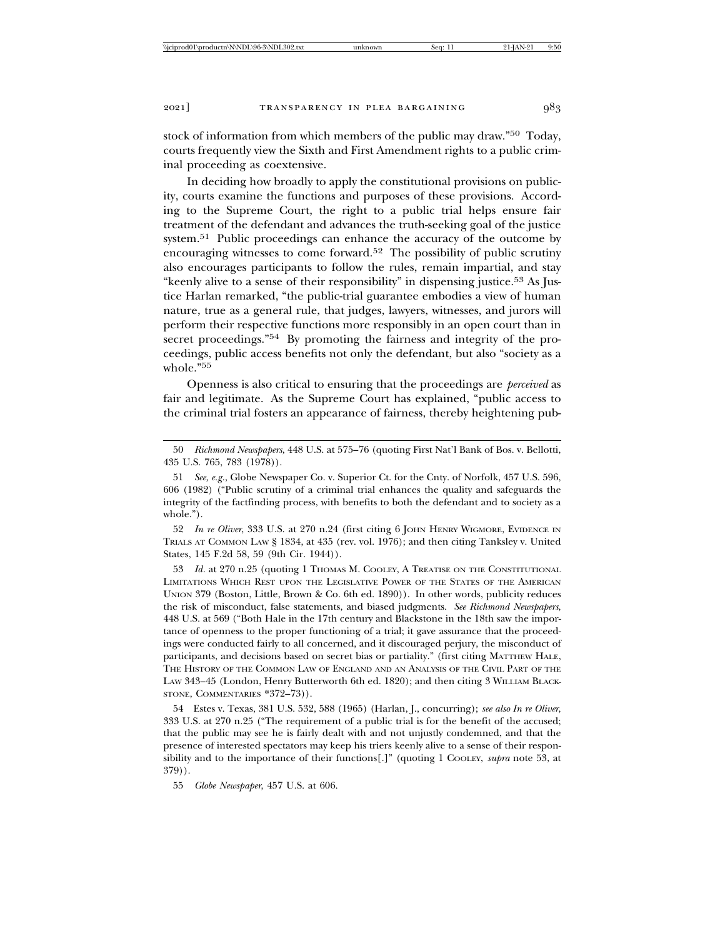stock of information from which members of the public may draw."50 Today, courts frequently view the Sixth and First Amendment rights to a public criminal proceeding as coextensive.

In deciding how broadly to apply the constitutional provisions on publicity, courts examine the functions and purposes of these provisions. According to the Supreme Court, the right to a public trial helps ensure fair treatment of the defendant and advances the truth-seeking goal of the justice system.51 Public proceedings can enhance the accuracy of the outcome by encouraging witnesses to come forward.52 The possibility of public scrutiny also encourages participants to follow the rules, remain impartial, and stay "keenly alive to a sense of their responsibility" in dispensing justice.53 As Justice Harlan remarked, "the public-trial guarantee embodies a view of human nature, true as a general rule, that judges, lawyers, witnesses, and jurors will perform their respective functions more responsibly in an open court than in secret proceedings."<sup>54</sup> By promoting the fairness and integrity of the proceedings, public access benefits not only the defendant, but also "society as a whole."55

Openness is also critical to ensuring that the proceedings are *perceived* as fair and legitimate. As the Supreme Court has explained, "public access to the criminal trial fosters an appearance of fairness, thereby heightening pub-

50 *Richmond Newspapers*, 448 U.S. at 575–76 (quoting First Nat'l Bank of Bos. v. Bellotti, 435 U.S. 765, 783 (1978)).

51 *See, e.g.*, Globe Newspaper Co. v. Superior Ct. for the Cnty. of Norfolk, 457 U.S. 596, 606 (1982) ("Public scrutiny of a criminal trial enhances the quality and safeguards the integrity of the factfinding process, with benefits to both the defendant and to society as a whole.").

52 *In re Oliver*, 333 U.S. at 270 n.24 (first citing 6 JOHN HENRY WIGMORE, EVIDENCE IN TRIALS AT COMMON LAW § 1834, at 435 (rev. vol. 1976); and then citing Tanksley v. United States, 145 F.2d 58, 59 (9th Cir. 1944)).

53 *Id.* at 270 n.25 (quoting 1 THOMAS M. COOLEY, A TREATISE ON THE CONSTITUTIONAL LIMITATIONS WHICH REST UPON THE LEGISLATIVE POWER OF THE STATES OF THE AMERICAN UNION 379 (Boston, Little, Brown & Co. 6th ed. 1890)). In other words, publicity reduces the risk of misconduct, false statements, and biased judgments. *See Richmond Newspapers*, 448 U.S. at 569 ("Both Hale in the 17th century and Blackstone in the 18th saw the importance of openness to the proper functioning of a trial; it gave assurance that the proceedings were conducted fairly to all concerned, and it discouraged perjury, the misconduct of participants, and decisions based on secret bias or partiality." (first citing MATTHEW HALE, THE HISTORY OF THE COMMON LAW OF ENGLAND AND AN ANALYSIS OF THE CIVIL PART OF THE LAW 343–45 (London, Henry Butterworth 6th ed. 1820); and then citing 3 WILLIAM BLACK-STONE, COMMENTARIES \*372-73)).

54 Estes v. Texas, 381 U.S. 532, 588 (1965) (Harlan, J., concurring); *see also In re Oliver*, 333 U.S. at 270 n.25 ("The requirement of a public trial is for the benefit of the accused; that the public may see he is fairly dealt with and not unjustly condemned, and that the presence of interested spectators may keep his triers keenly alive to a sense of their responsibility and to the importance of their functions[.]" (quoting 1 COOLEY, *supra* note 53, at 379)).

55 *Globe Newspaper*, 457 U.S. at 606.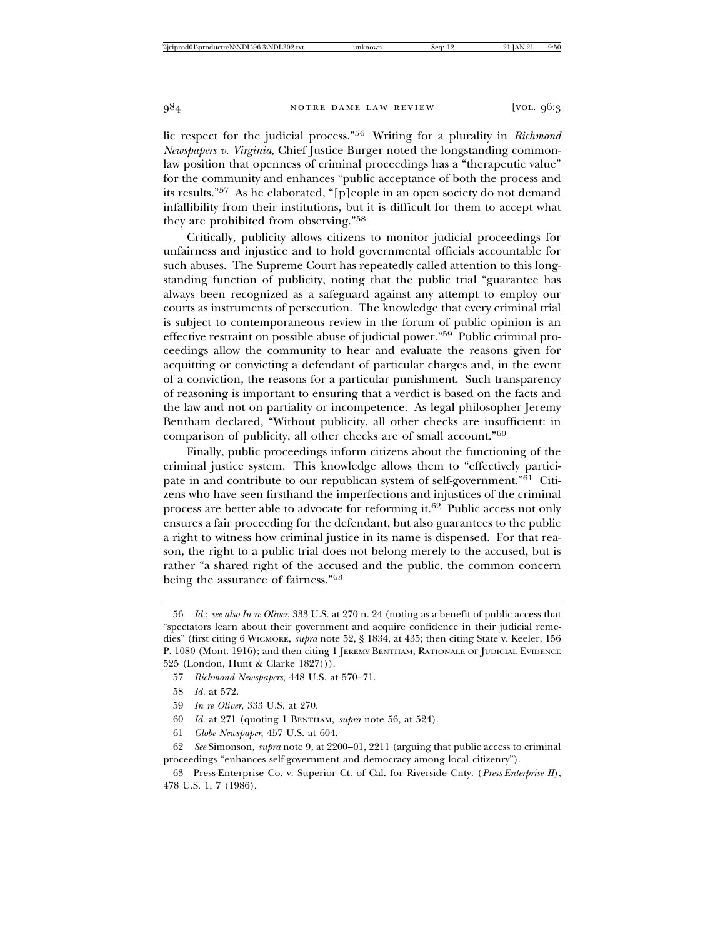lic respect for the judicial process."56 Writing for a plurality in *Richmond Newspapers v. Virginia*, Chief Justice Burger noted the longstanding commonlaw position that openness of criminal proceedings has a "therapeutic value" for the community and enhances "public acceptance of both the process and its results."57 As he elaborated, "[p]eople in an open society do not demand infallibility from their institutions, but it is difficult for them to accept what they are prohibited from observing."<sup>58</sup>

Critically, publicity allows citizens to monitor judicial proceedings for unfairness and injustice and to hold governmental officials accountable for such abuses. The Supreme Court has repeatedly called attention to this longstanding function of publicity, noting that the public trial "guarantee has always been recognized as a safeguard against any attempt to employ our courts as instruments of persecution. The knowledge that every criminal trial is subject to contemporaneous review in the forum of public opinion is an effective restraint on possible abuse of judicial power."59 Public criminal proceedings allow the community to hear and evaluate the reasons given for acquitting or convicting a defendant of particular charges and, in the event of a conviction, the reasons for a particular punishment. Such transparency of reasoning is important to ensuring that a verdict is based on the facts and the law and not on partiality or incompetence. As legal philosopher Jeremy Bentham declared, "Without publicity, all other checks are insufficient: in comparison of publicity, all other checks are of small account."<sup>60</sup>

Finally, public proceedings inform citizens about the functioning of the criminal justice system. This knowledge allows them to "effectively participate in and contribute to our republican system of self-government."<sup>61</sup> Citizens who have seen firsthand the imperfections and injustices of the criminal process are better able to advocate for reforming it.62 Public access not only ensures a fair proceeding for the defendant, but also guarantees to the public a right to witness how criminal justice in its name is dispensed. For that reason, the right to a public trial does not belong merely to the accused, but is rather "a shared right of the accused and the public, the common concern being the assurance of fairness."<sup>63</sup>

- 60 *Id.* at 271 (quoting 1 BENTHAM, *supra* note 56, at 524).
- 61 *Globe Newspaper*, 457 U.S. at 604.

<sup>56</sup> *Id.*; *see also In re Oliver*, 333 U.S. at 270 n. 24 (noting as a benefit of public access that "spectators learn about their government and acquire confidence in their judicial remedies" (first citing 6 WIGMORE, *supra* note 52, § 1834, at 435; then citing State v. Keeler, 156 P. 1080 (Mont. 1916); and then citing 1 JEREMY BENTHAM, RATIONALE OF JUDICIAL EVIDENCE 525 (London, Hunt & Clarke 1827))).

<sup>57</sup> *Richmond Newspapers*, 448 U.S. at 570–71.

<sup>58</sup> *Id.* at 572.

<sup>59</sup> *In re Oliver*, 333 U.S. at 270.

<sup>62</sup> *See* Simonson, *supra* note 9, at 2200–01, 2211 (arguing that public access to criminal proceedings "enhances self-government and democracy among local citizenry").

<sup>63</sup> Press-Enterprise Co. v. Superior Ct. of Cal. for Riverside Cnty. (*Press-Enterprise II*), 478 U.S. 1, 7 (1986).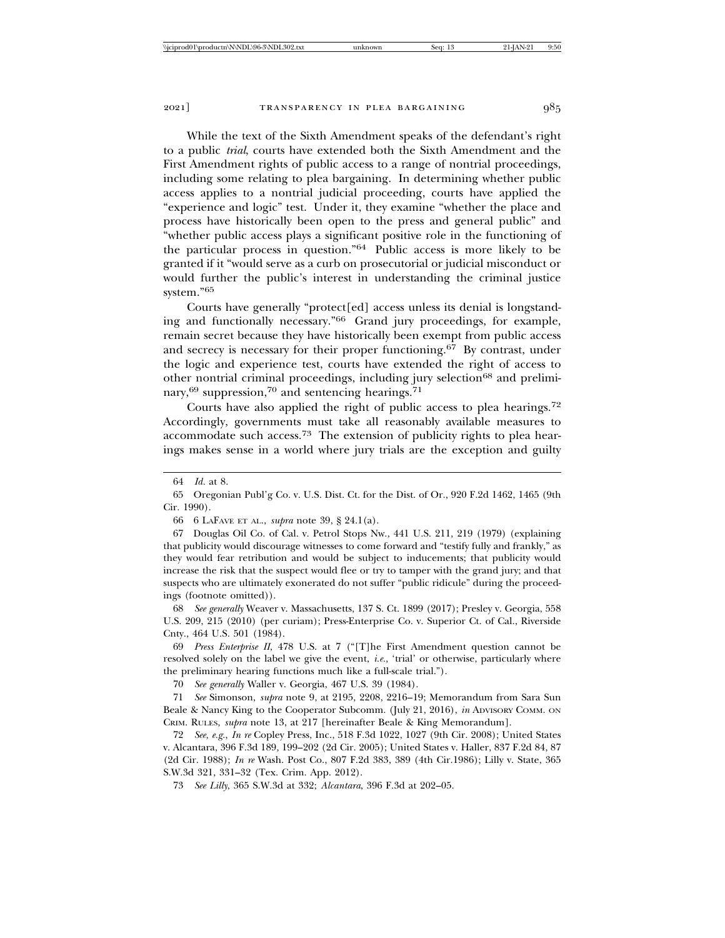While the text of the Sixth Amendment speaks of the defendant's right to a public *trial*, courts have extended both the Sixth Amendment and the First Amendment rights of public access to a range of nontrial proceedings, including some relating to plea bargaining. In determining whether public access applies to a nontrial judicial proceeding, courts have applied the "experience and logic" test. Under it, they examine "whether the place and process have historically been open to the press and general public" and "whether public access plays a significant positive role in the functioning of the particular process in question."64 Public access is more likely to be granted if it "would serve as a curb on prosecutorial or judicial misconduct or would further the public's interest in understanding the criminal justice system."65

Courts have generally "protect[ed] access unless its denial is longstanding and functionally necessary."66 Grand jury proceedings, for example, remain secret because they have historically been exempt from public access and secrecy is necessary for their proper functioning.67 By contrast, under the logic and experience test, courts have extended the right of access to other nontrial criminal proceedings, including jury selection<sup>68</sup> and preliminary,69 suppression,70 and sentencing hearings.71

Courts have also applied the right of public access to plea hearings.<sup>72</sup> Accordingly, governments must take all reasonably available measures to accommodate such access.73 The extension of publicity rights to plea hearings makes sense in a world where jury trials are the exception and guilty

66 6 LAFAVE ET AL., *supra* note 39, § 24.1(a).

67 Douglas Oil Co. of Cal. v. Petrol Stops Nw., 441 U.S. 211, 219 (1979) (explaining that publicity would discourage witnesses to come forward and "testify fully and frankly," as they would fear retribution and would be subject to inducements; that publicity would increase the risk that the suspect would flee or try to tamper with the grand jury; and that suspects who are ultimately exonerated do not suffer "public ridicule" during the proceedings (footnote omitted)).

68 *See generally* Weaver v. Massachusetts, 137 S. Ct. 1899 (2017); Presley v. Georgia, 558 U.S. 209, 215 (2010) (per curiam); Press-Enterprise Co. v. Superior Ct. of Cal., Riverside Cnty., 464 U.S. 501 (1984).

69 *Press Enterprise II*, 478 U.S. at 7 ("[T]he First Amendment question cannot be resolved solely on the label we give the event, *i.e.*, 'trial' or otherwise, particularly where the preliminary hearing functions much like a full-scale trial.").

70 *See generally* Waller v. Georgia, 467 U.S. 39 (1984).

71 *See* Simonson, *supra* note 9, at 2195, 2208, 2216–19; Memorandum from Sara Sun Beale & Nancy King to the Cooperator Subcomm. (July 21, 2016), *in* ADVISORY COMM. ON CRIM. RULES, *supra* note 13, at 217 [hereinafter Beale & King Memorandum].

72 *See, e.g.*, *In re* Copley Press, Inc., 518 F.3d 1022, 1027 (9th Cir. 2008); United States v. Alcantara, 396 F.3d 189, 199–202 (2d Cir. 2005); United States v. Haller, 837 F.2d 84, 87 (2d Cir. 1988); *In re* Wash. Post Co., 807 F.2d 383, 389 (4th Cir.1986); Lilly v. State, 365 S.W.3d 321, 331–32 (Tex. Crim. App. 2012).

73 *See Lilly*, 365 S.W.3d at 332; *Alcantara*, 396 F.3d at 202–05.

<sup>64</sup> *Id.* at 8.

<sup>65</sup> Oregonian Publ'g Co. v. U.S. Dist. Ct. for the Dist. of Or., 920 F.2d 1462, 1465 (9th Cir. 1990).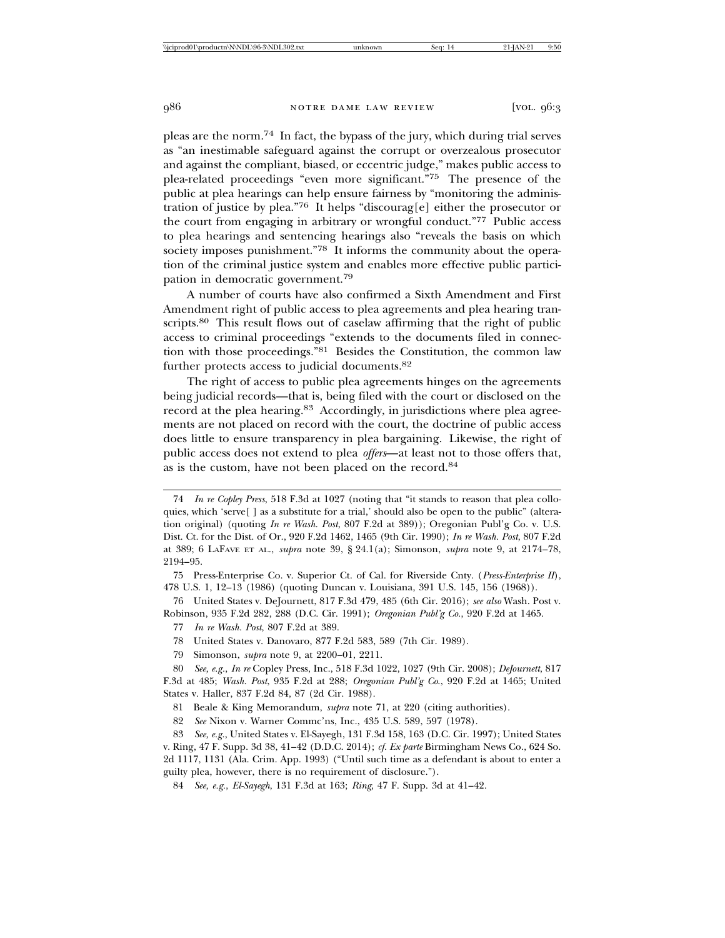pleas are the norm.74 In fact, the bypass of the jury, which during trial serves as "an inestimable safeguard against the corrupt or overzealous prosecutor and against the compliant, biased, or eccentric judge," makes public access to plea-related proceedings "even more significant."75 The presence of the public at plea hearings can help ensure fairness by "monitoring the administration of justice by plea."76 It helps "discourag[e] either the prosecutor or the court from engaging in arbitrary or wrongful conduct."77 Public access to plea hearings and sentencing hearings also "reveals the basis on which society imposes punishment."78 It informs the community about the operation of the criminal justice system and enables more effective public participation in democratic government.<sup>79</sup>

A number of courts have also confirmed a Sixth Amendment and First Amendment right of public access to plea agreements and plea hearing transcripts.<sup>80</sup> This result flows out of caselaw affirming that the right of public access to criminal proceedings "extends to the documents filed in connection with those proceedings."81 Besides the Constitution, the common law further protects access to judicial documents.<sup>82</sup>

The right of access to public plea agreements hinges on the agreements being judicial records—that is, being filed with the court or disclosed on the record at the plea hearing.<sup>83</sup> Accordingly, in jurisdictions where plea agreements are not placed on record with the court, the doctrine of public access does little to ensure transparency in plea bargaining. Likewise, the right of public access does not extend to plea *offers*—at least not to those offers that, as is the custom, have not been placed on the record.<sup>84</sup>

76 United States v. DeJournett, 817 F.3d 479, 485 (6th Cir. 2016); *see also* Wash. Post v. Robinson, 935 F.2d 282, 288 (D.C. Cir. 1991); *Oregonian Publ'g Co.*, 920 F.2d at 1465.

- 78 United States v. Danovaro, 877 F.2d 583, 589 (7th Cir. 1989).
- 79 Simonson, *supra* note 9, at 2200–01, 2211.

80 *See, e.g.*, *In re* Copley Press, Inc., 518 F.3d 1022, 1027 (9th Cir. 2008); *DeJournett*, 817 F.3d at 485; *Wash. Post*, 935 F.2d at 288; *Oregonian Publ'g Co*., 920 F.2d at 1465; United States v. Haller, 837 F.2d 84, 87 (2d Cir. 1988).

81 Beale & King Memorandum, *supra* note 71, at 220 (citing authorities).

82 *See* Nixon v. Warner Commc'ns, Inc., 435 U.S. 589, 597 (1978).

84 *See, e.g.*, *El-Sayegh*, 131 F.3d at 163; *Ring*, 47 F. Supp. 3d at 41–42.

<sup>74</sup> *In re Copley Press*, 518 F.3d at 1027 (noting that "it stands to reason that plea colloquies, which 'serve[ ] as a substitute for a trial,' should also be open to the public" (alteration original) (quoting *In re Wash. Post*, 807 F.2d at 389)); Oregonian Publ'g Co. v. U.S. Dist. Ct. for the Dist. of Or., 920 F.2d 1462, 1465 (9th Cir. 1990); *In re Wash. Post*, 807 F.2d at 389; 6 LAFAVE ET AL., *supra* note 39, § 24.1(a); Simonson, *supra* note 9, at 2174–78, 2194–95.

<sup>75</sup> Press-Enterprise Co. v. Superior Ct. of Cal. for Riverside Cnty. (*Press-Enterprise II*), 478 U.S. 1, 12–13 (1986) (quoting Duncan v. Louisiana, 391 U.S. 145, 156 (1968)).

<sup>77</sup> *In re Wash. Post*, 807 F.2d at 389.

<sup>83</sup> *See, e.g.*, United States v. El-Sayegh, 131 F.3d 158, 163 (D.C. Cir. 1997); United States v. Ring, 47 F. Supp. 3d 38, 41–42 (D.D.C. 2014); *cf. Ex parte* Birmingham News Co., 624 So. 2d 1117, 1131 (Ala. Crim. App. 1993) ("Until such time as a defendant is about to enter a guilty plea, however, there is no requirement of disclosure.").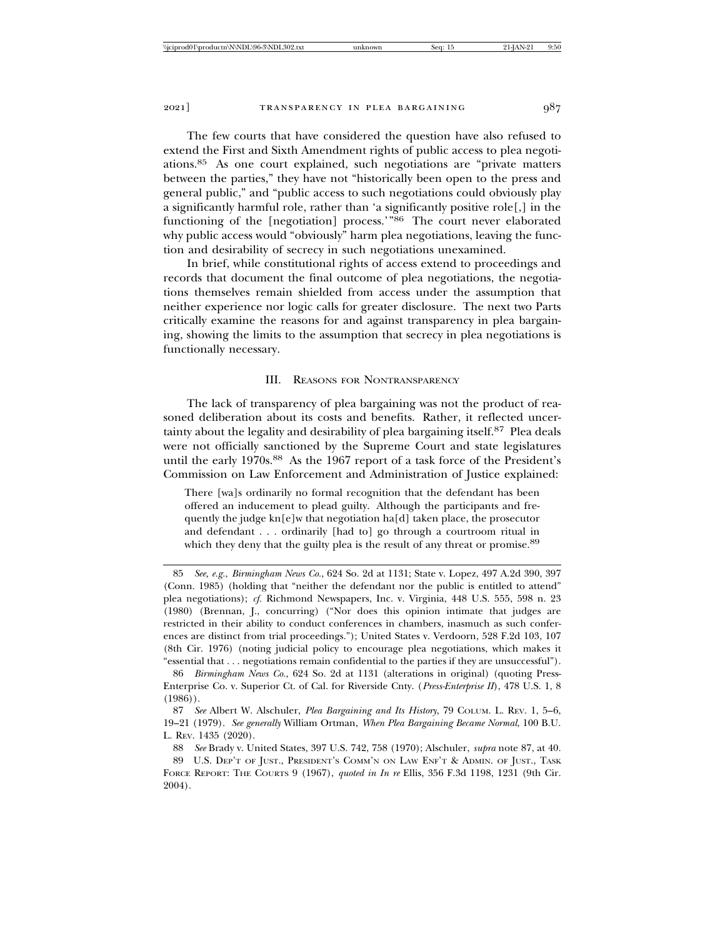The few courts that have considered the question have also refused to extend the First and Sixth Amendment rights of public access to plea negotiations.85 As one court explained, such negotiations are "private matters between the parties," they have not "historically been open to the press and general public," and "public access to such negotiations could obviously play a significantly harmful role, rather than 'a significantly positive role[,] in the functioning of the [negotiation] process.'"86 The court never elaborated why public access would "obviously" harm plea negotiations, leaving the function and desirability of secrecy in such negotiations unexamined.

In brief, while constitutional rights of access extend to proceedings and records that document the final outcome of plea negotiations, the negotiations themselves remain shielded from access under the assumption that neither experience nor logic calls for greater disclosure. The next two Parts critically examine the reasons for and against transparency in plea bargaining, showing the limits to the assumption that secrecy in plea negotiations is functionally necessary.

#### III. REASONS FOR NONTRANSPARENCY

The lack of transparency of plea bargaining was not the product of reasoned deliberation about its costs and benefits. Rather, it reflected uncertainty about the legality and desirability of plea bargaining itself.<sup>87</sup> Plea deals were not officially sanctioned by the Supreme Court and state legislatures until the early 1970s.<sup>88</sup> As the 1967 report of a task force of the President's Commission on Law Enforcement and Administration of Justice explained:

There [wa]s ordinarily no formal recognition that the defendant has been offered an inducement to plead guilty. Although the participants and frequently the judge kn[e]w that negotiation ha[d] taken place, the prosecutor and defendant . . . ordinarily [had to] go through a courtroom ritual in which they deny that the guilty plea is the result of any threat or promise.<sup>89</sup>

<sup>85</sup> *See, e.g.*, *Birmingham News Co.*, 624 So. 2d at 1131; State v. Lopez, 497 A.2d 390, 397 (Conn. 1985) (holding that "neither the defendant nor the public is entitled to attend" plea negotiations); *cf.* Richmond Newspapers, Inc. v. Virginia, 448 U.S. 555, 598 n. 23 (1980) (Brennan, J., concurring) ("Nor does this opinion intimate that judges are restricted in their ability to conduct conferences in chambers, inasmuch as such conferences are distinct from trial proceedings."); United States v. Verdoorn, 528 F.2d 103, 107 (8th Cir. 1976) (noting judicial policy to encourage plea negotiations, which makes it "essential that . . . negotiations remain confidential to the parties if they are unsuccessful").

<sup>86</sup> *Birmingham News Co.*, 624 So. 2d at 1131 (alterations in original) (quoting Press-Enterprise Co. v. Superior Ct. of Cal. for Riverside Cnty. (*Press-Enterprise II*), 478 U.S. 1, 8 (1986)).

<sup>87</sup> *See* Albert W. Alschuler, *Plea Bargaining and Its History*, 79 COLUM. L. REV. 1, 5–6, 19–21 (1979). *See generally* William Ortman, *When Plea Bargaining Became Normal*, 100 B.U. L. REV. 1435 (2020).

<sup>88</sup> *See* Brady v. United States, 397 U.S. 742, 758 (1970); Alschuler, *supra* note 87, at 40. 89 U.S. DEP'T OF JUST., PRESIDENT'S COMM'N ON LAW ENF'T & ADMIN. OF JUST., TASK

FORCE REPORT: THE COURTS 9 (1967), *quoted in In re* Ellis, 356 F.3d 1198, 1231 (9th Cir. 2004).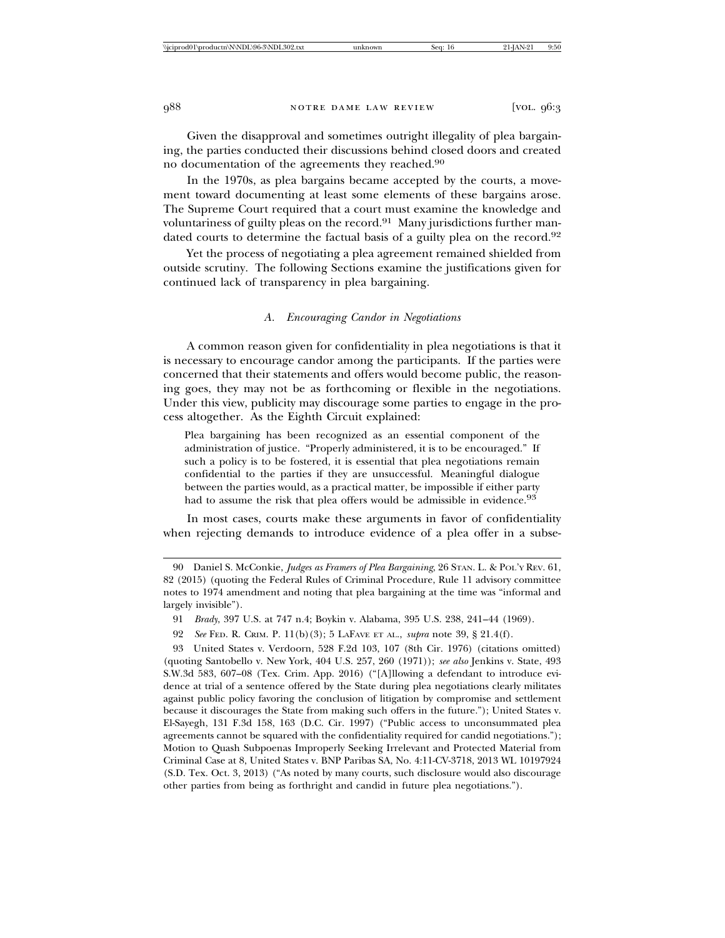Given the disapproval and sometimes outright illegality of plea bargaining, the parties conducted their discussions behind closed doors and created no documentation of the agreements they reached.<sup>90</sup>

In the 1970s, as plea bargains became accepted by the courts, a movement toward documenting at least some elements of these bargains arose. The Supreme Court required that a court must examine the knowledge and voluntariness of guilty pleas on the record.<sup>91</sup> Many jurisdictions further mandated courts to determine the factual basis of a guilty plea on the record.<sup>92</sup>

Yet the process of negotiating a plea agreement remained shielded from outside scrutiny. The following Sections examine the justifications given for continued lack of transparency in plea bargaining.

### *A. Encouraging Candor in Negotiations*

A common reason given for confidentiality in plea negotiations is that it is necessary to encourage candor among the participants. If the parties were concerned that their statements and offers would become public, the reasoning goes, they may not be as forthcoming or flexible in the negotiations. Under this view, publicity may discourage some parties to engage in the process altogether. As the Eighth Circuit explained:

Plea bargaining has been recognized as an essential component of the administration of justice. "Properly administered, it is to be encouraged." If such a policy is to be fostered, it is essential that plea negotiations remain confidential to the parties if they are unsuccessful. Meaningful dialogue between the parties would, as a practical matter, be impossible if either party had to assume the risk that plea offers would be admissible in evidence.<sup>93</sup>

In most cases, courts make these arguments in favor of confidentiality when rejecting demands to introduce evidence of a plea offer in a subse-

<sup>90</sup> Daniel S. McConkie, *Judges as Framers of Plea Bargaining*, 26 STAN. L. & POL'Y REV. 61, 82 (2015) (quoting the Federal Rules of Criminal Procedure, Rule 11 advisory committee notes to 1974 amendment and noting that plea bargaining at the time was "informal and largely invisible").

<sup>91</sup> *Brady*, 397 U.S. at 747 n.4; Boykin v. Alabama, 395 U.S. 238, 241–44 (1969).

<sup>92</sup> *See* FED. R. CRIM. P. 11(b)(3); 5 LAFAVE ET AL., *supra* note 39, § 21.4(f).

<sup>93</sup> United States v. Verdoorn, 528 F.2d 103, 107 (8th Cir. 1976) (citations omitted) (quoting Santobello v. New York, 404 U.S. 257, 260 (1971)); *see also* Jenkins v. State, 493 S.W.3d 583, 607–08 (Tex. Crim. App. 2016) ("[A]llowing a defendant to introduce evidence at trial of a sentence offered by the State during plea negotiations clearly militates against public policy favoring the conclusion of litigation by compromise and settlement because it discourages the State from making such offers in the future."); United States v. El-Sayegh, 131 F.3d 158, 163 (D.C. Cir. 1997) ("Public access to unconsummated plea agreements cannot be squared with the confidentiality required for candid negotiations."); Motion to Quash Subpoenas Improperly Seeking Irrelevant and Protected Material from Criminal Case at 8, United States v. BNP Paribas SA, No. 4:11-CV-3718, 2013 WL 10197924 (S.D. Tex. Oct. 3, 2013) ("As noted by many courts, such disclosure would also discourage other parties from being as forthright and candid in future plea negotiations.").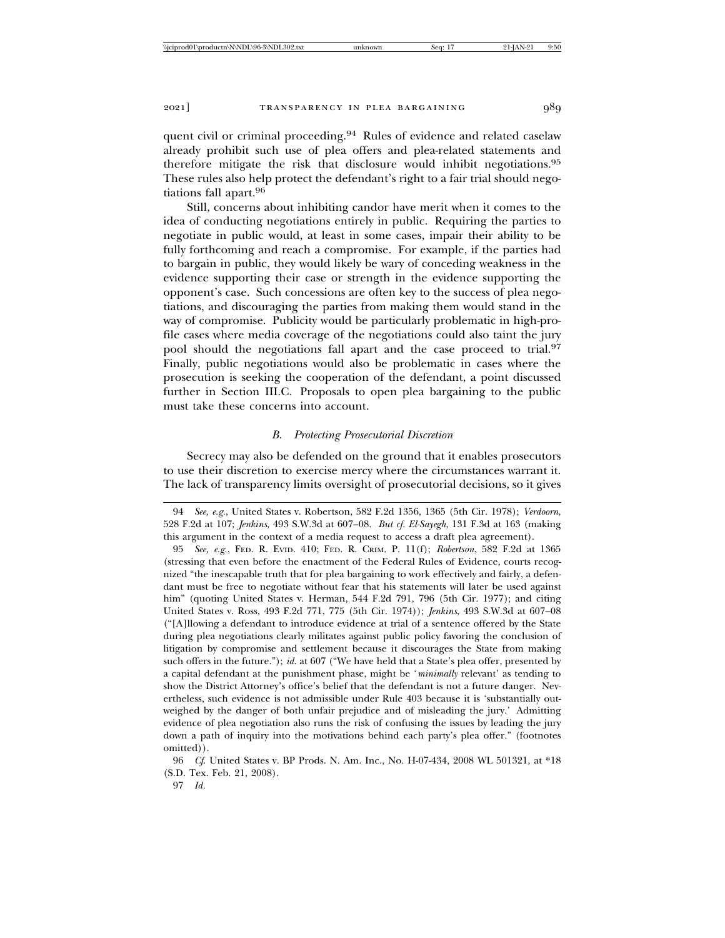quent civil or criminal proceeding.<sup>94</sup> Rules of evidence and related caselaw already prohibit such use of plea offers and plea-related statements and therefore mitigate the risk that disclosure would inhibit negotiations.<sup>95</sup> These rules also help protect the defendant's right to a fair trial should negotiations fall apart.<sup>96</sup>

Still, concerns about inhibiting candor have merit when it comes to the idea of conducting negotiations entirely in public. Requiring the parties to negotiate in public would, at least in some cases, impair their ability to be fully forthcoming and reach a compromise. For example, if the parties had to bargain in public, they would likely be wary of conceding weakness in the evidence supporting their case or strength in the evidence supporting the opponent's case. Such concessions are often key to the success of plea negotiations, and discouraging the parties from making them would stand in the way of compromise. Publicity would be particularly problematic in high-profile cases where media coverage of the negotiations could also taint the jury pool should the negotiations fall apart and the case proceed to trial.<sup>97</sup> Finally, public negotiations would also be problematic in cases where the prosecution is seeking the cooperation of the defendant, a point discussed further in Section III.C. Proposals to open plea bargaining to the public must take these concerns into account.

#### *B. Protecting Prosecutorial Discretion*

Secrecy may also be defended on the ground that it enables prosecutors to use their discretion to exercise mercy where the circumstances warrant it. The lack of transparency limits oversight of prosecutorial decisions, so it gives

<sup>94</sup> *See, e.g.*, United States v. Robertson, 582 F.2d 1356, 1365 (5th Cir. 1978); *Verdoorn*, 528 F.2d at 107; *Jenkins*, 493 S.W.3d at 607–08. *But cf. El-Sayegh*, 131 F.3d at 163 (making this argument in the context of a media request to access a draft plea agreement).

<sup>95</sup> *See, e.g.*, FED. R. EVID. 410; FED. R. CRIM. P. 11(f); *Robertson*, 582 F.2d at 1365 (stressing that even before the enactment of the Federal Rules of Evidence, courts recognized "the inescapable truth that for plea bargaining to work effectively and fairly, a defendant must be free to negotiate without fear that his statements will later be used against him" (quoting United States v. Herman, 544 F.2d 791, 796 (5th Cir. 1977); and citing United States v. Ross, 493 F.2d 771, 775 (5th Cir. 1974)); *Jenkins*, 493 S.W.3d at 607–08 ("[A]llowing a defendant to introduce evidence at trial of a sentence offered by the State during plea negotiations clearly militates against public policy favoring the conclusion of litigation by compromise and settlement because it discourages the State from making such offers in the future."); *id.* at 607 ("We have held that a State's plea offer, presented by a capital defendant at the punishment phase, might be '*minimally* relevant' as tending to show the District Attorney's office's belief that the defendant is not a future danger. Nevertheless, such evidence is not admissible under Rule 403 because it is 'substantially outweighed by the danger of both unfair prejudice and of misleading the jury.' Admitting evidence of plea negotiation also runs the risk of confusing the issues by leading the jury down a path of inquiry into the motivations behind each party's plea offer." (footnotes omitted)).

<sup>96</sup> *Cf*. United States v. BP Prods. N. Am. Inc., No. H-07-434, 2008 WL 501321, at \*18 (S.D. Tex. Feb. 21, 2008).

<sup>97</sup> *Id.*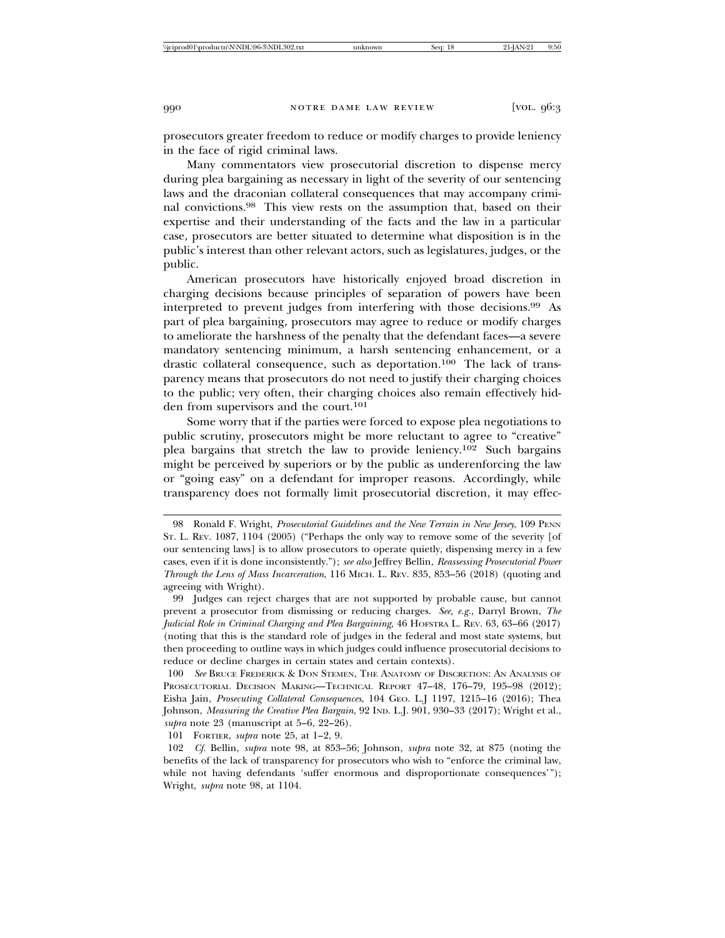prosecutors greater freedom to reduce or modify charges to provide leniency in the face of rigid criminal laws.

Many commentators view prosecutorial discretion to dispense mercy during plea bargaining as necessary in light of the severity of our sentencing laws and the draconian collateral consequences that may accompany criminal convictions.98 This view rests on the assumption that, based on their expertise and their understanding of the facts and the law in a particular case, prosecutors are better situated to determine what disposition is in the public's interest than other relevant actors, such as legislatures, judges, or the public.

American prosecutors have historically enjoyed broad discretion in charging decisions because principles of separation of powers have been interpreted to prevent judges from interfering with those decisions.99 As part of plea bargaining, prosecutors may agree to reduce or modify charges to ameliorate the harshness of the penalty that the defendant faces—a severe mandatory sentencing minimum, a harsh sentencing enhancement, or a drastic collateral consequence, such as deportation.<sup>100</sup> The lack of transparency means that prosecutors do not need to justify their charging choices to the public; very often, their charging choices also remain effectively hidden from supervisors and the court.<sup>101</sup>

Some worry that if the parties were forced to expose plea negotiations to public scrutiny, prosecutors might be more reluctant to agree to "creative" plea bargains that stretch the law to provide leniency.102 Such bargains might be perceived by superiors or by the public as underenforcing the law or "going easy" on a defendant for improper reasons. Accordingly, while transparency does not formally limit prosecutorial discretion, it may effec-

101 FORTIER, *supra* note 25, at 1–2, 9.

<sup>98</sup> Ronald F. Wright, *Prosecutorial Guidelines and the New Terrain in New Jersey*, 109 PENN ST. L. REV. 1087, 1104 (2005) ("Perhaps the only way to remove some of the severity [of our sentencing laws] is to allow prosecutors to operate quietly, dispensing mercy in a few cases, even if it is done inconsistently."); *see also* Jeffrey Bellin, *Reassessing Prosecutorial Power Through the Lens of Mass Incarceration*, 116 MICH. L. REV. 835, 853–56 (2018) (quoting and agreeing with Wright).

<sup>99</sup> Judges can reject charges that are not supported by probable cause, but cannot prevent a prosecutor from dismissing or reducing charges. *See, e.g.*, Darryl Brown, *The Judicial Role in Criminal Charging and Plea Bargaining*, 46 HOFSTRA L. REV. 63, 63–66 (2017) (noting that this is the standard role of judges in the federal and most state systems, but then proceeding to outline ways in which judges could influence prosecutorial decisions to reduce or decline charges in certain states and certain contexts).

<sup>100</sup> *See* BRUCE FREDERICK & DON STEMEN, THE ANATOMY OF DISCRETION: AN ANALYSIS OF PROSECUTORIAL DECISION MAKING—TECHNICAL REPORT 47–48, 176–79, 195–98 (2012); Eisha Jain, *Prosecuting Collateral Consequences*, 104 GEO. L.J 1197, 1215–16 (2016); Thea Johnson, *Measuring the Creative Plea Bargain*, 92 IND. L.J. 901, 930–33 (2017); Wright et al., *supra* note 23 (manuscript at 5–6, 22–26).

<sup>102</sup> *Cf.* Bellin, *supra* note 98, at 853–56; Johnson, *supra* note 32, at 875 (noting the benefits of the lack of transparency for prosecutors who wish to "enforce the criminal law, while not having defendants 'suffer enormous and disproportionate consequences'"); Wright, *supra* note 98, at 1104.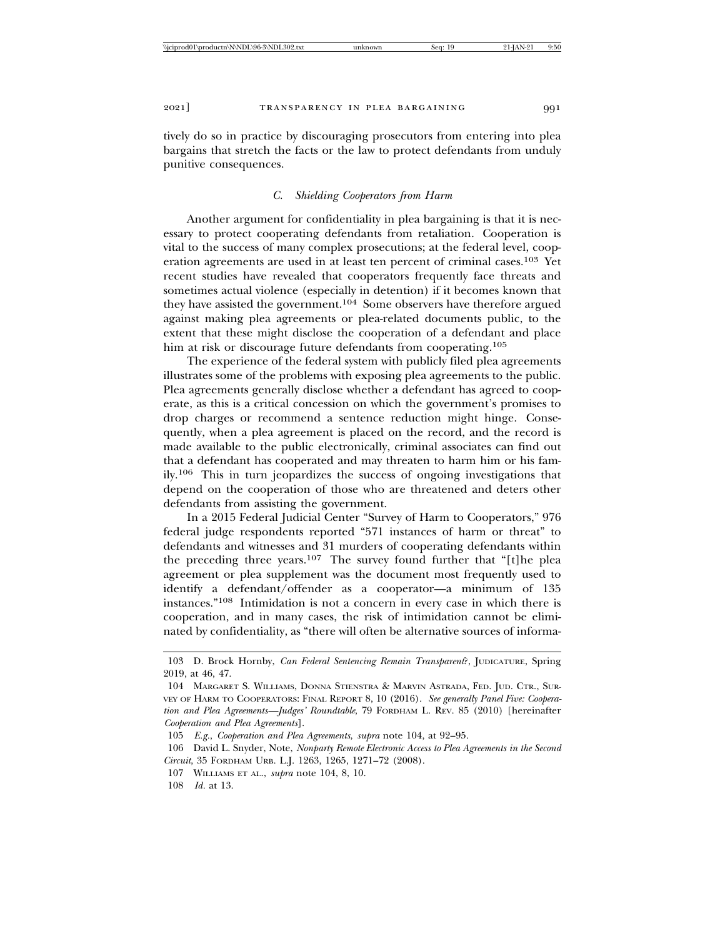tively do so in practice by discouraging prosecutors from entering into plea bargains that stretch the facts or the law to protect defendants from unduly punitive consequences.

# *C. Shielding Cooperators from Harm*

Another argument for confidentiality in plea bargaining is that it is necessary to protect cooperating defendants from retaliation. Cooperation is vital to the success of many complex prosecutions; at the federal level, cooperation agreements are used in at least ten percent of criminal cases.103 Yet recent studies have revealed that cooperators frequently face threats and sometimes actual violence (especially in detention) if it becomes known that they have assisted the government.104 Some observers have therefore argued against making plea agreements or plea-related documents public, to the extent that these might disclose the cooperation of a defendant and place him at risk or discourage future defendants from cooperating.<sup>105</sup>

The experience of the federal system with publicly filed plea agreements illustrates some of the problems with exposing plea agreements to the public. Plea agreements generally disclose whether a defendant has agreed to cooperate, as this is a critical concession on which the government's promises to drop charges or recommend a sentence reduction might hinge. Consequently, when a plea agreement is placed on the record, and the record is made available to the public electronically, criminal associates can find out that a defendant has cooperated and may threaten to harm him or his family.106 This in turn jeopardizes the success of ongoing investigations that depend on the cooperation of those who are threatened and deters other defendants from assisting the government.

In a 2015 Federal Judicial Center "Survey of Harm to Cooperators," 976 federal judge respondents reported "571 instances of harm or threat" to defendants and witnesses and 31 murders of cooperating defendants within the preceding three years.107 The survey found further that "[t]he plea agreement or plea supplement was the document most frequently used to identify a defendant/offender as a cooperator—a minimum of 135 instances."108 Intimidation is not a concern in every case in which there is cooperation, and in many cases, the risk of intimidation cannot be eliminated by confidentiality, as "there will often be alternative sources of informa-

<sup>103</sup> D. Brock Hornby, *Can Federal Sentencing Remain Transparent*?, JUDICATURE, Spring 2019, at 46, 47.

<sup>104</sup> MARGARET S. WILLIAMS, DONNA STIENSTRA & MARVIN ASTRADA, FED. JUD. CTR., SUR-VEY OF HARM TO COOPERATORS: FINAL REPORT 8, 10 (2016). *See generally Panel Five: Cooperation and Plea Agreements—Judges' Roundtable*, 79 FORDHAM L. REV. 85 (2010) [hereinafter *Cooperation and Plea Agreements*].

<sup>105</sup> *E.g.*, *Cooperation and Plea Agreements*, *supra* note 104, at 92–95.

<sup>106</sup> David L. Snyder, Note, *Nonparty Remote Electronic Access to Plea Agreements in the Second Circuit*, 35 FORDHAM URB. L.J. 1263, 1265, 1271–72 (2008).

<sup>107</sup> WILLIAMS ET AL., *supra* note 104, 8, 10.

<sup>108</sup> *Id.* at 13.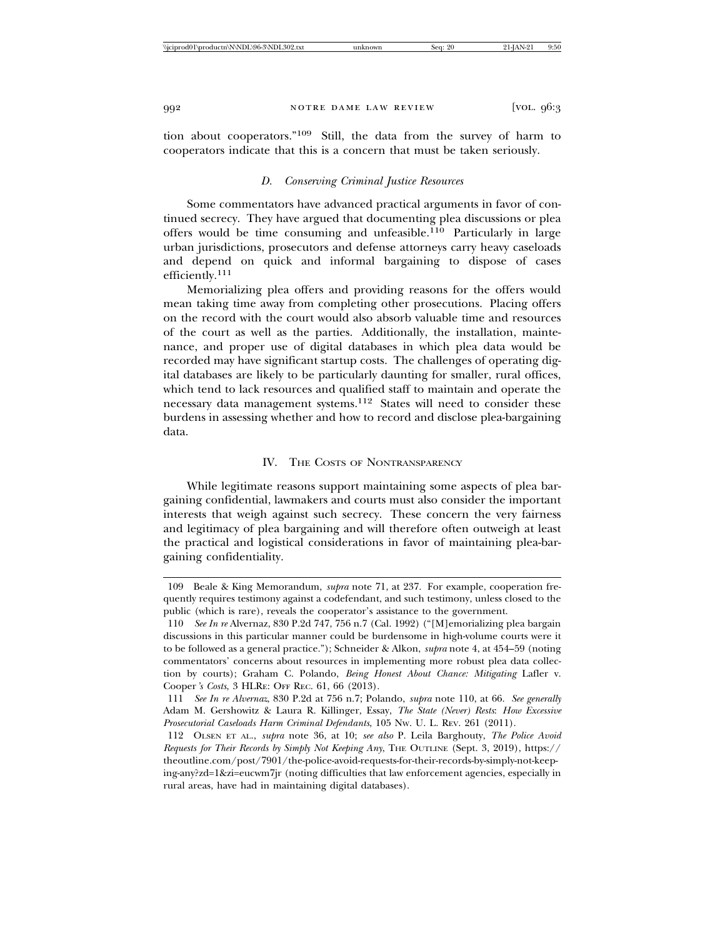tion about cooperators."109 Still, the data from the survey of harm to cooperators indicate that this is a concern that must be taken seriously.

# *D. Conserving Criminal Justice Resources*

Some commentators have advanced practical arguments in favor of continued secrecy. They have argued that documenting plea discussions or plea offers would be time consuming and unfeasible.110 Particularly in large urban jurisdictions, prosecutors and defense attorneys carry heavy caseloads and depend on quick and informal bargaining to dispose of cases efficiently.111

Memorializing plea offers and providing reasons for the offers would mean taking time away from completing other prosecutions. Placing offers on the record with the court would also absorb valuable time and resources of the court as well as the parties. Additionally, the installation, maintenance, and proper use of digital databases in which plea data would be recorded may have significant startup costs. The challenges of operating digital databases are likely to be particularly daunting for smaller, rural offices, which tend to lack resources and qualified staff to maintain and operate the necessary data management systems.112 States will need to consider these burdens in assessing whether and how to record and disclose plea-bargaining data.

#### IV. THE COSTS OF NONTRANSPARENCY

While legitimate reasons support maintaining some aspects of plea bargaining confidential, lawmakers and courts must also consider the important interests that weigh against such secrecy. These concern the very fairness and legitimacy of plea bargaining and will therefore often outweigh at least the practical and logistical considerations in favor of maintaining plea-bargaining confidentiality.

<sup>109</sup> Beale & King Memorandum, *supra* note 71, at 237. For example, cooperation frequently requires testimony against a codefendant, and such testimony, unless closed to the public (which is rare), reveals the cooperator's assistance to the government.

<sup>110</sup> *See In re* Alvernaz, 830 P.2d 747, 756 n.7 (Cal. 1992) ("[M]emorializing plea bargain discussions in this particular manner could be burdensome in high-volume courts were it to be followed as a general practice."); Schneider & Alkon, *supra* note 4, at 454–59 (noting commentators' concerns about resources in implementing more robust plea data collection by courts); Graham C. Polando, *Being Honest About Chance: Mitigating* Lafler v. Cooper*'s Costs*, 3 HLRE: OFF REC. 61, 66 (2013).

<sup>111</sup> *See In re Alvernaz*, 830 P.2d at 756 n.7; Polando, *supra* note 110, at 66. *See generally* Adam M. Gershowitz & Laura R. Killinger, Essay, *The State (Never) Rests*: *How Excessive Prosecutorial Caseloads Harm Criminal Defendants*, 105 NW. U. L. REV. 261 (2011).

<sup>112</sup> OLSEN ET AL., *supra* note 36, at 10; *see also* P. Leila Barghouty, *The Police Avoid Requests for Their Records by Simply Not Keeping Any*, THE OUTLINE (Sept. 3, 2019), https:// theoutline.com/post/7901/the-police-avoid-requests-for-their-records-by-simply-not-keeping-any?zd=1&zi=eucwm7jr (noting difficulties that law enforcement agencies, especially in rural areas, have had in maintaining digital databases).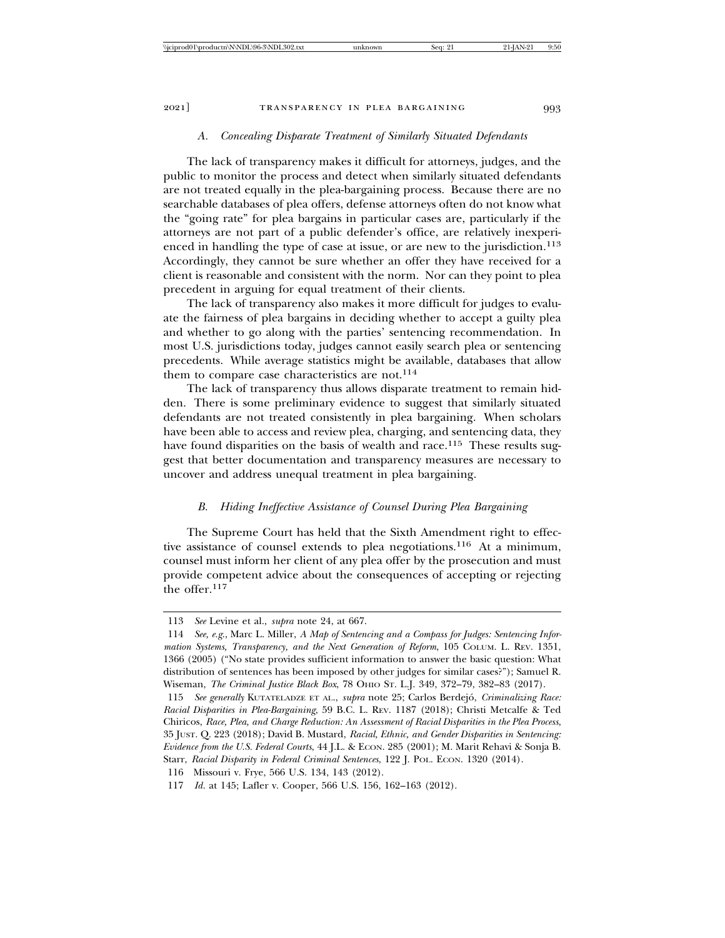#### *A. Concealing Disparate Treatment of Similarly Situated Defendants*

The lack of transparency makes it difficult for attorneys, judges, and the public to monitor the process and detect when similarly situated defendants are not treated equally in the plea-bargaining process. Because there are no searchable databases of plea offers, defense attorneys often do not know what the "going rate" for plea bargains in particular cases are, particularly if the attorneys are not part of a public defender's office, are relatively inexperienced in handling the type of case at issue, or are new to the jurisdiction.<sup>113</sup> Accordingly, they cannot be sure whether an offer they have received for a client is reasonable and consistent with the norm. Nor can they point to plea precedent in arguing for equal treatment of their clients.

The lack of transparency also makes it more difficult for judges to evaluate the fairness of plea bargains in deciding whether to accept a guilty plea and whether to go along with the parties' sentencing recommendation. In most U.S. jurisdictions today, judges cannot easily search plea or sentencing precedents. While average statistics might be available, databases that allow them to compare case characteristics are not.<sup>114</sup>

The lack of transparency thus allows disparate treatment to remain hidden. There is some preliminary evidence to suggest that similarly situated defendants are not treated consistently in plea bargaining. When scholars have been able to access and review plea, charging, and sentencing data, they have found disparities on the basis of wealth and race.<sup>115</sup> These results suggest that better documentation and transparency measures are necessary to uncover and address unequal treatment in plea bargaining.

# *B. Hiding Ineffective Assistance of Counsel During Plea Bargaining*

The Supreme Court has held that the Sixth Amendment right to effective assistance of counsel extends to plea negotiations.116 At a minimum, counsel must inform her client of any plea offer by the prosecution and must provide competent advice about the consequences of accepting or rejecting the offer.<sup>117</sup>

<sup>113</sup> *See* Levine et al., *supra* note 24, at 667.

<sup>114</sup> *See, e.g*., Marc L. Miller, *A Map of Sentencing and a Compass for Judges: Sentencing Information Systems, Transparency, and the Next Generation of Reform*, 105 COLUM. L. REV. 1351, 1366 (2005) ("No state provides sufficient information to answer the basic question: What distribution of sentences has been imposed by other judges for similar cases?"); Samuel R. Wiseman, *The Criminal Justice Black Box*, 78 OHIO ST. L.J. 349, 372–79, 382–83 (2017).

<sup>115</sup> *See generally KUTATELADZE ET AL., supra note 25; Carlos Berdejó, Criminalizing Race: Racial Disparities in Plea-Bargaining*, 59 B.C. L. REV. 1187 (2018); Christi Metcalfe & Ted Chiricos, *Race, Plea, and Charge Reduction: An Assessment of Racial Disparities in the Plea Process*, 35 JUST. Q. 223 (2018); David B. Mustard, *Racial, Ethnic, and Gender Disparities in Sentencing: Evidence from the U.S. Federal Courts*, 44 J.L. & ECON. 285 (2001); M. Marit Rehavi & Sonja B. Starr, *Racial Disparity in Federal Criminal Sentences*, 122 J. POL. ECON. 1320 (2014).

<sup>116</sup> Missouri v. Frye, 566 U.S. 134, 143 (2012).

<sup>117</sup> *Id.* at 145; Lafler v. Cooper, 566 U.S. 156, 162–163 (2012).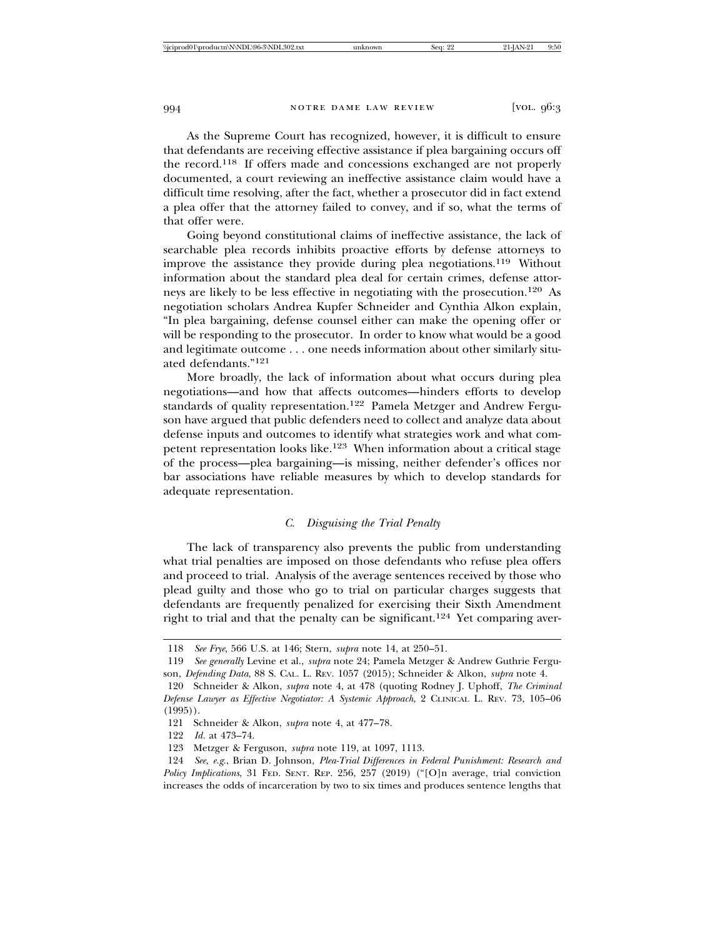As the Supreme Court has recognized, however, it is difficult to ensure that defendants are receiving effective assistance if plea bargaining occurs off the record.118 If offers made and concessions exchanged are not properly documented, a court reviewing an ineffective assistance claim would have a difficult time resolving, after the fact, whether a prosecutor did in fact extend a plea offer that the attorney failed to convey, and if so, what the terms of that offer were.

Going beyond constitutional claims of ineffective assistance, the lack of searchable plea records inhibits proactive efforts by defense attorneys to improve the assistance they provide during plea negotiations.119 Without information about the standard plea deal for certain crimes, defense attorneys are likely to be less effective in negotiating with the prosecution.120 As negotiation scholars Andrea Kupfer Schneider and Cynthia Alkon explain, "In plea bargaining, defense counsel either can make the opening offer or will be responding to the prosecutor. In order to know what would be a good and legitimate outcome . . . one needs information about other similarly situated defendants."<sup>121</sup>

More broadly, the lack of information about what occurs during plea negotiations—and how that affects outcomes—hinders efforts to develop standards of quality representation.122 Pamela Metzger and Andrew Ferguson have argued that public defenders need to collect and analyze data about defense inputs and outcomes to identify what strategies work and what competent representation looks like.123 When information about a critical stage of the process—plea bargaining—is missing, neither defender's offices nor bar associations have reliable measures by which to develop standards for adequate representation.

# *C. Disguising the Trial Penalty*

The lack of transparency also prevents the public from understanding what trial penalties are imposed on those defendants who refuse plea offers and proceed to trial. Analysis of the average sentences received by those who plead guilty and those who go to trial on particular charges suggests that defendants are frequently penalized for exercising their Sixth Amendment right to trial and that the penalty can be significant.124 Yet comparing aver-

<sup>118</sup> *See Frye*, 566 U.S. at 146; Stern, *supra* note 14, at 250–51.

<sup>119</sup> *See generally* Levine et al., *supra* note 24; Pamela Metzger & Andrew Guthrie Ferguson, *Defending Data*, 88 S. CAL. L. REV. 1057 (2015); Schneider & Alkon, *supra* note 4.

<sup>120</sup> Schneider & Alkon, *supra* note 4, at 478 (quoting Rodney J. Uphoff, *The Criminal Defense Lawyer as Effective Negotiator: A Systemic Approach*, 2 CLINICAL L. REV. 73, 105–06  $(1995)$ .

<sup>121</sup> Schneider & Alkon, *supra* note 4, at 477–78.

<sup>122</sup> *Id.* at 473–74.

<sup>123</sup> Metzger & Ferguson, *supra* note 119, at 1097, 1113.

<sup>124</sup> *See, e.g*., Brian D. Johnson, *Plea-Trial Differences in Federal Punishment: Research and Policy Implications*, 31 FED. SENT. REP. 256, 257 (2019) ("[O]n average, trial conviction increases the odds of incarceration by two to six times and produces sentence lengths that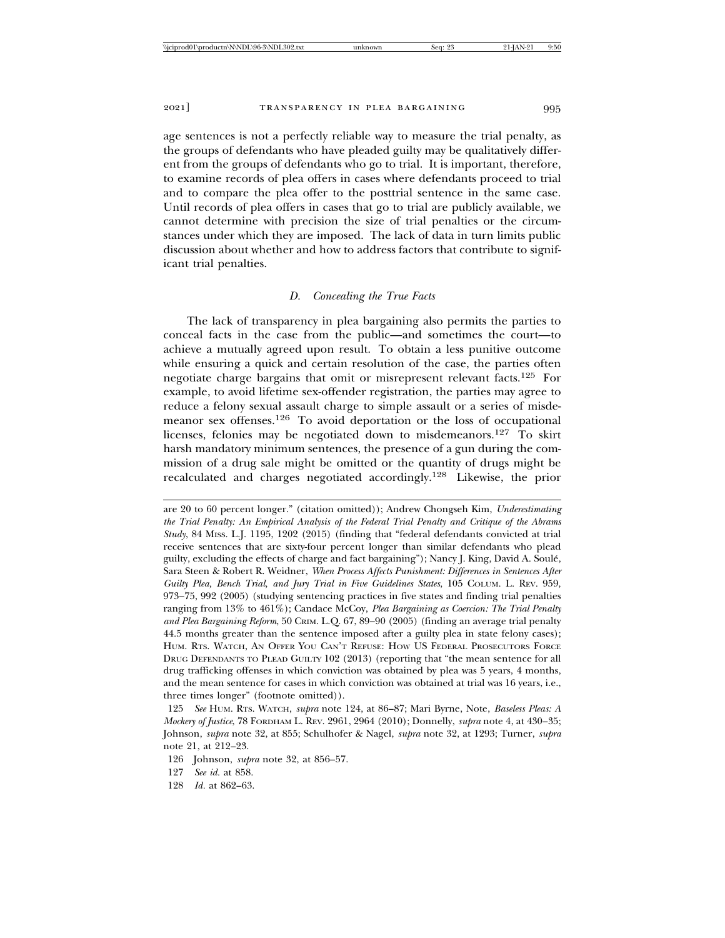age sentences is not a perfectly reliable way to measure the trial penalty, as the groups of defendants who have pleaded guilty may be qualitatively different from the groups of defendants who go to trial. It is important, therefore, to examine records of plea offers in cases where defendants proceed to trial and to compare the plea offer to the posttrial sentence in the same case. Until records of plea offers in cases that go to trial are publicly available, we cannot determine with precision the size of trial penalties or the circumstances under which they are imposed. The lack of data in turn limits public discussion about whether and how to address factors that contribute to significant trial penalties.

#### *D. Concealing the True Facts*

The lack of transparency in plea bargaining also permits the parties to conceal facts in the case from the public—and sometimes the court—to achieve a mutually agreed upon result. To obtain a less punitive outcome while ensuring a quick and certain resolution of the case, the parties often negotiate charge bargains that omit or misrepresent relevant facts.125 For example, to avoid lifetime sex-offender registration, the parties may agree to reduce a felony sexual assault charge to simple assault or a series of misdemeanor sex offenses.126 To avoid deportation or the loss of occupational licenses, felonies may be negotiated down to misdemeanors.127 To skirt harsh mandatory minimum sentences, the presence of a gun during the commission of a drug sale might be omitted or the quantity of drugs might be recalculated and charges negotiated accordingly.128 Likewise, the prior

- 126 Johnson, *supra* note 32, at 856–57.
- 127 *See id.* at 858.
- 128 *Id.* at 862–63.

are 20 to 60 percent longer." (citation omitted)); Andrew Chongseh Kim, *Underestimating the Trial Penalty: An Empirical Analysis of the Federal Trial Penalty and Critique of the Abrams Study*, 84 MISS. L.J. 1195, 1202 (2015) (finding that "federal defendants convicted at trial receive sentences that are sixty-four percent longer than similar defendants who plead guilty, excluding the effects of charge and fact bargaining"); Nancy J. King, David A. Soule,´ Sara Steen & Robert R. Weidner, *When Process Affects Punishment: Differences in Sentences After Guilty Plea, Bench Trial, and Jury Trial in Five Guidelines States*, 105 COLUM. L. REV. 959, 973–75, 992 (2005) (studying sentencing practices in five states and finding trial penalties ranging from 13% to 461%); Candace McCoy, *Plea Bargaining as Coercion: The Trial Penalty and Plea Bargaining Reform*, 50 CRIM. L.Q. 67, 89–90 (2005) (finding an average trial penalty 44.5 months greater than the sentence imposed after a guilty plea in state felony cases); HUM. RTS. WATCH, AN OFFER YOU CAN'T REFUSE: HOW US FEDERAL PROSECUTORS FORCE DRUG DEFENDANTS TO PLEAD GUILTY 102 (2013) (reporting that "the mean sentence for all drug trafficking offenses in which conviction was obtained by plea was 5 years, 4 months, and the mean sentence for cases in which conviction was obtained at trial was 16 years, i.e., three times longer" (footnote omitted)).

<sup>125</sup> *See* HUM. RTS. WATCH, *supra* note 124, at 86–87; Mari Byrne, Note, *Baseless Pleas: A Mockery of Justice*, 78 FORDHAM L. REV. 2961, 2964 (2010); Donnelly, *supra* note 4, at 430–35; Johnson, *supra* note 32, at 855; Schulhofer & Nagel, *supra* note 32, at 1293; Turner, *supra* note 21, at 212–23.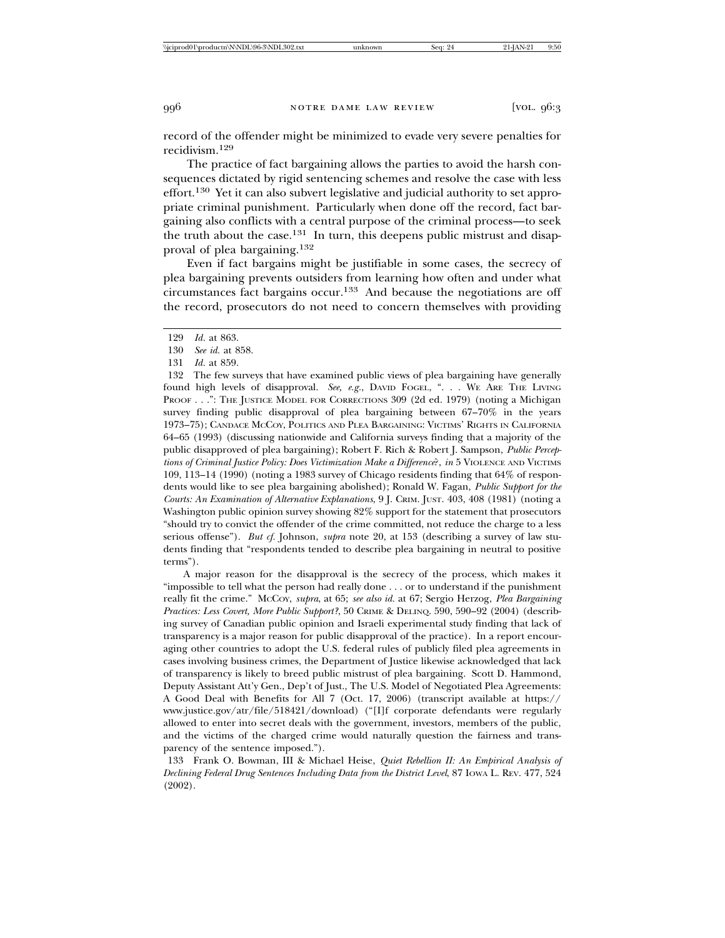record of the offender might be minimized to evade very severe penalties for recidivism.129

The practice of fact bargaining allows the parties to avoid the harsh consequences dictated by rigid sentencing schemes and resolve the case with less effort.130 Yet it can also subvert legislative and judicial authority to set appropriate criminal punishment. Particularly when done off the record, fact bargaining also conflicts with a central purpose of the criminal process—to seek the truth about the case.<sup>131</sup> In turn, this deepens public mistrust and disapproval of plea bargaining.<sup>132</sup>

Even if fact bargains might be justifiable in some cases, the secrecy of plea bargaining prevents outsiders from learning how often and under what circumstances fact bargains occur.133 And because the negotiations are off the record, prosecutors do not need to concern themselves with providing

132 The few surveys that have examined public views of plea bargaining have generally found high levels of disapproval. *See, e.g.*, DAVID FOGEL, ". . . WE ARE THE LIVING PROOF . . .": THE JUSTICE MODEL FOR CORRECTIONS 309 (2d ed. 1979) (noting a Michigan survey finding public disapproval of plea bargaining between 67–70% in the years 1973–75); CANDACE MCCOY, POLITICS AND PLEA BARGAINING: VICTIMS' RIGHTS IN CALIFORNIA 64–65 (1993) (discussing nationwide and California surveys finding that a majority of the public disapproved of plea bargaining); Robert F. Rich & Robert J. Sampson, *Public Perceptions of Criminal Justice Policy: Does Victimization Make a Difference*?, *in* 5 VIOLENCE AND VICTIMS 109, 113–14 (1990) (noting a 1983 survey of Chicago residents finding that 64% of respondents would like to see plea bargaining abolished); Ronald W. Fagan, *Public Support for the Courts: An Examination of Alternative Explanations*, 9 J. CRIM. JUST. 403, 408 (1981) (noting a Washington public opinion survey showing 82% support for the statement that prosecutors "should try to convict the offender of the crime committed, not reduce the charge to a less serious offense"). *But cf.* Johnson, *supra* note 20, at 153 (describing a survey of law students finding that "respondents tended to describe plea bargaining in neutral to positive terms").

A major reason for the disapproval is the secrecy of the process, which makes it "impossible to tell what the person had really done . . . or to understand if the punishment really fit the crime." MCCOY, *supra*, at 65; *see also id.* at 67; Sergio Herzog, *Plea Bargaining Practices: Less Covert, More Public Support?*, 50 CRIME & DELINQ. 590, 590–92 (2004) (describing survey of Canadian public opinion and Israeli experimental study finding that lack of transparency is a major reason for public disapproval of the practice). In a report encouraging other countries to adopt the U.S. federal rules of publicly filed plea agreements in cases involving business crimes, the Department of Justice likewise acknowledged that lack of transparency is likely to breed public mistrust of plea bargaining. Scott D. Hammond, Deputy Assistant Att'y Gen., Dep't of Just., The U.S. Model of Negotiated Plea Agreements: A Good Deal with Benefits for All 7 (Oct. 17, 2006) (transcript available at https:// www.justice.gov/atr/file/518421/download) ("[I]f corporate defendants were regularly allowed to enter into secret deals with the government, investors, members of the public, and the victims of the charged crime would naturally question the fairness and transparency of the sentence imposed.").

133 Frank O. Bowman, III & Michael Heise, *Quiet Rebellion II: An Empirical Analysis of Declining Federal Drug Sentences Including Data from the District Level*, 87 IOWA L. REV. 477, 524 (2002).

<sup>129</sup> *Id.* at 863.

<sup>130</sup> *See id.* at 858.

<sup>131</sup> *Id.* at 859.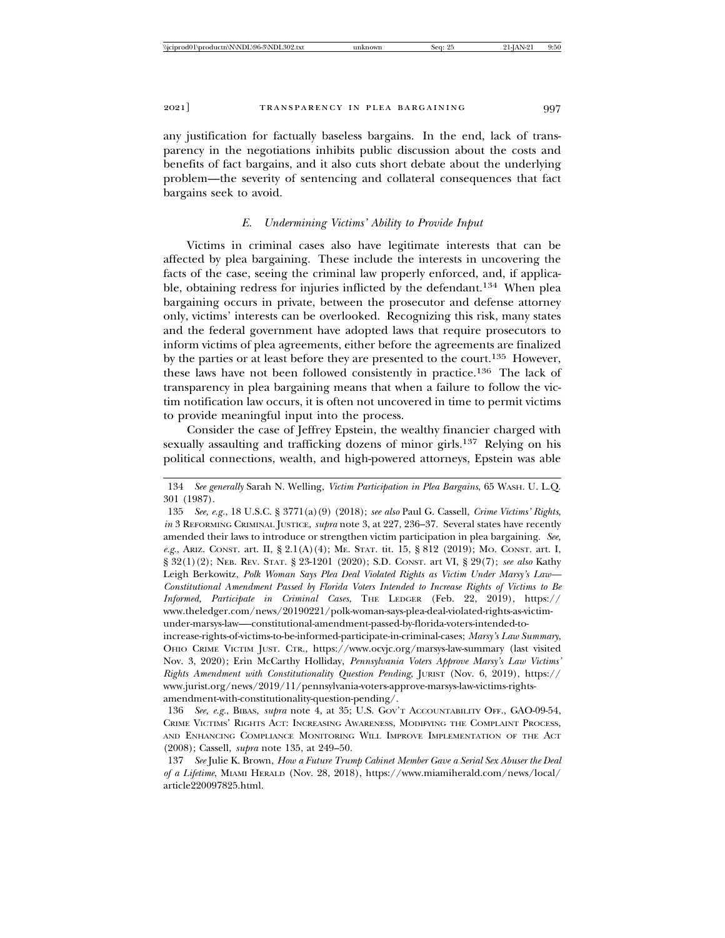any justification for factually baseless bargains. In the end, lack of transparency in the negotiations inhibits public discussion about the costs and benefits of fact bargains, and it also cuts short debate about the underlying problem—the severity of sentencing and collateral consequences that fact bargains seek to avoid.

### *E. Undermining Victims' Ability to Provide Input*

Victims in criminal cases also have legitimate interests that can be affected by plea bargaining. These include the interests in uncovering the facts of the case, seeing the criminal law properly enforced, and, if applicable, obtaining redress for injuries inflicted by the defendant.134 When plea bargaining occurs in private, between the prosecutor and defense attorney only, victims' interests can be overlooked. Recognizing this risk, many states and the federal government have adopted laws that require prosecutors to inform victims of plea agreements, either before the agreements are finalized by the parties or at least before they are presented to the court.135 However, these laws have not been followed consistently in practice.136 The lack of transparency in plea bargaining means that when a failure to follow the victim notification law occurs, it is often not uncovered in time to permit victims to provide meaningful input into the process.

Consider the case of Jeffrey Epstein, the wealthy financier charged with sexually assaulting and trafficking dozens of minor girls.<sup>137</sup> Relying on his political connections, wealth, and high-powered attorneys, Epstein was able

<sup>134</sup> *See generally* Sarah N. Welling, *Victim Participation in Plea Bargains*, 65 WASH. U. L.Q. 301 (1987).

<sup>135</sup> *See, e.g.*, 18 U.S.C. § 3771(a)(9) (2018); *see also* Paul G. Cassell, *Crime Victims' Rights*, *in* 3 REFORMING CRIMINAL JUSTICE, *supra* note 3, at 227, 236–37. Several states have recently amended their laws to introduce or strengthen victim participation in plea bargaining. *See, e.g*., ARIZ. CONST. art. II, § 2.1(A)(4); ME. STAT. tit. 15, § 812 (2019); MO. CONST. art. I, § 32(1)(2); NEB. REV. STAT. § 23-1201 (2020); S.D. CONST. art VI, § 29(7); *see also* Kathy Leigh Berkowitz, *Polk Woman Says Plea Deal Violated Rights as Victim Under Marsy's Law— Constitutional Amendment Passed by Florida Voters Intended to Increase Rights of Victims to Be Informed, Participate in Criminal Cases*, THE LEDGER (Feb. 22, 2019), https:// www.theledger.com/news/20190221/polk-woman-says-plea-deal-violated-rights-as-victimunder-marsys-law—-constitutional-amendment-passed-by-florida-voters-intended-to-

increase-rights-of-victims-to-be-informed-participate-in-criminal-cases; *Marsy's Law Summary*, OHIO CRIME VICTIM JUST. CTR., https://www.ocvjc.org/marsys-law-summary (last visited Nov. 3, 2020); Erin McCarthy Holliday, *Pennsylvania Voters Approve Marsy's Law Victims' Rights Amendment with Constitutionality Question Pending*, JURIST (Nov. 6, 2019), https:// www.jurist.org/news/2019/11/pennsylvania-voters-approve-marsys-law-victims-rightsamendment-with-constitutionality-question-pending/.

<sup>136</sup> *See, e.g.*, BIBAS, *supra* note 4, at 35; U.S. GOV'T ACCOUNTABILITY OFF., GAO-09-54, CRIME VICTIMS' RIGHTS ACT: INCREASING AWARENESS, MODIFYING THE COMPLAINT PROCESS, AND ENHANCING COMPLIANCE MONITORING WILL IMPROVE IMPLEMENTATION OF THE ACT (2008); Cassell, *supra* note 135, at 249–50.

<sup>137</sup> *See* Julie K. Brown, *How a Future Trump Cabinet Member Gave a Serial Sex Abuser the Deal of a Lifetime*, MIAMI HERALD (Nov. 28, 2018), https://www.miamiherald.com/news/local/ article220097825.html.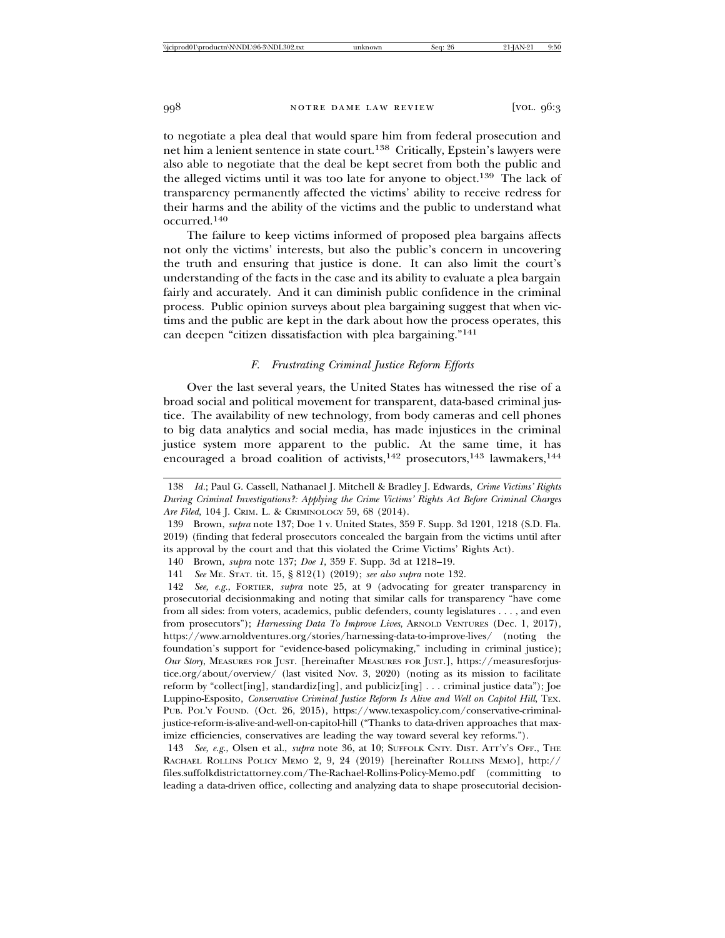to negotiate a plea deal that would spare him from federal prosecution and net him a lenient sentence in state court.138 Critically, Epstein's lawyers were also able to negotiate that the deal be kept secret from both the public and the alleged victims until it was too late for anyone to object.<sup>139</sup> The lack of transparency permanently affected the victims' ability to receive redress for their harms and the ability of the victims and the public to understand what occurred.140

The failure to keep victims informed of proposed plea bargains affects not only the victims' interests, but also the public's concern in uncovering the truth and ensuring that justice is done. It can also limit the court's understanding of the facts in the case and its ability to evaluate a plea bargain fairly and accurately. And it can diminish public confidence in the criminal process. Public opinion surveys about plea bargaining suggest that when victims and the public are kept in the dark about how the process operates, this can deepen "citizen dissatisfaction with plea bargaining."<sup>141</sup>

#### *F. Frustrating Criminal Justice Reform Efforts*

Over the last several years, the United States has witnessed the rise of a broad social and political movement for transparent, data-based criminal justice. The availability of new technology, from body cameras and cell phones to big data analytics and social media, has made injustices in the criminal justice system more apparent to the public. At the same time, it has encouraged a broad coalition of activists,<sup>142</sup> prosecutors,<sup>143</sup> lawmakers,<sup>144</sup>

<sup>138</sup> *Id.*; Paul G. Cassell, Nathanael J. Mitchell & Bradley J. Edwards, *Crime Victims' Rights During Criminal Investigations?: Applying the Crime Victims' Rights Act Before Criminal Charges Are Filed*, 104 J. CRIM. L. & CRIMINOLOGY 59, 68 (2014).

<sup>139</sup> Brown, *supra* note 137; Doe 1 v. United States, 359 F. Supp. 3d 1201, 1218 (S.D. Fla. 2019) (finding that federal prosecutors concealed the bargain from the victims until after its approval by the court and that this violated the Crime Victims' Rights Act).

<sup>140</sup> Brown, *supra* note 137; *Doe 1*, 359 F. Supp. 3d at 1218–19.

<sup>141</sup> *See* ME. STAT. tit. 15, § 812(1) (2019); *see also supra* note 132.

<sup>142</sup> *See, e.g.*, FORTIER, *supra* note 25, at 9 (advocating for greater transparency in prosecutorial decisionmaking and noting that similar calls for transparency "have come from all sides: from voters, academics, public defenders, county legislatures . . . , and even from prosecutors"); *Harnessing Data To Improve Lives*, ARNOLD VENTURES (Dec. 1, 2017), https://www.arnoldventures.org/stories/harnessing-data-to-improve-lives/ (noting the foundation's support for "evidence-based policymaking," including in criminal justice); *Our Story*, MEASURES FOR JUST. [hereinafter MEASURES FOR JUST.], https://measuresforjustice.org/about/overview/ (last visited Nov. 3, 2020) (noting as its mission to facilitate reform by "collect[ing], standardiz[ing], and publiciz[ing] . . . criminal justice data"); Joe Luppino-Esposito, *Conservative Criminal Justice Reform Is Alive and Well on Capitol Hill*, TEX. PUB. POL'Y FOUND. (Oct. 26, 2015), https://www.texaspolicy.com/conservative-criminaljustice-reform-is-alive-and-well-on-capitol-hill ("Thanks to data-driven approaches that maximize efficiencies, conservatives are leading the way toward several key reforms.").

<sup>143</sup> *See, e.g*., Olsen et al., *supra* note 36, at 10; SUFFOLK CNTY. DIST. ATT'Y'S OFF., THE RACHAEL ROLLINS POLICY MEMO 2, 9, 24 (2019) [hereinafter ROLLINS MEMO], http:// files.suffolkdistrictattorney.com/The-Rachael-Rollins-Policy-Memo.pdf (committing to leading a data-driven office, collecting and analyzing data to shape prosecutorial decision-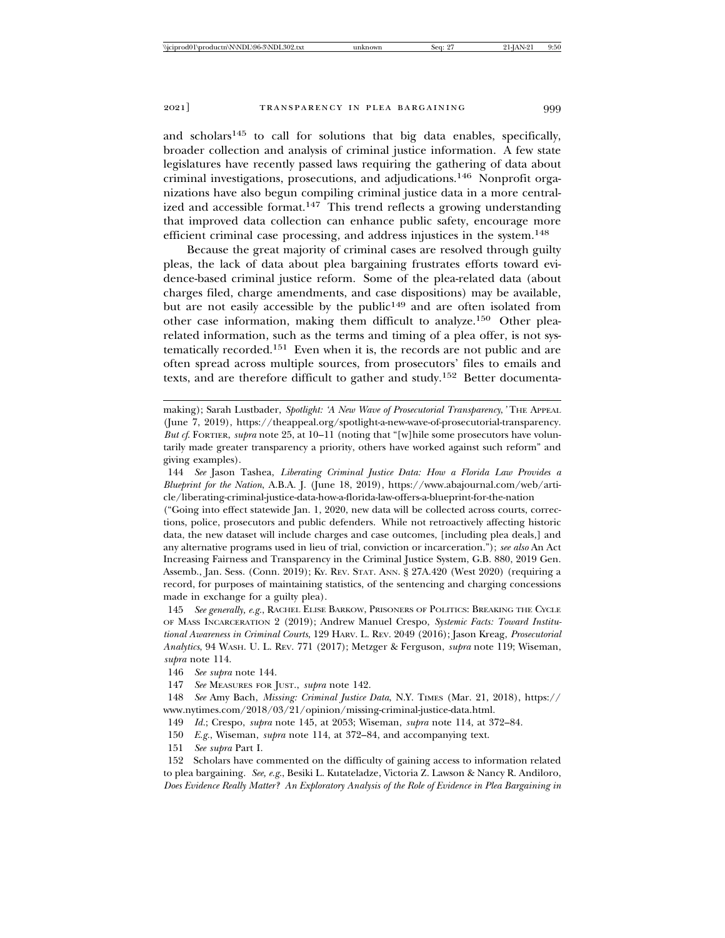and scholars145 to call for solutions that big data enables, specifically, broader collection and analysis of criminal justice information. A few state legislatures have recently passed laws requiring the gathering of data about criminal investigations, prosecutions, and adjudications.146 Nonprofit organizations have also begun compiling criminal justice data in a more centralized and accessible format.<sup>147</sup> This trend reflects a growing understanding that improved data collection can enhance public safety, encourage more efficient criminal case processing, and address injustices in the system.<sup>148</sup>

Because the great majority of criminal cases are resolved through guilty pleas, the lack of data about plea bargaining frustrates efforts toward evidence-based criminal justice reform. Some of the plea-related data (about charges filed, charge amendments, and case dispositions) may be available, but are not easily accessible by the public<sup>149</sup> and are often isolated from other case information, making them difficult to analyze.150 Other plearelated information, such as the terms and timing of a plea offer, is not systematically recorded.151 Even when it is, the records are not public and are often spread across multiple sources, from prosecutors' files to emails and texts, and are therefore difficult to gather and study.<sup>152</sup> Better documenta-

making); Sarah Lustbader, *Spotlight: 'A New Wave of Prosecutorial Transparency*,*'* THE APPEAL (June 7, 2019), https://theappeal.org/spotlight-a-new-wave-of-prosecutorial-transparency. *But cf*. FORTIER, *supra* note 25, at 10–11 (noting that "[w]hile some prosecutors have voluntarily made greater transparency a priority, others have worked against such reform" and giving examples).

144 *See* Jason Tashea, *Liberating Criminal Justice Data: How a Florida Law Provides a Blueprint for the Nation*, A.B.A. J. (June 18, 2019), https://www.abajournal.com/web/article/liberating-criminal-justice-data-how-a-florida-law-offers-a-blueprint-for-the-nation

("Going into effect statewide Jan. 1, 2020, new data will be collected across courts, corrections, police, prosecutors and public defenders. While not retroactively affecting historic data, the new dataset will include charges and case outcomes, [including plea deals,] and any alternative programs used in lieu of trial, conviction or incarceration."); *see also* An Act Increasing Fairness and Transparency in the Criminal Justice System, G.B. 880, 2019 Gen. Assemb., Jan. Sess. (Conn. 2019); KY. REV. STAT. ANN. § 27A.420 (West 2020) (requiring a record, for purposes of maintaining statistics, of the sentencing and charging concessions made in exchange for a guilty plea).

145 *See generally, e.g.*, RACHEL ELISE BARKOW, PRISONERS OF POLITICS: BREAKING THE CYCLE OF MASS INCARCERATION 2 (2019); Andrew Manuel Crespo, *Systemic Facts: Toward Institutional Awareness in Criminal Courts*, 129 HARV. L. REV. 2049 (2016); Jason Kreag, *Prosecutorial Analytics*, 94 WASH. U. L. REV. 771 (2017); Metzger & Ferguson, *supra* note 119; Wiseman, *supra* note 114.

146 *See supra* note 144.

147 *See* MEASURES FOR JUST., *supra* note 142.

148 *See* Amy Bach, *Missing: Criminal Justice Data*, N.Y. TIMES (Mar. 21, 2018), https:// www.nytimes.com/2018/03/21/opinion/missing-criminal-justice-data.html.

149 *Id.*; Crespo, *supra* note 145, at 2053; Wiseman, *supra* note 114, at 372–84.

150 *E.g.*, Wiseman, *supra* note 114, at 372–84, and accompanying text.

151 *See supra* Part I.

152 Scholars have commented on the difficulty of gaining access to information related to plea bargaining. *See, e.g*., Besiki L. Kutateladze, Victoria Z. Lawson & Nancy R. Andiloro, *Does Evidence Really Matter? An Exploratory Analysis of the Role of Evidence in Plea Bargaining in*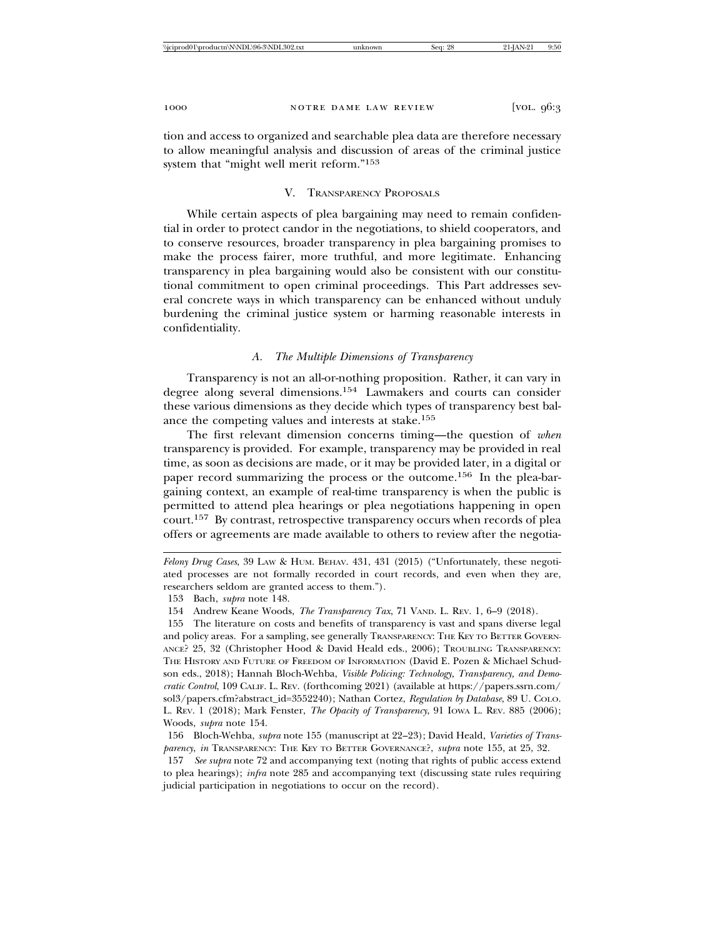tion and access to organized and searchable plea data are therefore necessary to allow meaningful analysis and discussion of areas of the criminal justice system that "might well merit reform."<sup>153</sup>

# V. TRANSPARENCY PROPOSALS

While certain aspects of plea bargaining may need to remain confidential in order to protect candor in the negotiations, to shield cooperators, and to conserve resources, broader transparency in plea bargaining promises to make the process fairer, more truthful, and more legitimate. Enhancing transparency in plea bargaining would also be consistent with our constitutional commitment to open criminal proceedings. This Part addresses several concrete ways in which transparency can be enhanced without unduly burdening the criminal justice system or harming reasonable interests in confidentiality.

# *A. The Multiple Dimensions of Transparency*

Transparency is not an all-or-nothing proposition. Rather, it can vary in degree along several dimensions.154 Lawmakers and courts can consider these various dimensions as they decide which types of transparency best balance the competing values and interests at stake.<sup>155</sup>

The first relevant dimension concerns timing—the question of *when* transparency is provided. For example, transparency may be provided in real time, as soon as decisions are made, or it may be provided later, in a digital or paper record summarizing the process or the outcome.156 In the plea-bargaining context, an example of real-time transparency is when the public is permitted to attend plea hearings or plea negotiations happening in open court.157 By contrast, retrospective transparency occurs when records of plea offers or agreements are made available to others to review after the negotia-

157 *See supra* note 72 and accompanying text (noting that rights of public access extend to plea hearings); *infra* note 285 and accompanying text (discussing state rules requiring judicial participation in negotiations to occur on the record).

*Felony Drug Cases*, 39 LAW & HUM. BEHAV. 431, 431 (2015) ("Unfortunately, these negotiated processes are not formally recorded in court records, and even when they are, researchers seldom are granted access to them.").

<sup>153</sup> Bach, *supra* note 148.

<sup>154</sup> Andrew Keane Woods, *The Transparency Tax*, 71 VAND. L. REV. 1, 6–9 (2018).

<sup>155</sup> The literature on costs and benefits of transparency is vast and spans diverse legal and policy areas. For a sampling, see generally TRANSPARENCY: THE KEY TO BETTER GOVERN-ANCE? 25, 32 (Christopher Hood & David Heald eds., 2006); TROUBLING TRANSPARENCY: THE HISTORY AND FUTURE OF FREEDOM OF INFORMATION (David E. Pozen & Michael Schudson eds., 2018); Hannah Bloch-Wehba, *Visible Policing: Technology, Transparency, and Democratic Control*, 109 CALIF. L. REV. (forthcoming 2021) (available at https://papers.ssrn.com/ sol3/papers.cfm?abstract\_id=3552240); Nathan Cortez, *Regulation by Database*, 89 U. COLO. L. REV. 1 (2018); Mark Fenster, *The Opacity of Transparency*, 91 IOWA L. REV. 885 (2006); Woods, *supra* note 154.

<sup>156</sup> Bloch-Wehba, *supra* note 155 (manuscript at 22–23); David Heald, *Varieties of Transparency*, *in* TRANSPARENCY: THE KEY TO BETTER GOVERNANCE?, *supra* note 155, at 25, 32.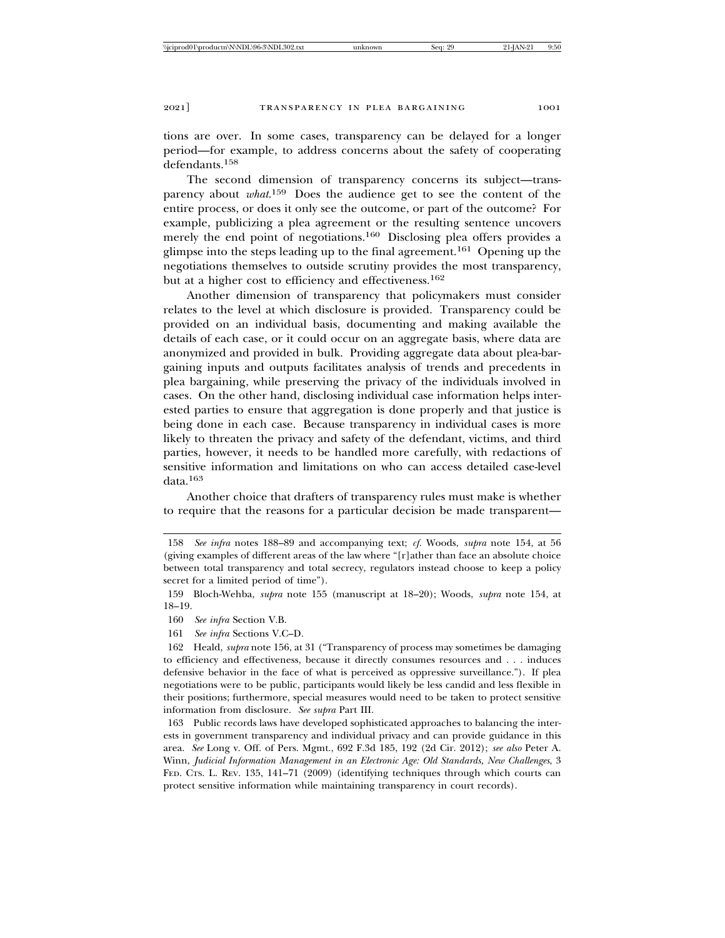tions are over. In some cases, transparency can be delayed for a longer period—for example, to address concerns about the safety of cooperating defendants.158

The second dimension of transparency concerns its subject—transparency about *what*. 159 Does the audience get to see the content of the entire process, or does it only see the outcome, or part of the outcome? For example, publicizing a plea agreement or the resulting sentence uncovers merely the end point of negotiations.<sup>160</sup> Disclosing plea offers provides a glimpse into the steps leading up to the final agreement.161 Opening up the negotiations themselves to outside scrutiny provides the most transparency, but at a higher cost to efficiency and effectiveness.<sup>162</sup>

Another dimension of transparency that policymakers must consider relates to the level at which disclosure is provided. Transparency could be provided on an individual basis, documenting and making available the details of each case, or it could occur on an aggregate basis, where data are anonymized and provided in bulk. Providing aggregate data about plea-bargaining inputs and outputs facilitates analysis of trends and precedents in plea bargaining, while preserving the privacy of the individuals involved in cases. On the other hand, disclosing individual case information helps interested parties to ensure that aggregation is done properly and that justice is being done in each case. Because transparency in individual cases is more likely to threaten the privacy and safety of the defendant, victims, and third parties, however, it needs to be handled more carefully, with redactions of sensitive information and limitations on who can access detailed case-level data.163

Another choice that drafters of transparency rules must make is whether to require that the reasons for a particular decision be made transparent—

<sup>158</sup> *See infra* notes 188–89 and accompanying text; *cf.* Woods, *supra* note 154, at 56 (giving examples of different areas of the law where "[r]ather than face an absolute choice between total transparency and total secrecy, regulators instead choose to keep a policy secret for a limited period of time").

<sup>159</sup> Bloch-Wehba, *supra* note 155 (manuscript at 18–20); Woods, *supra* note 154, at 18–19.

<sup>160</sup> *See infra* Section V.B.

<sup>161</sup> *See infra* Sections V.C–D.

<sup>162</sup> Heald, *supra* note 156, at 31 ("Transparency of process may sometimes be damaging to efficiency and effectiveness, because it directly consumes resources and . . . induces defensive behavior in the face of what is perceived as oppressive surveillance."). If plea negotiations were to be public, participants would likely be less candid and less flexible in their positions; furthermore, special measures would need to be taken to protect sensitive information from disclosure. *See supra* Part III.

<sup>163</sup> Public records laws have developed sophisticated approaches to balancing the interests in government transparency and individual privacy and can provide guidance in this area. *See* Long v. Off. of Pers. Mgmt., 692 F.3d 185, 192 (2d Cir. 2012); *see also* Peter A. Winn, *Judicial Information Management in an Electronic Age: Old Standards, New Challenges*, 3 FED. CTS. L. REV. 135, 141–71 (2009) (identifying techniques through which courts can protect sensitive information while maintaining transparency in court records).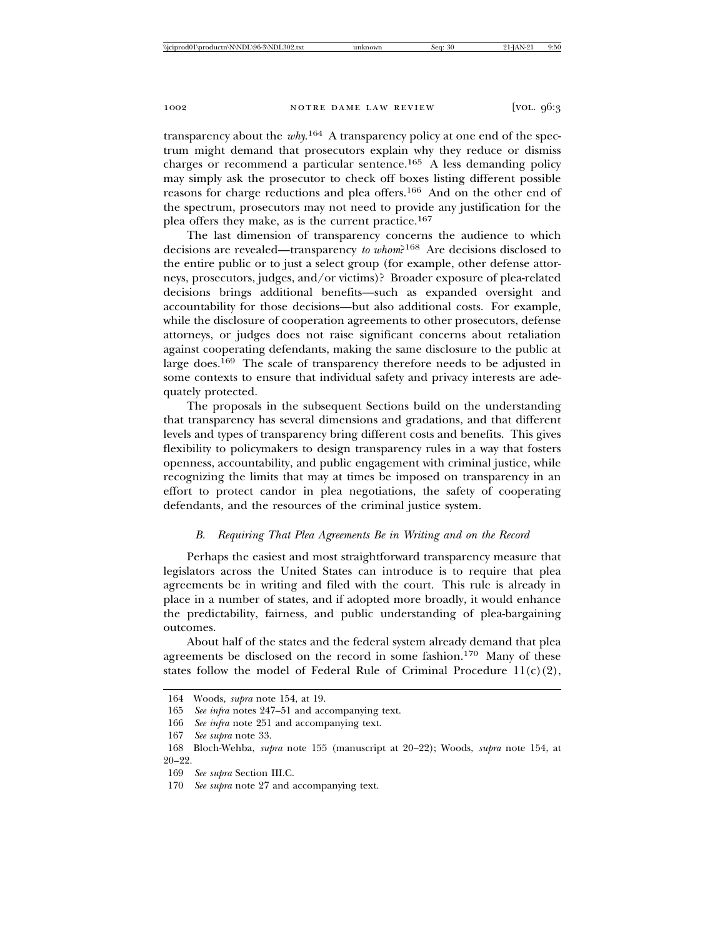transparency about the *why*. 164 A transparency policy at one end of the spectrum might demand that prosecutors explain why they reduce or dismiss charges or recommend a particular sentence.165 A less demanding policy may simply ask the prosecutor to check off boxes listing different possible reasons for charge reductions and plea offers.166 And on the other end of the spectrum, prosecutors may not need to provide any justification for the plea offers they make, as is the current practice.<sup>167</sup>

The last dimension of transparency concerns the audience to which decisions are revealed—transparency *to whom*?168 Are decisions disclosed to the entire public or to just a select group (for example, other defense attorneys, prosecutors, judges, and/or victims)? Broader exposure of plea-related decisions brings additional benefits—such as expanded oversight and accountability for those decisions—but also additional costs. For example, while the disclosure of cooperation agreements to other prosecutors, defense attorneys, or judges does not raise significant concerns about retaliation against cooperating defendants, making the same disclosure to the public at large does.<sup>169</sup> The scale of transparency therefore needs to be adjusted in some contexts to ensure that individual safety and privacy interests are adequately protected.

The proposals in the subsequent Sections build on the understanding that transparency has several dimensions and gradations, and that different levels and types of transparency bring different costs and benefits. This gives flexibility to policymakers to design transparency rules in a way that fosters openness, accountability, and public engagement with criminal justice, while recognizing the limits that may at times be imposed on transparency in an effort to protect candor in plea negotiations, the safety of cooperating defendants, and the resources of the criminal justice system.

# *B. Requiring That Plea Agreements Be in Writing and on the Record*

Perhaps the easiest and most straightforward transparency measure that legislators across the United States can introduce is to require that plea agreements be in writing and filed with the court. This rule is already in place in a number of states, and if adopted more broadly, it would enhance the predictability, fairness, and public understanding of plea-bargaining outcomes.

About half of the states and the federal system already demand that plea agreements be disclosed on the record in some fashion.170 Many of these states follow the model of Federal Rule of Criminal Procedure  $11(c)(2)$ ,

<sup>164</sup> Woods, *supra* note 154, at 19.

<sup>165</sup> *See infra* notes 247–51 and accompanying text.

<sup>166</sup> *See infra* note 251 and accompanying text.

<sup>167</sup> *See supra* note 33.

<sup>168</sup> Bloch-Wehba, *supra* note 155 (manuscript at 20–22); Woods, *supra* note 154, at 20–22.

<sup>169</sup> *See supra* Section III.C.

<sup>170</sup> *See supra* note 27 and accompanying text.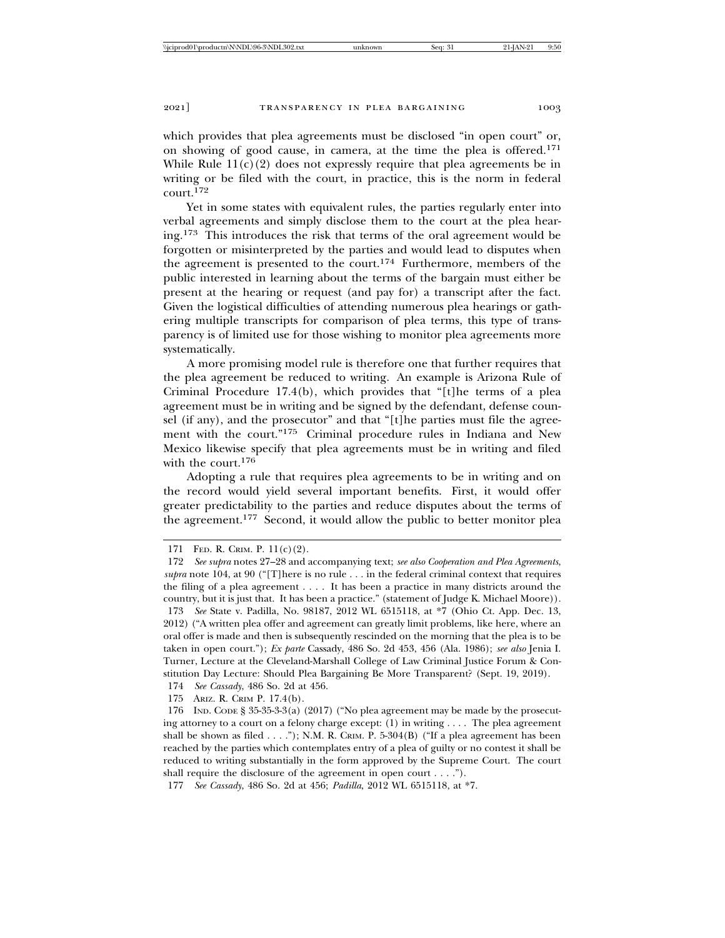which provides that plea agreements must be disclosed "in open court" or, on showing of good cause, in camera, at the time the plea is offered.<sup>171</sup> While Rule  $11(c)(2)$  does not expressly require that plea agreements be in writing or be filed with the court, in practice, this is the norm in federal  $\frac{172}{172}$ 

Yet in some states with equivalent rules, the parties regularly enter into verbal agreements and simply disclose them to the court at the plea hearing.173 This introduces the risk that terms of the oral agreement would be forgotten or misinterpreted by the parties and would lead to disputes when the agreement is presented to the court.174 Furthermore, members of the public interested in learning about the terms of the bargain must either be present at the hearing or request (and pay for) a transcript after the fact. Given the logistical difficulties of attending numerous plea hearings or gathering multiple transcripts for comparison of plea terms, this type of transparency is of limited use for those wishing to monitor plea agreements more systematically.

A more promising model rule is therefore one that further requires that the plea agreement be reduced to writing. An example is Arizona Rule of Criminal Procedure 17.4(b), which provides that "[t]he terms of a plea agreement must be in writing and be signed by the defendant, defense counsel (if any), and the prosecutor" and that "[t]he parties must file the agreement with the court."175 Criminal procedure rules in Indiana and New Mexico likewise specify that plea agreements must be in writing and filed with the court.<sup>176</sup>

Adopting a rule that requires plea agreements to be in writing and on the record would yield several important benefits. First, it would offer greater predictability to the parties and reduce disputes about the terms of the agreement.177 Second, it would allow the public to better monitor plea

174 *See Cassady*, 486 So. 2d at 456.

175 ARIZ. R. CRIM P. 17.4(b).

<sup>171</sup> FED. R. CRIM. P. 11(c)(2).

<sup>172</sup> *See supra* notes 27–28 and accompanying text; *see also Cooperation and Plea Agreements*, *supra* note 104, at 90 ("[T]here is no rule . . . in the federal criminal context that requires the filing of a plea agreement . . . . It has been a practice in many districts around the country, but it is just that. It has been a practice." (statement of Judge K. Michael Moore)). 173 *See* State v. Padilla, No. 98187, 2012 WL 6515118, at \*7 (Ohio Ct. App. Dec. 13, 2012) ("A written plea offer and agreement can greatly limit problems, like here, where an oral offer is made and then is subsequently rescinded on the morning that the plea is to be taken in open court."); *Ex parte* Cassady, 486 So. 2d 453, 456 (Ala. 1986); *see also* Jenia I. Turner, Lecture at the Cleveland-Marshall College of Law Criminal Justice Forum & Constitution Day Lecture: Should Plea Bargaining Be More Transparent? (Sept. 19, 2019).

<sup>176</sup> IND. CODE § 35-35-3-3(a) (2017) ("No plea agreement may be made by the prosecuting attorney to a court on a felony charge except: (1) in writing . . . . The plea agreement shall be shown as filed  $\dots$ ."); N.M. R. CRIM. P. 5-304(B) ("If a plea agreement has been reached by the parties which contemplates entry of a plea of guilty or no contest it shall be reduced to writing substantially in the form approved by the Supreme Court. The court shall require the disclosure of the agreement in open court . . . .").

<sup>177</sup> *See Cassady*, 486 So. 2d at 456; *Padilla*, 2012 WL 6515118, at \*7.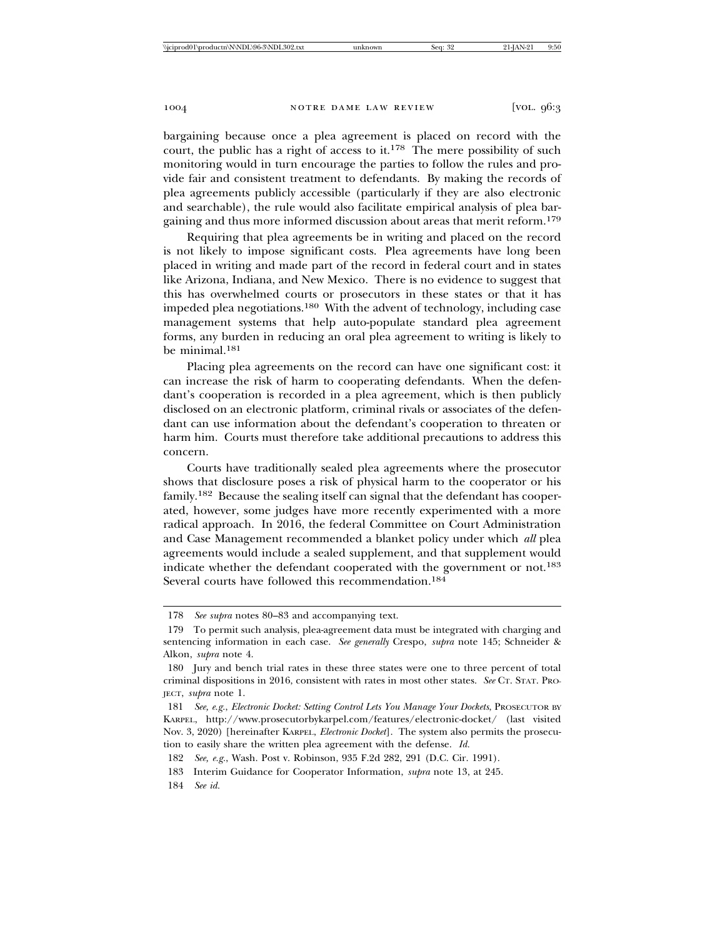bargaining because once a plea agreement is placed on record with the court, the public has a right of access to it.<sup>178</sup> The mere possibility of such monitoring would in turn encourage the parties to follow the rules and provide fair and consistent treatment to defendants. By making the records of plea agreements publicly accessible (particularly if they are also electronic and searchable), the rule would also facilitate empirical analysis of plea bargaining and thus more informed discussion about areas that merit reform.<sup>179</sup>

Requiring that plea agreements be in writing and placed on the record is not likely to impose significant costs. Plea agreements have long been placed in writing and made part of the record in federal court and in states like Arizona, Indiana, and New Mexico. There is no evidence to suggest that this has overwhelmed courts or prosecutors in these states or that it has impeded plea negotiations.180 With the advent of technology, including case management systems that help auto-populate standard plea agreement forms, any burden in reducing an oral plea agreement to writing is likely to be minimal.<sup>181</sup>

Placing plea agreements on the record can have one significant cost: it can increase the risk of harm to cooperating defendants. When the defendant's cooperation is recorded in a plea agreement, which is then publicly disclosed on an electronic platform, criminal rivals or associates of the defendant can use information about the defendant's cooperation to threaten or harm him. Courts must therefore take additional precautions to address this concern.

Courts have traditionally sealed plea agreements where the prosecutor shows that disclosure poses a risk of physical harm to the cooperator or his family.<sup>182</sup> Because the sealing itself can signal that the defendant has cooperated, however, some judges have more recently experimented with a more radical approach. In 2016, the federal Committee on Court Administration and Case Management recommended a blanket policy under which *all* plea agreements would include a sealed supplement, and that supplement would indicate whether the defendant cooperated with the government or not.<sup>183</sup> Several courts have followed this recommendation.<sup>184</sup>

<sup>178</sup> *See supra* notes 80–83 and accompanying text.

<sup>179</sup> To permit such analysis, plea-agreement data must be integrated with charging and sentencing information in each case. *See generally* Crespo, *supra* note 145; Schneider & Alkon, *supra* note 4.

<sup>180</sup> Jury and bench trial rates in these three states were one to three percent of total criminal dispositions in 2016, consistent with rates in most other states. *See* CT. STAT. PRO-JECT, *supra* note 1.

<sup>181</sup> *See, e.g.*, *Electronic Docket: Setting Control Lets You Manage Your Dockets*, PROSECUTOR BY KARPEL, http://www.prosecutorbykarpel.com/features/electronic-docket/ (last visited Nov. 3, 2020) [hereinafter KARPEL, *Electronic Docket*]. The system also permits the prosecution to easily share the written plea agreement with the defense. *Id.*

<sup>182</sup> *See, e.g.*, Wash. Post v. Robinson, 935 F.2d 282, 291 (D.C. Cir. 1991).

<sup>183</sup> Interim Guidance for Cooperator Information, *supra* note 13, at 245.

<sup>184</sup> *See id.*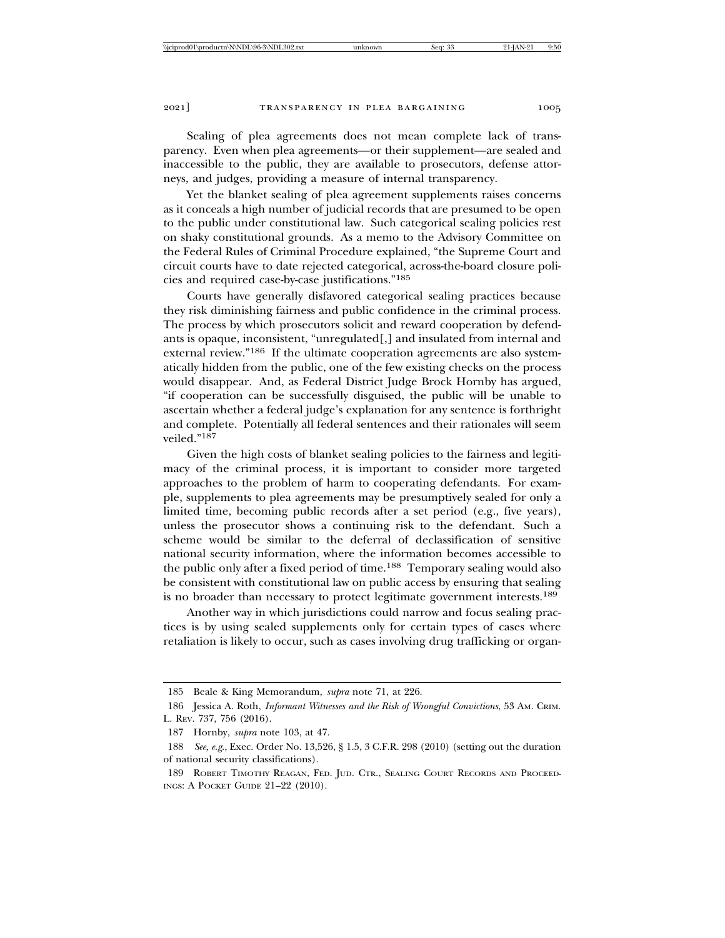Sealing of plea agreements does not mean complete lack of transparency. Even when plea agreements—or their supplement—are sealed and inaccessible to the public, they are available to prosecutors, defense attorneys, and judges, providing a measure of internal transparency.

Yet the blanket sealing of plea agreement supplements raises concerns as it conceals a high number of judicial records that are presumed to be open to the public under constitutional law. Such categorical sealing policies rest on shaky constitutional grounds. As a memo to the Advisory Committee on the Federal Rules of Criminal Procedure explained, "the Supreme Court and circuit courts have to date rejected categorical, across-the-board closure policies and required case-by-case justifications."<sup>185</sup>

Courts have generally disfavored categorical sealing practices because they risk diminishing fairness and public confidence in the criminal process. The process by which prosecutors solicit and reward cooperation by defendants is opaque, inconsistent, "unregulated[,] and insulated from internal and external review."<sup>186</sup> If the ultimate cooperation agreements are also systematically hidden from the public, one of the few existing checks on the process would disappear. And, as Federal District Judge Brock Hornby has argued, "if cooperation can be successfully disguised, the public will be unable to ascertain whether a federal judge's explanation for any sentence is forthright and complete. Potentially all federal sentences and their rationales will seem veiled."187

Given the high costs of blanket sealing policies to the fairness and legitimacy of the criminal process, it is important to consider more targeted approaches to the problem of harm to cooperating defendants. For example, supplements to plea agreements may be presumptively sealed for only a limited time, becoming public records after a set period (e.g., five years), unless the prosecutor shows a continuing risk to the defendant. Such a scheme would be similar to the deferral of declassification of sensitive national security information, where the information becomes accessible to the public only after a fixed period of time.188 Temporary sealing would also be consistent with constitutional law on public access by ensuring that sealing is no broader than necessary to protect legitimate government interests.<sup>189</sup>

Another way in which jurisdictions could narrow and focus sealing practices is by using sealed supplements only for certain types of cases where retaliation is likely to occur, such as cases involving drug trafficking or organ-

<sup>185</sup> Beale & King Memorandum, *supra* note 71, at 226.

<sup>186</sup> Jessica A. Roth, *Informant Witnesses and the Risk of Wrongful Convictions*, 53 AM. CRIM. L. REV. 737, 756 (2016).

<sup>187</sup> Hornby, *supra* note 103, at 47.

<sup>188</sup> *See, e.g*., Exec. Order No. 13,526, § 1.5, 3 C.F.R. 298 (2010) (setting out the duration of national security classifications).

<sup>189</sup> ROBERT TIMOTHY REAGAN, FED. JUD. CTR., SEALING COURT RECORDS AND PROCEED-INGS: A POCKET GUIDE 21–22 (2010).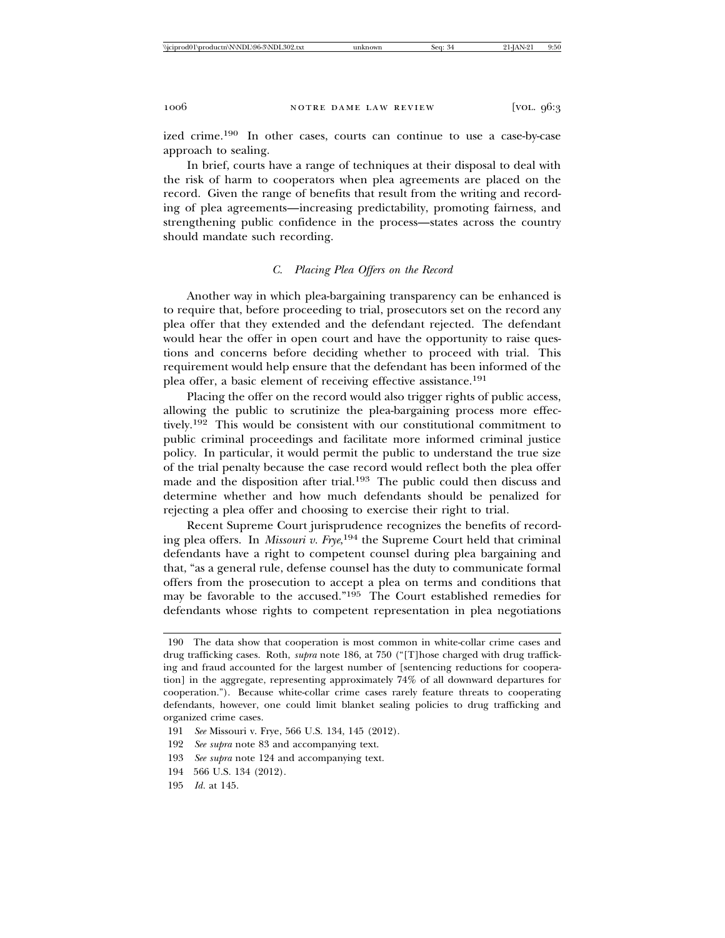ized crime.190 In other cases, courts can continue to use a case-by-case approach to sealing.

In brief, courts have a range of techniques at their disposal to deal with the risk of harm to cooperators when plea agreements are placed on the record. Given the range of benefits that result from the writing and recording of plea agreements—increasing predictability, promoting fairness, and strengthening public confidence in the process—states across the country should mandate such recording.

# *C. Placing Plea Offers on the Record*

Another way in which plea-bargaining transparency can be enhanced is to require that, before proceeding to trial, prosecutors set on the record any plea offer that they extended and the defendant rejected. The defendant would hear the offer in open court and have the opportunity to raise questions and concerns before deciding whether to proceed with trial. This requirement would help ensure that the defendant has been informed of the plea offer, a basic element of receiving effective assistance.<sup>191</sup>

Placing the offer on the record would also trigger rights of public access, allowing the public to scrutinize the plea-bargaining process more effectively.192 This would be consistent with our constitutional commitment to public criminal proceedings and facilitate more informed criminal justice policy. In particular, it would permit the public to understand the true size of the trial penalty because the case record would reflect both the plea offer made and the disposition after trial.193 The public could then discuss and determine whether and how much defendants should be penalized for rejecting a plea offer and choosing to exercise their right to trial.

Recent Supreme Court jurisprudence recognizes the benefits of recording plea offers. In *Missouri v. Frye*, 194 the Supreme Court held that criminal defendants have a right to competent counsel during plea bargaining and that, "as a general rule, defense counsel has the duty to communicate formal offers from the prosecution to accept a plea on terms and conditions that may be favorable to the accused."195 The Court established remedies for defendants whose rights to competent representation in plea negotiations

- 193 *See supra* note 124 and accompanying text.
- 194 566 U.S. 134 (2012).
- 195 *Id.* at 145.

<sup>190</sup> The data show that cooperation is most common in white-collar crime cases and drug trafficking cases. Roth, *supra* note 186, at 750 ("[T]hose charged with drug trafficking and fraud accounted for the largest number of [sentencing reductions for cooperation] in the aggregate, representing approximately 74% of all downward departures for cooperation."). Because white-collar crime cases rarely feature threats to cooperating defendants, however, one could limit blanket sealing policies to drug trafficking and organized crime cases.

<sup>191</sup> *See* Missouri v. Frye, 566 U.S. 134, 145 (2012).

<sup>192</sup> *See supra* note 83 and accompanying text.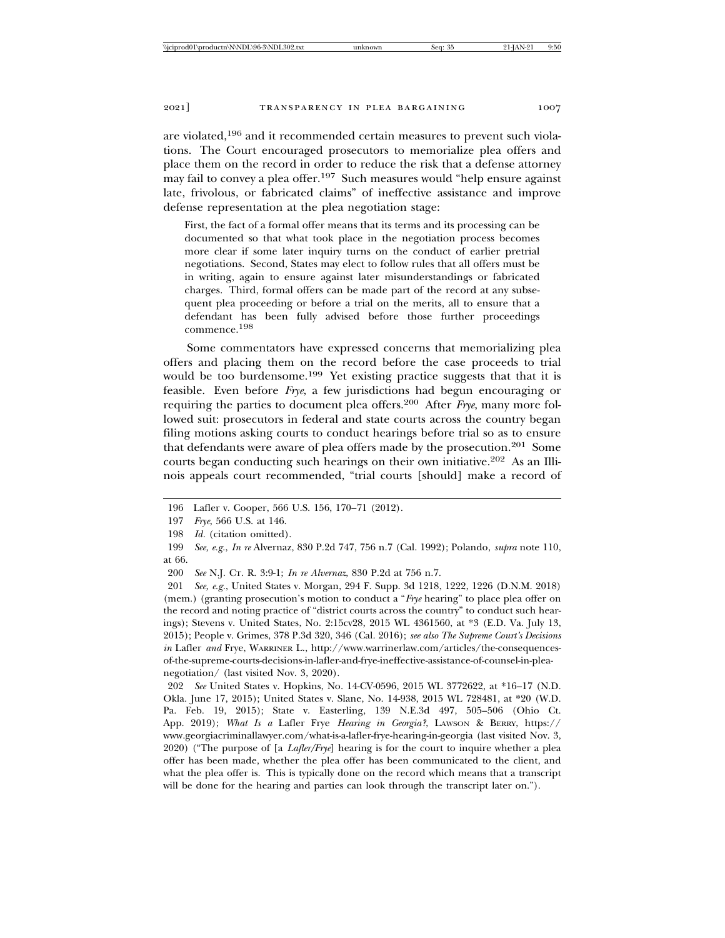are violated,196 and it recommended certain measures to prevent such violations. The Court encouraged prosecutors to memorialize plea offers and place them on the record in order to reduce the risk that a defense attorney may fail to convey a plea offer.<sup>197</sup> Such measures would "help ensure against" late, frivolous, or fabricated claims" of ineffective assistance and improve defense representation at the plea negotiation stage:

First, the fact of a formal offer means that its terms and its processing can be documented so that what took place in the negotiation process becomes more clear if some later inquiry turns on the conduct of earlier pretrial negotiations. Second, States may elect to follow rules that all offers must be in writing, again to ensure against later misunderstandings or fabricated charges. Third, formal offers can be made part of the record at any subsequent plea proceeding or before a trial on the merits, all to ensure that a defendant has been fully advised before those further proceedings commence.198

Some commentators have expressed concerns that memorializing plea offers and placing them on the record before the case proceeds to trial would be too burdensome.<sup>199</sup> Yet existing practice suggests that that it is feasible. Even before *Frye*, a few jurisdictions had begun encouraging or requiring the parties to document plea offers.200 After *Frye*, many more followed suit: prosecutors in federal and state courts across the country began filing motions asking courts to conduct hearings before trial so as to ensure that defendants were aware of plea offers made by the prosecution.201 Some courts began conducting such hearings on their own initiative.202 As an Illinois appeals court recommended, "trial courts [should] make a record of

<sup>196</sup> Lafler v. Cooper, 566 U.S. 156, 170–71 (2012).

<sup>197</sup> *Frye*, 566 U.S. at 146.

<sup>198</sup> *Id.* (citation omitted).

<sup>199</sup> *See, e.g.*, *In re* Alvernaz, 830 P.2d 747, 756 n.7 (Cal. 1992); Polando, *supra* note 110, at 66.

<sup>200</sup> *See* N.J. CT. R. 3:9-1; *In re Alvernaz*, 830 P.2d at 756 n.7.

<sup>201</sup> *See, e.g.*, United States v. Morgan, 294 F. Supp. 3d 1218, 1222, 1226 (D.N.M. 2018) (mem.) (granting prosecution's motion to conduct a "*Frye* hearing" to place plea offer on the record and noting practice of "district courts across the country" to conduct such hearings); Stevens v. United States, No. 2:15cv28, 2015 WL 4361560, at \*3 (E.D. Va. July 13, 2015); People v. Grimes, 378 P.3d 320, 346 (Cal. 2016); *see also The Supreme Court's Decisions in* Lafler *and* Frye, WARRINER L., http://www.warrinerlaw.com/articles/the-consequencesof-the-supreme-courts-decisions-in-lafler-and-frye-ineffective-assistance-of-counsel-in-pleanegotiation/ (last visited Nov. 3, 2020).

<sup>202</sup> *See* United States v. Hopkins, No. 14-CV-0596, 2015 WL 3772622, at \*16–17 (N.D. Okla. June 17, 2015); United States v. Slane, No. 14-938, 2015 WL 728481, at \*20 (W.D. Pa. Feb. 19, 2015); State v. Easterling, 139 N.E.3d 497, 505–506 (Ohio Ct. App. 2019); *What Is a* Lafler Frye *Hearing in Georgia?*, LAWSON & BERRY, https:// www.georgiacriminallawyer.com/what-is-a-lafler-frye-hearing-in-georgia (last visited Nov. 3, 2020) ("The purpose of [a *Lafler/Frye*] hearing is for the court to inquire whether a plea offer has been made, whether the plea offer has been communicated to the client, and what the plea offer is. This is typically done on the record which means that a transcript will be done for the hearing and parties can look through the transcript later on.").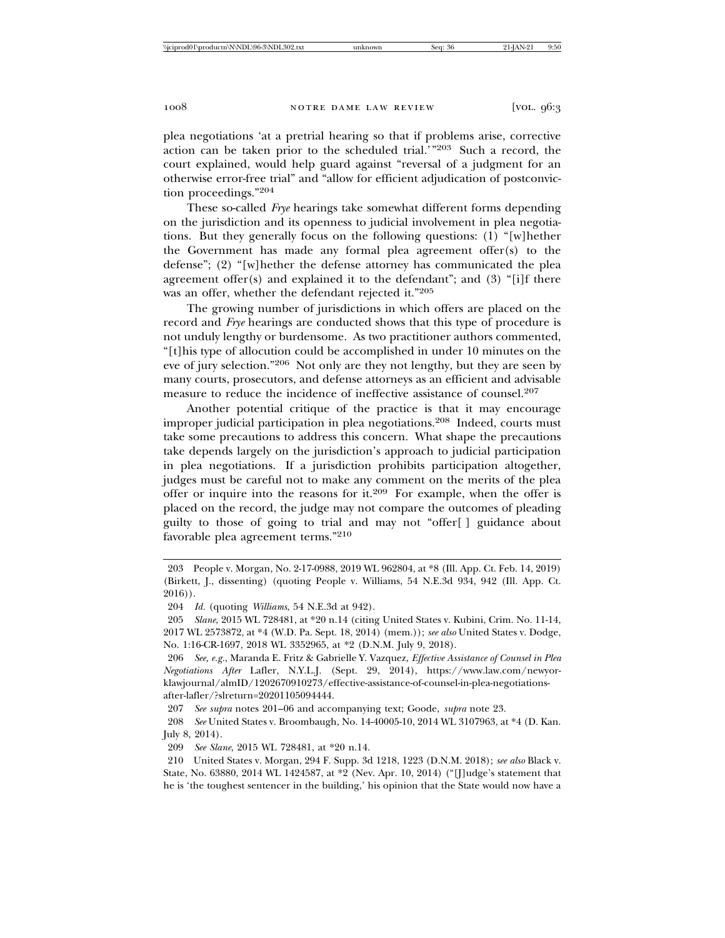plea negotiations 'at a pretrial hearing so that if problems arise, corrective action can be taken prior to the scheduled trial.'"203 Such a record, the court explained, would help guard against "reversal of a judgment for an otherwise error-free trial" and "allow for efficient adjudication of postconviction proceedings."<sup>204</sup>

These so-called *Frye* hearings take somewhat different forms depending on the jurisdiction and its openness to judicial involvement in plea negotiations. But they generally focus on the following questions: (1) "[w]hether the Government has made any formal plea agreement offer(s) to the defense"; (2) "[w]hether the defense attorney has communicated the plea agreement offer $(s)$  and explained it to the defendant"; and  $(3)$  "[i]f there was an offer, whether the defendant rejected it."<sup>205</sup>

The growing number of jurisdictions in which offers are placed on the record and *Frye* hearings are conducted shows that this type of procedure is not unduly lengthy or burdensome. As two practitioner authors commented, "[t]his type of allocution could be accomplished in under 10 minutes on the eve of jury selection."206 Not only are they not lengthy, but they are seen by many courts, prosecutors, and defense attorneys as an efficient and advisable measure to reduce the incidence of ineffective assistance of counsel.<sup>207</sup>

Another potential critique of the practice is that it may encourage improper judicial participation in plea negotiations.208 Indeed, courts must take some precautions to address this concern. What shape the precautions take depends largely on the jurisdiction's approach to judicial participation in plea negotiations. If a jurisdiction prohibits participation altogether, judges must be careful not to make any comment on the merits of the plea offer or inquire into the reasons for it.<sup>209</sup> For example, when the offer is placed on the record, the judge may not compare the outcomes of pleading guilty to those of going to trial and may not "offer[ ] guidance about favorable plea agreement terms."<sup>210</sup>

<sup>203</sup> People v. Morgan, No. 2-17-0988, 2019 WL 962804, at \*8 (Ill. App. Ct. Feb. 14, 2019) (Birkett, J., dissenting) (quoting People v. Williams, 54 N.E.3d 934, 942 (Ill. App. Ct. 2016)).

<sup>204</sup> *Id.* (quoting *Williams*, 54 N.E.3d at 942).

<sup>205</sup> *Slane*, 2015 WL 728481, at \*20 n.14 (citing United States v. Kubini, Crim. No. 11-14, 2017 WL 2573872, at \*4 (W.D. Pa. Sept. 18, 2014) (mem.)); *see also* United States v. Dodge, No. 1:16-CR-1697, 2018 WL 3352965, at \*2 (D.N.M. July 9, 2018).

<sup>206</sup> *See, e.g.*, Maranda E. Fritz & Gabrielle Y. Vazquez, *Effective Assistance of Counsel in Plea Negotiations After* Lafler, N.Y.L.J. (Sept. 29, 2014), https://www.law.com/newyorklawjournal/almID/1202670910273/effective-assistance-of-counsel-in-plea-negotiationsafter-lafler/?slreturn=20201105094444.

<sup>207</sup> *See supra* notes 201–06 and accompanying text; Goode, *supra* note 23.

<sup>208</sup> *See* United States v. Broombaugh, No. 14-40005-10, 2014 WL 3107963, at \*4 (D. Kan. July 8, 2014).

<sup>209</sup> *See Slane*, 2015 WL 728481, at \*20 n.14.

<sup>210</sup> United States v. Morgan, 294 F. Supp. 3d 1218, 1223 (D.N.M. 2018); *see also* Black v. State, No. 63880, 2014 WL 1424587, at \*2 (Nev. Apr. 10, 2014) ("[J]udge's statement that he is 'the toughest sentencer in the building,' his opinion that the State would now have a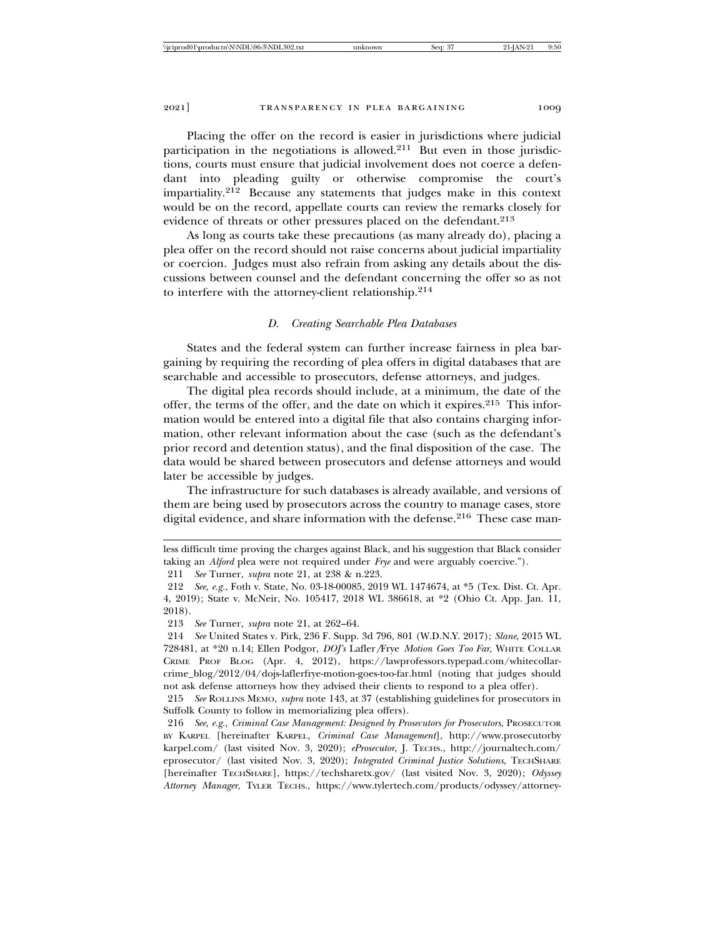Placing the offer on the record is easier in jurisdictions where judicial participation in the negotiations is allowed. $2^{11}$  But even in those jurisdictions, courts must ensure that judicial involvement does not coerce a defendant into pleading guilty or otherwise compromise the court's impartiality.212 Because any statements that judges make in this context would be on the record, appellate courts can review the remarks closely for evidence of threats or other pressures placed on the defendant.<sup>213</sup>

As long as courts take these precautions (as many already do), placing a plea offer on the record should not raise concerns about judicial impartiality or coercion. Judges must also refrain from asking any details about the discussions between counsel and the defendant concerning the offer so as not to interfere with the attorney-client relationship.<sup>214</sup>

#### *D. Creating Searchable Plea Databases*

States and the federal system can further increase fairness in plea bargaining by requiring the recording of plea offers in digital databases that are searchable and accessible to prosecutors, defense attorneys, and judges.

The digital plea records should include, at a minimum, the date of the offer, the terms of the offer, and the date on which it expires.215 This information would be entered into a digital file that also contains charging information, other relevant information about the case (such as the defendant's prior record and detention status), and the final disposition of the case. The data would be shared between prosecutors and defense attorneys and would later be accessible by judges.

The infrastructure for such databases is already available, and versions of them are being used by prosecutors across the country to manage cases, store digital evidence, and share information with the defense.<sup>216</sup> These case man-

less difficult time proving the charges against Black, and his suggestion that Black consider taking an *Alford* plea were not required under *Frye* and were arguably coercive.").

<sup>211</sup> *See* Turner, *supra* note 21, at 238 & n.223.

<sup>212</sup> *See, e.g.*, Foth v. State, No. 03-18-00085, 2019 WL 1474674, at \*5 (Tex. Dist. Ct. Apr. 4, 2019); State v. McNeir, No. 105417, 2018 WL 386618, at \*2 (Ohio Ct. App. Jan. 11, 2018).

<sup>213</sup> *See* Turner, *supra* note 21, at 262–64.

<sup>214</sup> *See* United States v. Pirk, 236 F. Supp. 3d 796, 801 (W.D.N.Y. 2017); *Slane*, 2015 WL 728481, at \*20 n.14; Ellen Podgor, *DOJ's* Lafler*/*Frye *Motion Goes Too Far*, WHITE COLLAR CRIME PROF BLOG (Apr. 4, 2012), https://lawprofessors.typepad.com/whitecollarcrime\_blog/2012/04/dojs-laflerfrye-motion-goes-too-far.html (noting that judges should not ask defense attorneys how they advised their clients to respond to a plea offer).

<sup>215</sup> *See* ROLLINS MEMO, *supra* note 143, at 37 (establishing guidelines for prosecutors in Suffolk County to follow in memorializing plea offers).

<sup>216</sup> *See, e.g*., *Criminal Case Management: Designed by Prosecutors for Prosecutors*, PROSECUTOR BY KARPEL [hereinafter KARPEL, *Criminal Case Management*], http://www.prosecutorby karpel.com/ (last visited Nov. 3, 2020); *eProsecutor*, J. TECHS., http://journaltech.com/ eprosecutor/ (last visited Nov. 3, 2020); *Integrated Criminal Justice Solutions*, TECHSHARE [hereinafter TECHSHARE], https://techsharetx.gov/ (last visited Nov. 3, 2020); *Odyssey Attorney Manager*, TYLER TECHS., https://www.tylertech.com/products/odyssey/attorney-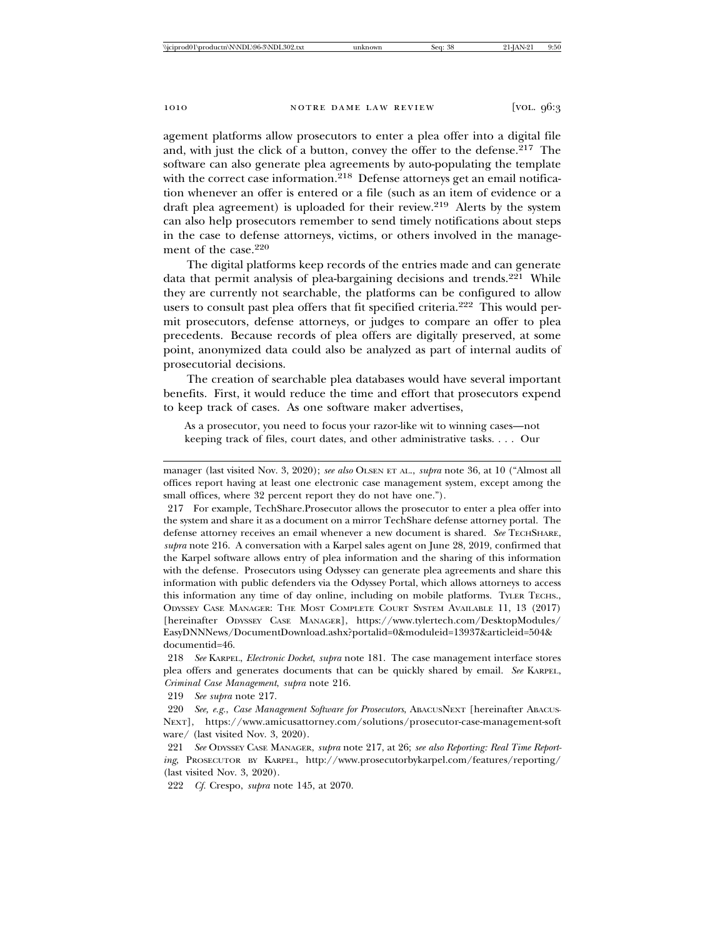agement platforms allow prosecutors to enter a plea offer into a digital file and, with just the click of a button, convey the offer to the defense.217 The software can also generate plea agreements by auto-populating the template with the correct case information.<sup>218</sup> Defense attorneys get an email notification whenever an offer is entered or a file (such as an item of evidence or a draft plea agreement) is uploaded for their review.219 Alerts by the system can also help prosecutors remember to send timely notifications about steps in the case to defense attorneys, victims, or others involved in the management of the case.<sup>220</sup>

The digital platforms keep records of the entries made and can generate data that permit analysis of plea-bargaining decisions and trends.<sup>221</sup> While they are currently not searchable, the platforms can be configured to allow users to consult past plea offers that fit specified criteria.<sup>222</sup> This would permit prosecutors, defense attorneys, or judges to compare an offer to plea precedents. Because records of plea offers are digitally preserved, at some point, anonymized data could also be analyzed as part of internal audits of prosecutorial decisions.

The creation of searchable plea databases would have several important benefits. First, it would reduce the time and effort that prosecutors expend to keep track of cases. As one software maker advertises,

As a prosecutor, you need to focus your razor-like wit to winning cases—not keeping track of files, court dates, and other administrative tasks. . . . Our

219 *See supra* note 217.

222 *Cf.* Crespo, *supra* note 145, at 2070.

manager (last visited Nov. 3, 2020); *see also* OLSEN ET AL., *supra* note 36, at 10 ("Almost all offices report having at least one electronic case management system, except among the small offices, where 32 percent report they do not have one.").

<sup>217</sup> For example, TechShare.Prosecutor allows the prosecutor to enter a plea offer into the system and share it as a document on a mirror TechShare defense attorney portal. The defense attorney receives an email whenever a new document is shared. *See* TECHSHARE, *supra* note 216. A conversation with a Karpel sales agent on June 28, 2019, confirmed that the Karpel software allows entry of plea information and the sharing of this information with the defense. Prosecutors using Odyssey can generate plea agreements and share this information with public defenders via the Odyssey Portal, which allows attorneys to access this information any time of day online, including on mobile platforms. TYLER TECHS., ODYSSEY CASE MANAGER: THE MOST COMPLETE COURT SYSTEM AVAILABLE 11, 13 (2017) [hereinafter ODYSSEY CASE MANAGER], https://www.tylertech.com/DesktopModules/ EasyDNNNews/DocumentDownload.ashx?portalid=0&moduleid=13937&articleid=504& documentid=46.

<sup>218</sup> *See* KARPEL, *Electronic Docket*, *supra* note 181. The case management interface stores plea offers and generates documents that can be quickly shared by email. *See* KARPEL, *Criminal Case Management*, *supra* note 216.

<sup>220</sup> *See, e.g.*, *Case Management Software for Prosecutors*, ABACUSNEXT [hereinafter ABACUS-NEXT], https://www.amicusattorney.com/solutions/prosecutor-case-management-soft ware/ (last visited Nov. 3, 2020).

<sup>221</sup> *See* ODYSSEY CASE MANAGER, *supra* note 217, at 26; *see also Reporting: Real Time Reporting*, PROSECUTOR BY KARPEL, http://www.prosecutorbykarpel.com/features/reporting/ (last visited Nov. 3, 2020).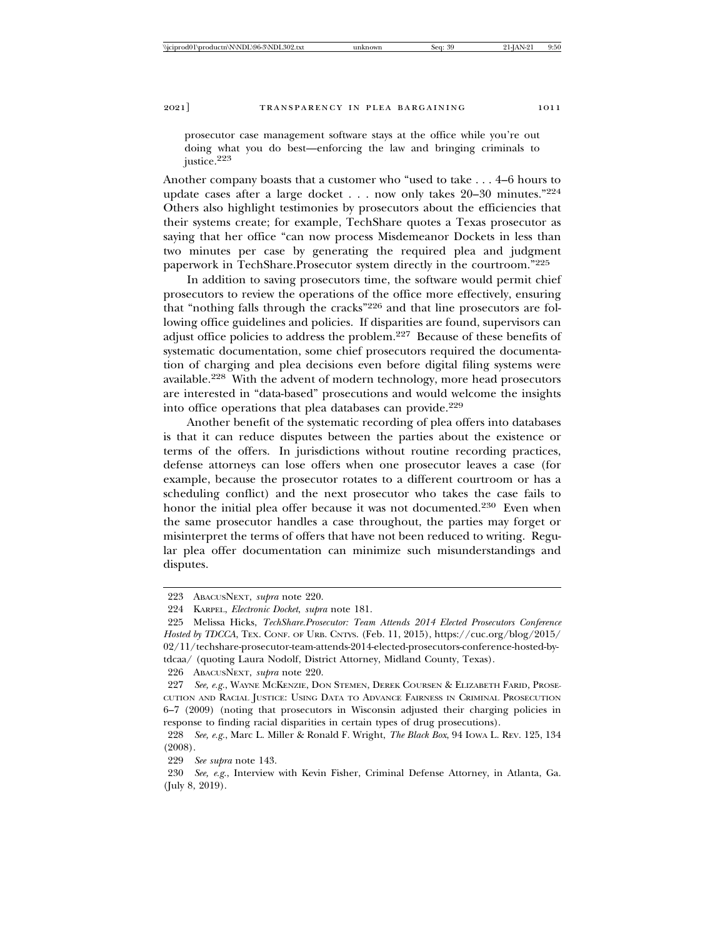prosecutor case management software stays at the office while you're out doing what you do best—enforcing the law and bringing criminals to justice.223

Another company boasts that a customer who "used to take . . . 4–6 hours to update cases after a large docket . . . now only takes 20–30 minutes."<sup>224</sup> Others also highlight testimonies by prosecutors about the efficiencies that their systems create; for example, TechShare quotes a Texas prosecutor as saying that her office "can now process Misdemeanor Dockets in less than two minutes per case by generating the required plea and judgment paperwork in TechShare.Prosecutor system directly in the courtroom."<sup>225</sup>

In addition to saving prosecutors time, the software would permit chief prosecutors to review the operations of the office more effectively, ensuring that "nothing falls through the cracks"226 and that line prosecutors are following office guidelines and policies. If disparities are found, supervisors can adjust office policies to address the problem.227 Because of these benefits of systematic documentation, some chief prosecutors required the documentation of charging and plea decisions even before digital filing systems were available.228 With the advent of modern technology, more head prosecutors are interested in "data-based" prosecutions and would welcome the insights into office operations that plea databases can provide.<sup>229</sup>

Another benefit of the systematic recording of plea offers into databases is that it can reduce disputes between the parties about the existence or terms of the offers. In jurisdictions without routine recording practices, defense attorneys can lose offers when one prosecutor leaves a case (for example, because the prosecutor rotates to a different courtroom or has a scheduling conflict) and the next prosecutor who takes the case fails to honor the initial plea offer because it was not documented.<sup>230</sup> Even when the same prosecutor handles a case throughout, the parties may forget or misinterpret the terms of offers that have not been reduced to writing. Regular plea offer documentation can minimize such misunderstandings and disputes.

226 ABACUSNEXT, *supra* note 220.

<sup>223</sup> ABACUSNEXT, *supra* note 220.

<sup>224</sup> KARPEL, *Electronic Docket*, *supra* note 181.

<sup>225</sup> Melissa Hicks, *TechShare.Prosecutor: Team Attends 2014 Elected Prosecutors Conference Hosted by TDCCA*, TEX. CONF. OF URB. CNTYS. (Feb. 11, 2015), https://cuc.org/blog/2015/ 02/11/techshare-prosecutor-team-attends-2014-elected-prosecutors-conference-hosted-bytdcaa/ (quoting Laura Nodolf, District Attorney, Midland County, Texas).

<sup>227</sup> *See, e.g.*, WAYNE MCKENZIE, DON STEMEN, DEREK COURSEN & ELIZABETH FARID, PROSE-CUTION AND RACIAL JUSTICE: USING DATA TO ADVANCE FAIRNESS IN CRIMINAL PROSECUTION 6–7 (2009) (noting that prosecutors in Wisconsin adjusted their charging policies in response to finding racial disparities in certain types of drug prosecutions).

<sup>228</sup> *See, e.g.*, Marc L. Miller & Ronald F. Wright, *The Black Box*, 94 IOWA L. REV. 125, 134 (2008).

<sup>229</sup> *See supra* note 143.

<sup>230</sup> *See, e.g*., Interview with Kevin Fisher, Criminal Defense Attorney, in Atlanta, Ga. (July 8, 2019).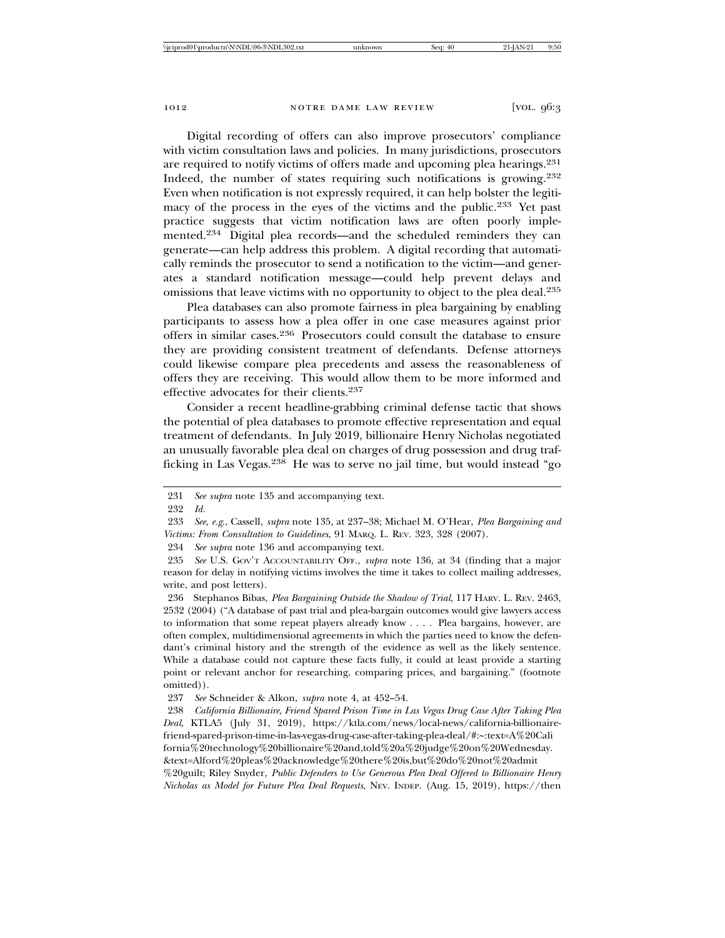Digital recording of offers can also improve prosecutors' compliance with victim consultation laws and policies. In many jurisdictions, prosecutors are required to notify victims of offers made and upcoming plea hearings.<sup>231</sup> Indeed, the number of states requiring such notifications is growing.<sup>232</sup> Even when notification is not expressly required, it can help bolster the legitimacy of the process in the eyes of the victims and the public.233 Yet past practice suggests that victim notification laws are often poorly implemented.234 Digital plea records—and the scheduled reminders they can generate—can help address this problem. A digital recording that automatically reminds the prosecutor to send a notification to the victim—and generates a standard notification message—could help prevent delays and omissions that leave victims with no opportunity to object to the plea deal.<sup>235</sup>

Plea databases can also promote fairness in plea bargaining by enabling participants to assess how a plea offer in one case measures against prior offers in similar cases.236 Prosecutors could consult the database to ensure they are providing consistent treatment of defendants. Defense attorneys could likewise compare plea precedents and assess the reasonableness of offers they are receiving. This would allow them to be more informed and effective advocates for their clients.<sup>237</sup>

Consider a recent headline-grabbing criminal defense tactic that shows the potential of plea databases to promote effective representation and equal treatment of defendants. In July 2019, billionaire Henry Nicholas negotiated an unusually favorable plea deal on charges of drug possession and drug trafficking in Las Vegas.238 He was to serve no jail time, but would instead "go

*Nicholas as Model for Future Plea Deal Requests*, NEV. INDEP. (Aug. 15, 2019), https://then

<sup>231</sup> *See supra* note 135 and accompanying text.

<sup>232</sup> *Id.*

<sup>233</sup> *See, e.g*., Cassell, *supra* note 135, at 237–38; Michael M. O'Hear, *Plea Bargaining and Victims: From Consultation to Guidelines*, 91 MARQ. L. REV. 323, 328 (2007).

<sup>234</sup> *See supra* note 136 and accompanying text.

<sup>235</sup> *See* U.S. GOV'T ACCOUNTABILITY OFF., *supra* note 136, at 34 (finding that a major reason for delay in notifying victims involves the time it takes to collect mailing addresses, write, and post letters).

<sup>236</sup> Stephanos Bibas, *Plea Bargaining Outside the Shadow of Trial*, 117 HARV. L. REV. 2463, 2532 (2004) ("A database of past trial and plea-bargain outcomes would give lawyers access to information that some repeat players already know . . . . Plea bargains, however, are often complex, multidimensional agreements in which the parties need to know the defendant's criminal history and the strength of the evidence as well as the likely sentence. While a database could not capture these facts fully, it could at least provide a starting point or relevant anchor for researching, comparing prices, and bargaining." (footnote omitted)).

<sup>237</sup> *See* Schneider & Alkon, *supra* note 4, at 452–54.

<sup>238</sup> *California Billionaire, Friend Spared Prison Time in Las Vegas Drug Case After Taking Plea Deal*, KTLA5 (July 31, 2019), https://ktla.com/news/local-news/california-billionairefriend-spared-prison-time-in-las-vegas-drug-case-after-taking-plea-deal/#:~:text=A%20Cali fornia%20technology%20billionaire%20and,told%20a%20judge%20on%20Wednesday. &text=Alford%20pleas%20acknowledge%20there%20is,but%20do%20not%20admit %20guilt; Riley Snyder, *Public Defenders to Use Generous Plea Deal Offered to Billionaire Henry*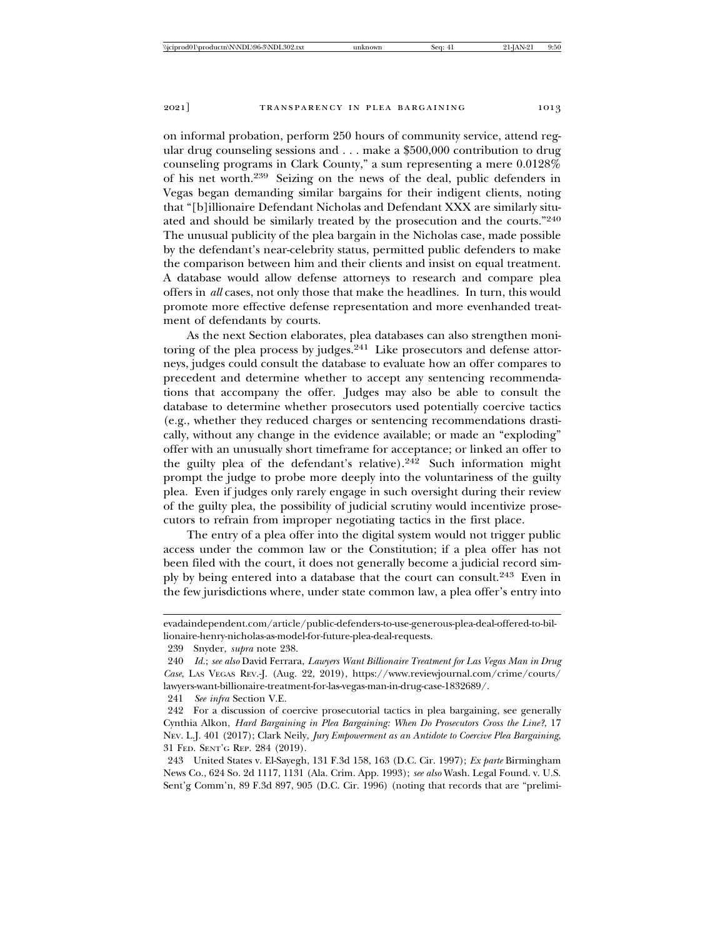on informal probation, perform 250 hours of community service, attend regular drug counseling sessions and . . . make a \$500,000 contribution to drug counseling programs in Clark County," a sum representing a mere 0.0128% of his net worth.239 Seizing on the news of the deal, public defenders in Vegas began demanding similar bargains for their indigent clients, noting that "[b]illionaire Defendant Nicholas and Defendant XXX are similarly situated and should be similarly treated by the prosecution and the courts."<sup>240</sup> The unusual publicity of the plea bargain in the Nicholas case, made possible by the defendant's near-celebrity status, permitted public defenders to make the comparison between him and their clients and insist on equal treatment. A database would allow defense attorneys to research and compare plea offers in *all* cases, not only those that make the headlines. In turn, this would promote more effective defense representation and more evenhanded treatment of defendants by courts.

As the next Section elaborates, plea databases can also strengthen monitoring of the plea process by judges.<sup>241</sup> Like prosecutors and defense attorneys, judges could consult the database to evaluate how an offer compares to precedent and determine whether to accept any sentencing recommendations that accompany the offer. Judges may also be able to consult the database to determine whether prosecutors used potentially coercive tactics (e.g., whether they reduced charges or sentencing recommendations drastically, without any change in the evidence available; or made an "exploding" offer with an unusually short timeframe for acceptance; or linked an offer to the guilty plea of the defendant's relative).<sup>242</sup> Such information might prompt the judge to probe more deeply into the voluntariness of the guilty plea. Even if judges only rarely engage in such oversight during their review of the guilty plea, the possibility of judicial scrutiny would incentivize prosecutors to refrain from improper negotiating tactics in the first place.

The entry of a plea offer into the digital system would not trigger public access under the common law or the Constitution; if a plea offer has not been filed with the court, it does not generally become a judicial record simply by being entered into a database that the court can consult.243 Even in the few jurisdictions where, under state common law, a plea offer's entry into

evadaindependent.com/article/public-defenders-to-use-generous-plea-deal-offered-to-billionaire-henry-nicholas-as-model-for-future-plea-deal-requests.

<sup>239</sup> Snyder, *supra* note 238.

<sup>240</sup> *Id.*; *see also* David Ferrara, *Lawyers Want Billionaire Treatment for Las Vegas Man in Drug Case*, LAS VEGAS REV.-J. (Aug. 22, 2019), https://www.reviewjournal.com/crime/courts/ lawyers-want-billionaire-treatment-for-las-vegas-man-in-drug-case-1832689/.

<sup>241</sup> *See infra* Section V.E.

<sup>242</sup> For a discussion of coercive prosecutorial tactics in plea bargaining, see generally Cynthia Alkon, *Hard Bargaining in Plea Bargaining: When Do Prosecutors Cross the Line?*, 17 NEV. L.J. 401 (2017); Clark Neily, *Jury Empowerment as an Antidote to Coercive Plea Bargaining*, 31 FED. SENT'G REP. 284 (2019).

<sup>243</sup> United States v. El-Sayegh, 131 F.3d 158, 163 (D.C. Cir. 1997); *Ex parte* Birmingham News Co., 624 So. 2d 1117, 1131 (Ala. Crim. App. 1993); *see also* Wash. Legal Found. v. U.S. Sent'g Comm'n, 89 F.3d 897, 905 (D.C. Cir. 1996) (noting that records that are "prelimi-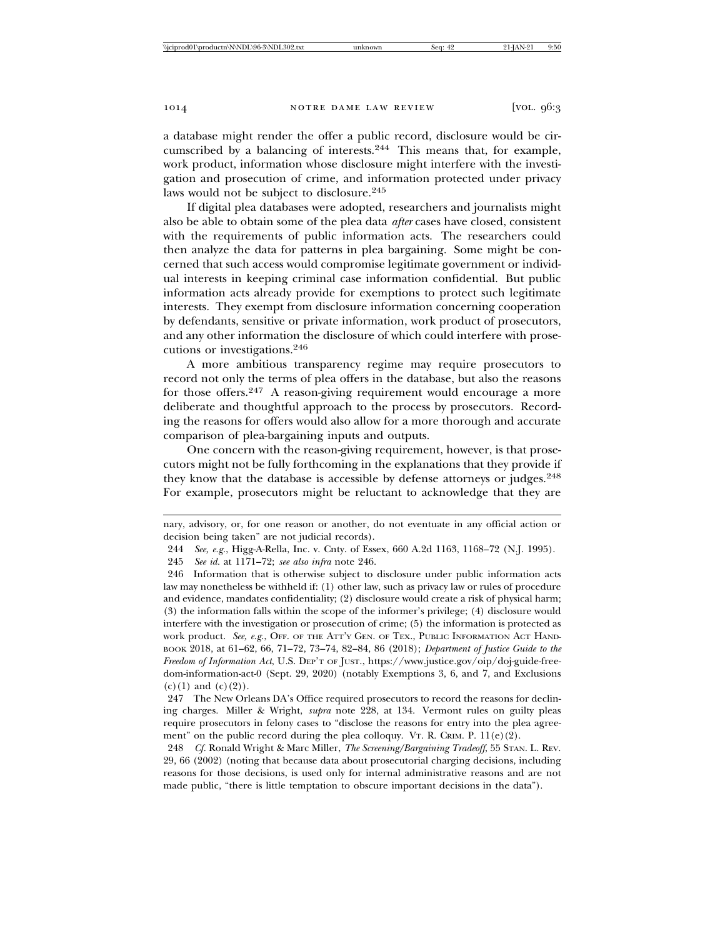a database might render the offer a public record, disclosure would be circumscribed by a balancing of interests.244 This means that, for example, work product, information whose disclosure might interfere with the investigation and prosecution of crime, and information protected under privacy laws would not be subject to disclosure.<sup>245</sup>

If digital plea databases were adopted, researchers and journalists might also be able to obtain some of the plea data *after* cases have closed, consistent with the requirements of public information acts. The researchers could then analyze the data for patterns in plea bargaining. Some might be concerned that such access would compromise legitimate government or individual interests in keeping criminal case information confidential. But public information acts already provide for exemptions to protect such legitimate interests. They exempt from disclosure information concerning cooperation by defendants, sensitive or private information, work product of prosecutors, and any other information the disclosure of which could interfere with prosecutions or investigations.<sup>246</sup>

A more ambitious transparency regime may require prosecutors to record not only the terms of plea offers in the database, but also the reasons for those offers.247 A reason-giving requirement would encourage a more deliberate and thoughtful approach to the process by prosecutors. Recording the reasons for offers would also allow for a more thorough and accurate comparison of plea-bargaining inputs and outputs.

One concern with the reason-giving requirement, however, is that prosecutors might not be fully forthcoming in the explanations that they provide if they know that the database is accessible by defense attorneys or judges.<sup>248</sup> For example, prosecutors might be reluctant to acknowledge that they are

nary, advisory, or, for one reason or another, do not eventuate in any official action or decision being taken" are not judicial records).

<sup>244</sup> *See, e.g.*, Higg-A-Rella, Inc. v. Cnty. of Essex, 660 A.2d 1163, 1168–72 (N.J. 1995).

<sup>245</sup> *See id.* at 1171–72; *see also infra* note 246.

<sup>246</sup> Information that is otherwise subject to disclosure under public information acts law may nonetheless be withheld if: (1) other law, such as privacy law or rules of procedure and evidence, mandates confidentiality; (2) disclosure would create a risk of physical harm; (3) the information falls within the scope of the informer's privilege; (4) disclosure would interfere with the investigation or prosecution of crime; (5) the information is protected as work product. See, e.g., OFF. OF THE ATT'Y GEN. OF TEX., PUBLIC INFORMATION ACT HAND-BOOK 2018, at 61–62, 66, 71–72, 73–74, 82–84, 86 (2018); *Department of Justice Guide to the Freedom of Information Act*, U.S. DEP'T OF JUST., https://www.justice.gov/oip/doj-guide-freedom-information-act-0 (Sept. 29, 2020) (notably Exemptions 3, 6, and 7, and Exclusions  $(c)(1)$  and  $(c)(2)$ ).

<sup>247</sup> The New Orleans DA's Office required prosecutors to record the reasons for declining charges. Miller & Wright, *supra* note 228, at 134. Vermont rules on guilty pleas require prosecutors in felony cases to "disclose the reasons for entry into the plea agreement" on the public record during the plea colloquy. VT. R. CRIM. P. 11(e)(2).

<sup>248</sup> *Cf.* Ronald Wright & Marc Miller, *The Screening/Bargaining Tradeoff*, 55 STAN. L. REV. 29, 66 (2002) (noting that because data about prosecutorial charging decisions, including reasons for those decisions, is used only for internal administrative reasons and are not made public, "there is little temptation to obscure important decisions in the data").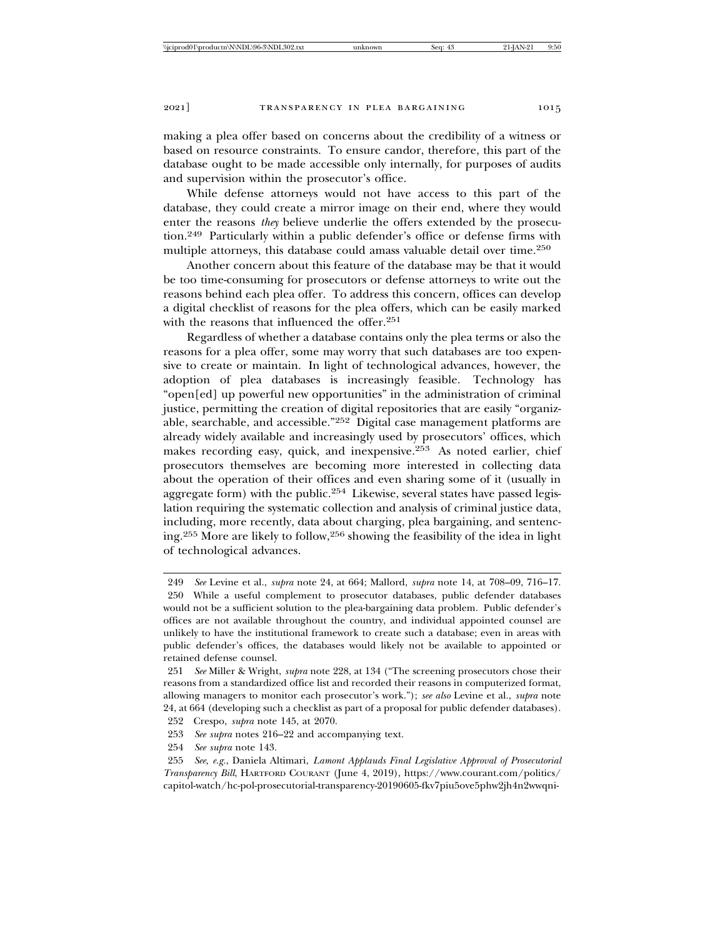making a plea offer based on concerns about the credibility of a witness or based on resource constraints. To ensure candor, therefore, this part of the database ought to be made accessible only internally, for purposes of audits and supervision within the prosecutor's office.

While defense attorneys would not have access to this part of the database, they could create a mirror image on their end, where they would enter the reasons *they* believe underlie the offers extended by the prosecution.249 Particularly within a public defender's office or defense firms with multiple attorneys, this database could amass valuable detail over time.<sup>250</sup>

Another concern about this feature of the database may be that it would be too time-consuming for prosecutors or defense attorneys to write out the reasons behind each plea offer. To address this concern, offices can develop a digital checklist of reasons for the plea offers, which can be easily marked with the reasons that influenced the offer.<sup>251</sup>

Regardless of whether a database contains only the plea terms or also the reasons for a plea offer, some may worry that such databases are too expensive to create or maintain. In light of technological advances, however, the adoption of plea databases is increasingly feasible. Technology has "open[ed] up powerful new opportunities" in the administration of criminal justice, permitting the creation of digital repositories that are easily "organizable, searchable, and accessible."252 Digital case management platforms are already widely available and increasingly used by prosecutors' offices, which makes recording easy, quick, and inexpensive.253 As noted earlier, chief prosecutors themselves are becoming more interested in collecting data about the operation of their offices and even sharing some of it (usually in aggregate form) with the public.254 Likewise, several states have passed legislation requiring the systematic collection and analysis of criminal justice data, including, more recently, data about charging, plea bargaining, and sentencing.255 More are likely to follow,256 showing the feasibility of the idea in light of technological advances.

- 253 *See supra* notes 216–22 and accompanying text.
- 254 *See supra* note 143.

<sup>249</sup> *See* Levine et al., *supra* note 24, at 664; Mallord, *supra* note 14, at 708–09, 716–17. 250 While a useful complement to prosecutor databases, public defender databases would not be a sufficient solution to the plea-bargaining data problem. Public defender's offices are not available throughout the country, and individual appointed counsel are unlikely to have the institutional framework to create such a database; even in areas with public defender's offices, the databases would likely not be available to appointed or retained defense counsel.

<sup>251</sup> *See* Miller & Wright, *supra* note 228, at 134 ("The screening prosecutors chose their reasons from a standardized office list and recorded their reasons in computerized format, allowing managers to monitor each prosecutor's work."); *see also* Levine et al., *supra* note 24, at 664 (developing such a checklist as part of a proposal for public defender databases).

<sup>252</sup> Crespo, *supra* note 145, at 2070.

<sup>255</sup> *See, e.g.*, Daniela Altimari, *Lamont Applauds Final Legislative Approval of Prosecutorial Transparency Bill*, HARTFORD COURANT (June 4, 2019), https://www.courant.com/politics/ capitol-watch/hc-pol-prosecutorial-transparency-20190605-fkv7piu5ove5phw2jh4n2wwqni-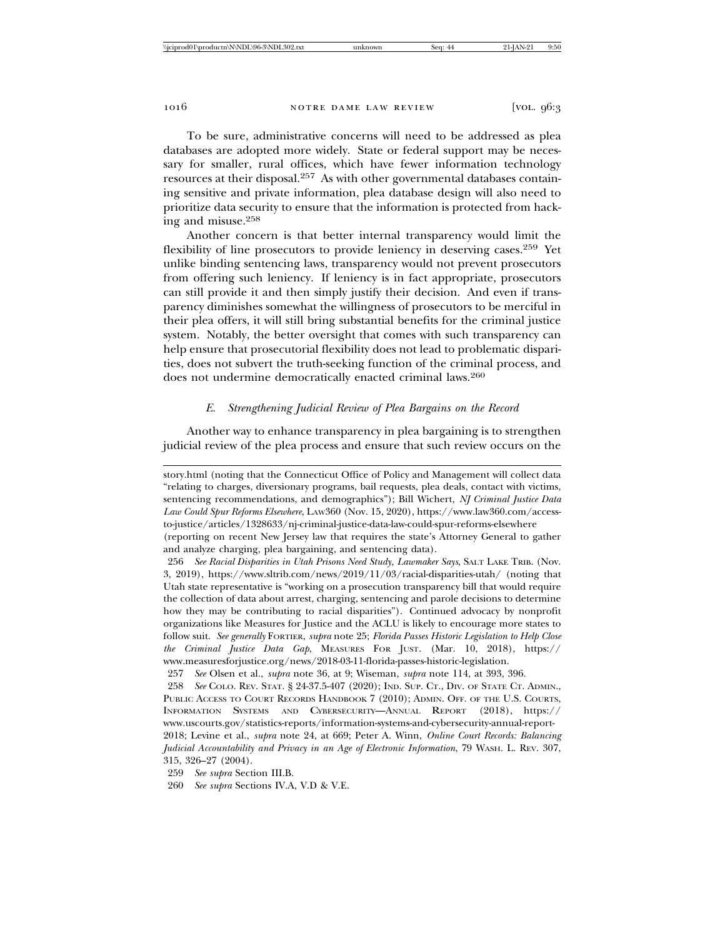To be sure, administrative concerns will need to be addressed as plea databases are adopted more widely. State or federal support may be necessary for smaller, rural offices, which have fewer information technology resources at their disposal.257 As with other governmental databases containing sensitive and private information, plea database design will also need to prioritize data security to ensure that the information is protected from hacking and misuse.<sup>258</sup>

Another concern is that better internal transparency would limit the flexibility of line prosecutors to provide leniency in deserving cases.259 Yet unlike binding sentencing laws, transparency would not prevent prosecutors from offering such leniency. If leniency is in fact appropriate, prosecutors can still provide it and then simply justify their decision. And even if transparency diminishes somewhat the willingness of prosecutors to be merciful in their plea offers, it will still bring substantial benefits for the criminal justice system. Notably, the better oversight that comes with such transparency can help ensure that prosecutorial flexibility does not lead to problematic disparities, does not subvert the truth-seeking function of the criminal process, and does not undermine democratically enacted criminal laws.<sup>260</sup>

# *E. Strengthening Judicial Review of Plea Bargains on the Record*

Another way to enhance transparency in plea bargaining is to strengthen judicial review of the plea process and ensure that such review occurs on the

story.html (noting that the Connecticut Office of Policy and Management will collect data "relating to charges, diversionary programs, bail requests, plea deals, contact with victims, sentencing recommendations, and demographics"); Bill Wichert, *NJ Criminal Justice Data Law Could Spur Reforms Elsewhere*, LAW360 (Nov. 15, 2020), https://www.law360.com/accessto-justice/articles/1328633/nj-criminal-justice-data-law-could-spur-reforms-elsewhere (reporting on recent New Jersey law that requires the state's Attorney General to gather

and analyze charging, plea bargaining, and sentencing data).

<sup>256</sup> *See Racial Disparities in Utah Prisons Need Study, Lawmaker Says*, SALT LAKE TRIB. (Nov. 3, 2019), https://www.sltrib.com/news/2019/11/03/racial-disparities-utah/ (noting that Utah state representative is "working on a prosecution transparency bill that would require the collection of data about arrest, charging, sentencing and parole decisions to determine how they may be contributing to racial disparities"). Continued advocacy by nonprofit organizations like Measures for Justice and the ACLU is likely to encourage more states to follow suit. *See generally* FORTIER, *supra* note 25; *Florida Passes Historic Legislation to Help Close the Criminal Justice Data Gap*, MEASURES FOR JUST. (Mar. 10, 2018), https:// www.measuresforjustice.org/news/2018-03-11-florida-passes-historic-legislation.

<sup>257</sup> *See* Olsen et al., *supra* note 36, at 9; Wiseman, *supra* note 114, at 393, 396.

<sup>258</sup> *See* COLO. REV. STAT. § 24-37.5-407 (2020); IND. SUP. CT., DIV. OF STATE CT. ADMIN., PUBLIC ACCESS TO COURT RECORDS HANDBOOK 7 (2010); ADMIN. OFF. OF THE U.S. COURTS, INFORMATION SYSTEMS AND CYBERSECURITY—ANNUAL REPORT (2018), https:// www.uscourts.gov/statistics-reports/information-systems-and-cybersecurity-annual-report-2018; Levine et al., *supra* note 24, at 669; Peter A. Winn, *Online Court Records: Balancing Judicial Accountability and Privacy in an Age of Electronic Information*, 79 WASH. L. REV. 307, 315, 326–27 (2004).

<sup>259</sup> *See supra* Section III.B.

<sup>260</sup> *See supra* Sections IV.A, V.D & V.E.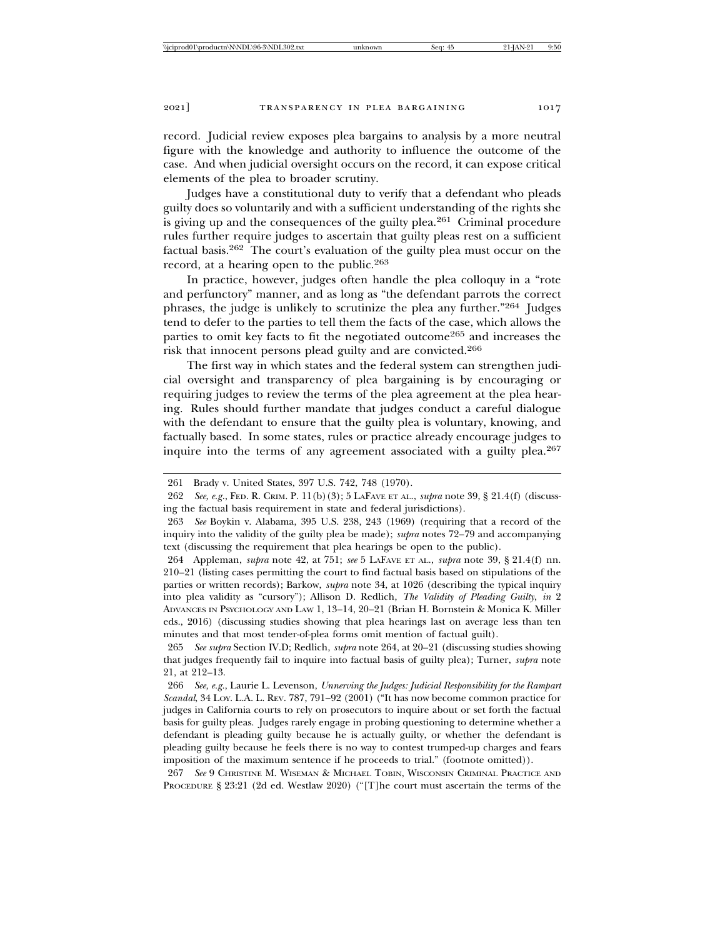record. Judicial review exposes plea bargains to analysis by a more neutral figure with the knowledge and authority to influence the outcome of the case. And when judicial oversight occurs on the record, it can expose critical elements of the plea to broader scrutiny.

Judges have a constitutional duty to verify that a defendant who pleads guilty does so voluntarily and with a sufficient understanding of the rights she is giving up and the consequences of the guilty plea.261 Criminal procedure rules further require judges to ascertain that guilty pleas rest on a sufficient factual basis.262 The court's evaluation of the guilty plea must occur on the record, at a hearing open to the public.<sup>263</sup>

In practice, however, judges often handle the plea colloquy in a "rote and perfunctory" manner, and as long as "the defendant parrots the correct phrases, the judge is unlikely to scrutinize the plea any further."264 Judges tend to defer to the parties to tell them the facts of the case, which allows the parties to omit key facts to fit the negotiated outcome265 and increases the risk that innocent persons plead guilty and are convicted.<sup>266</sup>

The first way in which states and the federal system can strengthen judicial oversight and transparency of plea bargaining is by encouraging or requiring judges to review the terms of the plea agreement at the plea hearing. Rules should further mandate that judges conduct a careful dialogue with the defendant to ensure that the guilty plea is voluntary, knowing, and factually based. In some states, rules or practice already encourage judges to inquire into the terms of any agreement associated with a guilty plea.<sup>267</sup>

264 Appleman, *supra* note 42, at 751; *see* 5 LAFAVE ET AL., *supra* note 39, § 21.4(f) nn. 210–21 (listing cases permitting the court to find factual basis based on stipulations of the parties or written records); Barkow, *supra* note 34, at 1026 (describing the typical inquiry into plea validity as "cursory"); Allison D. Redlich, *The Validity of Pleading Guilty*, *in* 2 ADVANCES IN PSYCHOLOGY AND LAW 1, 13–14, 20–21 (Brian H. Bornstein & Monica K. Miller eds., 2016) (discussing studies showing that plea hearings last on average less than ten minutes and that most tender-of-plea forms omit mention of factual guilt).

265 *See supra* Section IV.D; Redlich, *supra* note 264, at 20–21 (discussing studies showing that judges frequently fail to inquire into factual basis of guilty plea); Turner, *supra* note 21, at 212–13.

<sup>261</sup> Brady v. United States, 397 U.S. 742, 748 (1970).

<sup>262</sup> *See, e.g.*, FED. R. CRIM. P. 11(b)(3); 5 LAFAVE ET AL., *supra* note 39, § 21.4(f) (discussing the factual basis requirement in state and federal jurisdictions).

<sup>263</sup> *See* Boykin v. Alabama, 395 U.S. 238, 243 (1969) (requiring that a record of the inquiry into the validity of the guilty plea be made); *supra* notes 72–79 and accompanying text (discussing the requirement that plea hearings be open to the public).

<sup>266</sup> *See, e.g.*, Laurie L. Levenson, *Unnerving the Judges: Judicial Responsibility for the Rampart Scandal*, 34 LOY. L.A. L. REV. 787, 791–92 (2001) ("It has now become common practice for judges in California courts to rely on prosecutors to inquire about or set forth the factual basis for guilty pleas. Judges rarely engage in probing questioning to determine whether a defendant is pleading guilty because he is actually guilty, or whether the defendant is pleading guilty because he feels there is no way to contest trumped-up charges and fears imposition of the maximum sentence if he proceeds to trial." (footnote omitted)).

<sup>267</sup> *See* 9 CHRISTINE M. WISEMAN & MICHAEL TOBIN, WISCONSIN CRIMINAL PRACTICE AND PROCEDURE § 23:21 (2d ed. Westlaw 2020) ("[T]he court must ascertain the terms of the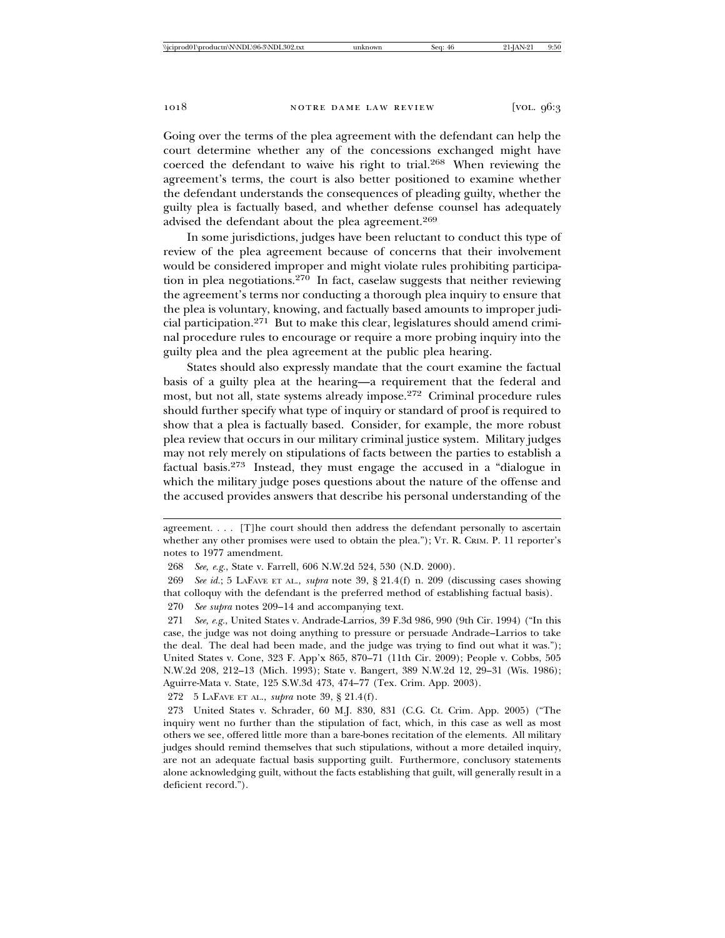Going over the terms of the plea agreement with the defendant can help the court determine whether any of the concessions exchanged might have coerced the defendant to waive his right to trial.268 When reviewing the agreement's terms, the court is also better positioned to examine whether the defendant understands the consequences of pleading guilty, whether the guilty plea is factually based, and whether defense counsel has adequately advised the defendant about the plea agreement.<sup>269</sup>

In some jurisdictions, judges have been reluctant to conduct this type of review of the plea agreement because of concerns that their involvement would be considered improper and might violate rules prohibiting participation in plea negotiations.<sup>270</sup> In fact, caselaw suggests that neither reviewing the agreement's terms nor conducting a thorough plea inquiry to ensure that the plea is voluntary, knowing, and factually based amounts to improper judicial participation.271 But to make this clear, legislatures should amend criminal procedure rules to encourage or require a more probing inquiry into the guilty plea and the plea agreement at the public plea hearing.

States should also expressly mandate that the court examine the factual basis of a guilty plea at the hearing—a requirement that the federal and most, but not all, state systems already impose.272 Criminal procedure rules should further specify what type of inquiry or standard of proof is required to show that a plea is factually based. Consider, for example, the more robust plea review that occurs in our military criminal justice system. Military judges may not rely merely on stipulations of facts between the parties to establish a factual basis.273 Instead, they must engage the accused in a "dialogue in which the military judge poses questions about the nature of the offense and the accused provides answers that describe his personal understanding of the

270 *See supra* notes 209–14 and accompanying text.

271 *See, e.g.*, United States v. Andrade-Larrios, 39 F.3d 986, 990 (9th Cir. 1994) ("In this case, the judge was not doing anything to pressure or persuade Andrade–Larrios to take the deal. The deal had been made, and the judge was trying to find out what it was."); United States v. Cone, 323 F. App'x 865, 870–71 (11th Cir. 2009); People v. Cobbs, 505 N.W.2d 208, 212–13 (Mich. 1993); State v. Bangert, 389 N.W.2d 12, 29–31 (Wis. 1986); Aguirre-Mata v. State, 125 S.W.3d 473, 474–77 (Tex. Crim. App. 2003).

272 5 LAFAVE ET AL., *supra* note 39, § 21.4(f).

273 United States v. Schrader, 60 M.J. 830, 831 (C.G. Ct. Crim. App. 2005) ("The inquiry went no further than the stipulation of fact, which, in this case as well as most others we see, offered little more than a bare-bones recitation of the elements. All military judges should remind themselves that such stipulations, without a more detailed inquiry, are not an adequate factual basis supporting guilt. Furthermore, conclusory statements alone acknowledging guilt, without the facts establishing that guilt, will generally result in a deficient record.").

agreement. . . . [T]he court should then address the defendant personally to ascertain whether any other promises were used to obtain the plea."); VT. R. CRIM. P. 11 reporter's notes to 1977 amendment.

<sup>268</sup> *See, e.g.*, State v. Farrell, 606 N.W.2d 524, 530 (N.D. 2000).

<sup>269</sup> *See id.*; 5 LAFAVE ET AL., *supra* note 39, § 21.4(f) n. 209 (discussing cases showing that colloquy with the defendant is the preferred method of establishing factual basis).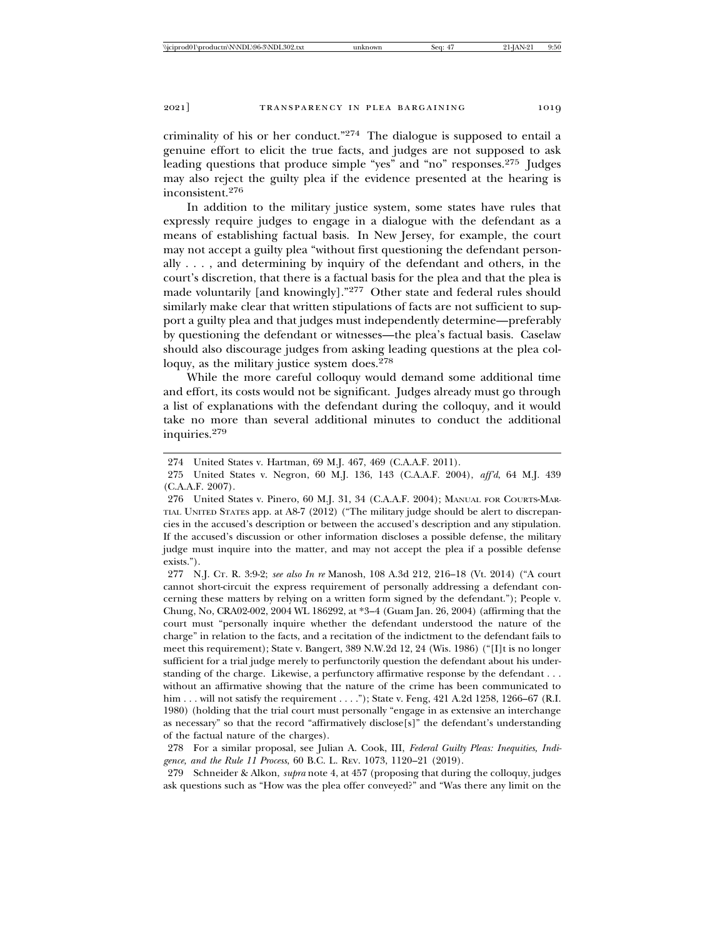criminality of his or her conduct."274 The dialogue is supposed to entail a genuine effort to elicit the true facts, and judges are not supposed to ask leading questions that produce simple "yes" and "no" responses.<sup>275</sup> Judges may also reject the guilty plea if the evidence presented at the hearing is inconsistent.276

In addition to the military justice system, some states have rules that expressly require judges to engage in a dialogue with the defendant as a means of establishing factual basis. In New Jersey, for example, the court may not accept a guilty plea "without first questioning the defendant personally . . . , and determining by inquiry of the defendant and others, in the court's discretion, that there is a factual basis for the plea and that the plea is made voluntarily [and knowingly]."277 Other state and federal rules should similarly make clear that written stipulations of facts are not sufficient to support a guilty plea and that judges must independently determine—preferably by questioning the defendant or witnesses—the plea's factual basis. Caselaw should also discourage judges from asking leading questions at the plea colloquy, as the military justice system does.<sup>278</sup>

While the more careful colloquy would demand some additional time and effort, its costs would not be significant. Judges already must go through a list of explanations with the defendant during the colloquy, and it would take no more than several additional minutes to conduct the additional inquiries.279

277 N.J. CT. R. 3:9-2; *see also In re* Manosh, 108 A.3d 212, 216–18 (Vt. 2014) ("A court cannot short-circuit the express requirement of personally addressing a defendant concerning these matters by relying on a written form signed by the defendant."); People v. Chung, No, CRA02-002, 2004 WL 186292, at \*3–4 (Guam Jan. 26, 2004) (affirming that the court must "personally inquire whether the defendant understood the nature of the charge" in relation to the facts, and a recitation of the indictment to the defendant fails to meet this requirement); State v. Bangert, 389 N.W.2d 12, 24 (Wis. 1986) ("[I]t is no longer sufficient for a trial judge merely to perfunctorily question the defendant about his understanding of the charge. Likewise, a perfunctory affirmative response by the defendant . . . without an affirmative showing that the nature of the crime has been communicated to him . . . will not satisfy the requirement . . . ."); State v. Feng, 421 A.2d 1258, 1266–67 (R.I. 1980) (holding that the trial court must personally "engage in as extensive an interchange as necessary" so that the record "affirmatively disclose[s]" the defendant's understanding of the factual nature of the charges).

278 For a similar proposal, see Julian A. Cook, III, *Federal Guilty Pleas: Inequities, Indigence, and the Rule 11 Process*, 60 B.C. L. REV. 1073, 1120–21 (2019).

279 Schneider & Alkon, *supra* note 4, at 457 (proposing that during the colloquy, judges ask questions such as "How was the plea offer conveyed?" and "Was there any limit on the

<sup>274</sup> United States v. Hartman, 69 M.J. 467, 469 (C.A.A.F. 2011).

<sup>275</sup> United States v. Negron, 60 M.J. 136, 143 (C.A.A.F. 2004), *aff'd*, 64 M.J. 439 (C.A.A.F. 2007).

<sup>276</sup> United States v. Pinero, 60 M.J. 31, 34 (C.A.A.F. 2004); MANUAL FOR COURTS-MAR-TIAL UNITED STATES app. at A8-7 (2012) ("The military judge should be alert to discrepancies in the accused's description or between the accused's description and any stipulation. If the accused's discussion or other information discloses a possible defense, the military judge must inquire into the matter, and may not accept the plea if a possible defense exists.").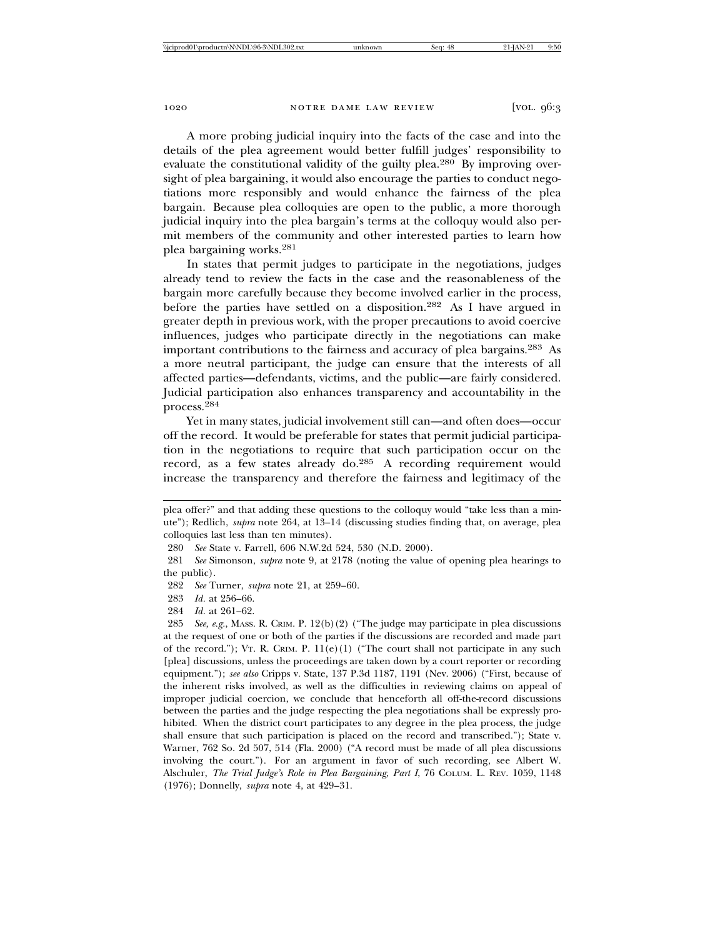A more probing judicial inquiry into the facts of the case and into the details of the plea agreement would better fulfill judges' responsibility to evaluate the constitutional validity of the guilty plea.<sup>280</sup> By improving oversight of plea bargaining, it would also encourage the parties to conduct negotiations more responsibly and would enhance the fairness of the plea bargain. Because plea colloquies are open to the public, a more thorough judicial inquiry into the plea bargain's terms at the colloquy would also permit members of the community and other interested parties to learn how plea bargaining works.<sup>281</sup>

In states that permit judges to participate in the negotiations, judges already tend to review the facts in the case and the reasonableness of the bargain more carefully because they become involved earlier in the process, before the parties have settled on a disposition.282 As I have argued in greater depth in previous work, with the proper precautions to avoid coercive influences, judges who participate directly in the negotiations can make important contributions to the fairness and accuracy of plea bargains.283 As a more neutral participant, the judge can ensure that the interests of all affected parties—defendants, victims, and the public—are fairly considered. Judicial participation also enhances transparency and accountability in the process.284

Yet in many states, judicial involvement still can—and often does—occur off the record. It would be preferable for states that permit judicial participation in the negotiations to require that such participation occur on the record, as a few states already do.285 A recording requirement would increase the transparency and therefore the fairness and legitimacy of the

- 283 *Id.* at 256–66.
- 284 *Id.* at 261–62.

285 *See, e.g.*, MASS. R. CRIM. P. 12(b)(2) ("The judge may participate in plea discussions at the request of one or both of the parties if the discussions are recorded and made part of the record."); VT. R. CRIM. P.  $11(e)(1)$  ("The court shall not participate in any such [plea] discussions, unless the proceedings are taken down by a court reporter or recording equipment."); *see also* Cripps v. State, 137 P.3d 1187, 1191 (Nev. 2006) ("First, because of the inherent risks involved, as well as the difficulties in reviewing claims on appeal of improper judicial coercion, we conclude that henceforth all off-the-record discussions between the parties and the judge respecting the plea negotiations shall be expressly prohibited. When the district court participates to any degree in the plea process, the judge shall ensure that such participation is placed on the record and transcribed."); State v. Warner, 762 So. 2d 507, 514 (Fla. 2000) ("A record must be made of all plea discussions involving the court."). For an argument in favor of such recording, see Albert W. Alschuler, *The Trial Judge's Role in Plea Bargaining, Part I*, 76 COLUM. L. REV. 1059, 1148 (1976); Donnelly, *supra* note 4, at 429–31.

plea offer?" and that adding these questions to the colloquy would "take less than a minute"); Redlich, *supra* note 264, at 13–14 (discussing studies finding that, on average, plea colloquies last less than ten minutes).

<sup>280</sup> *See* State v. Farrell, 606 N.W.2d 524, 530 (N.D. 2000).

<sup>281</sup> *See* Simonson, *supra* note 9, at 2178 (noting the value of opening plea hearings to the public).

<sup>282</sup> *See* Turner, *supra* note 21, at 259–60.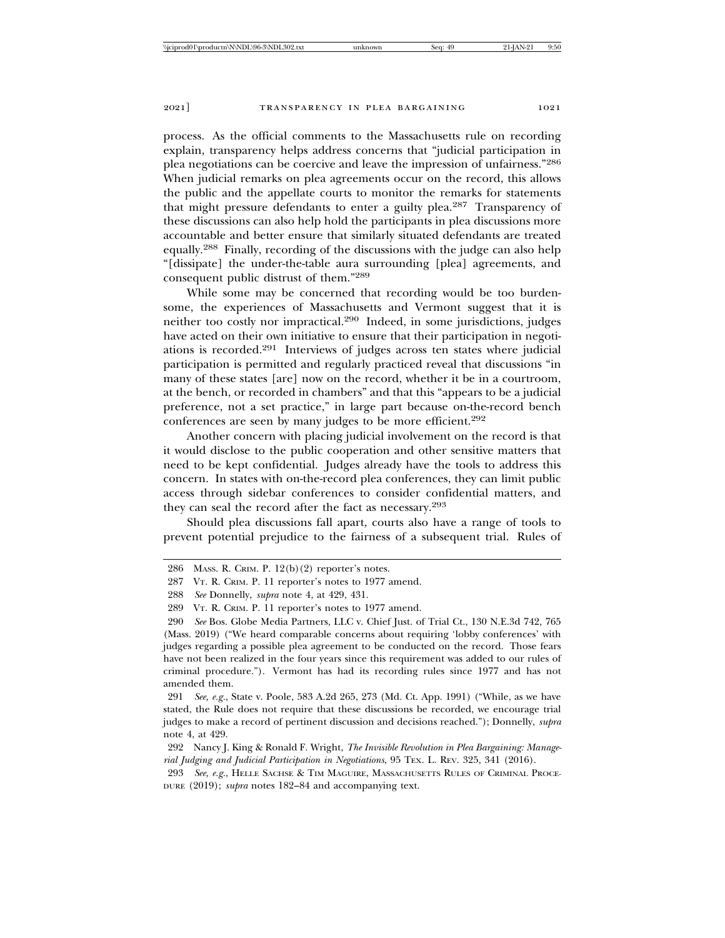process. As the official comments to the Massachusetts rule on recording explain, transparency helps address concerns that "judicial participation in plea negotiations can be coercive and leave the impression of unfairness."<sup>286</sup> When judicial remarks on plea agreements occur on the record, this allows the public and the appellate courts to monitor the remarks for statements that might pressure defendants to enter a guilty plea.287 Transparency of these discussions can also help hold the participants in plea discussions more accountable and better ensure that similarly situated defendants are treated equally.288 Finally, recording of the discussions with the judge can also help "[dissipate] the under-the-table aura surrounding [plea] agreements, and consequent public distrust of them."<sup>289</sup>

While some may be concerned that recording would be too burdensome, the experiences of Massachusetts and Vermont suggest that it is neither too costly nor impractical.290 Indeed, in some jurisdictions, judges have acted on their own initiative to ensure that their participation in negotiations is recorded.291 Interviews of judges across ten states where judicial participation is permitted and regularly practiced reveal that discussions "in many of these states [are] now on the record, whether it be in a courtroom, at the bench, or recorded in chambers" and that this "appears to be a judicial preference, not a set practice," in large part because on-the-record bench conferences are seen by many judges to be more efficient.<sup>292</sup>

Another concern with placing judicial involvement on the record is that it would disclose to the public cooperation and other sensitive matters that need to be kept confidential. Judges already have the tools to address this concern. In states with on-the-record plea conferences, they can limit public access through sidebar conferences to consider confidential matters, and they can seal the record after the fact as necessary.<sup>293</sup>

Should plea discussions fall apart, courts also have a range of tools to prevent potential prejudice to the fairness of a subsequent trial. Rules of

<sup>286</sup> MASS. R. CRIM. P. 12(b)(2) reporter's notes.

<sup>287</sup> VT. R. CRIM. P. 11 reporter's notes to 1977 amend.

<sup>288</sup> *See* Donnelly, *supra* note 4, at 429, 431.

<sup>289</sup> VT. R. CRIM. P. 11 reporter's notes to 1977 amend.

<sup>290</sup> *See* Bos. Globe Media Partners, LLC v. Chief Just. of Trial Ct., 130 N.E.3d 742, 765 (Mass. 2019) ("We heard comparable concerns about requiring 'lobby conferences' with judges regarding a possible plea agreement to be conducted on the record. Those fears have not been realized in the four years since this requirement was added to our rules of criminal procedure."). Vermont has had its recording rules since 1977 and has not amended them.

<sup>291</sup> *See, e.g.*, State v. Poole, 583 A.2d 265, 273 (Md. Ct. App. 1991) ("While, as we have stated, the Rule does not require that these discussions be recorded, we encourage trial judges to make a record of pertinent discussion and decisions reached."); Donnelly, *supra* note 4, at 429.

<sup>292</sup> Nancy J. King & Ronald F. Wright, *The Invisible Revolution in Plea Bargaining: Managerial Judging and Judicial Participation in Negotiations*, 95 TEX. L. REV. 325, 341 (2016).

<sup>293</sup> *See, e.g.*, HELLE SACHSE & TIM MAGUIRE, MASSACHUSETTS RULES OF CRIMINAL PROCE-DURE (2019); *supra* notes 182–84 and accompanying text.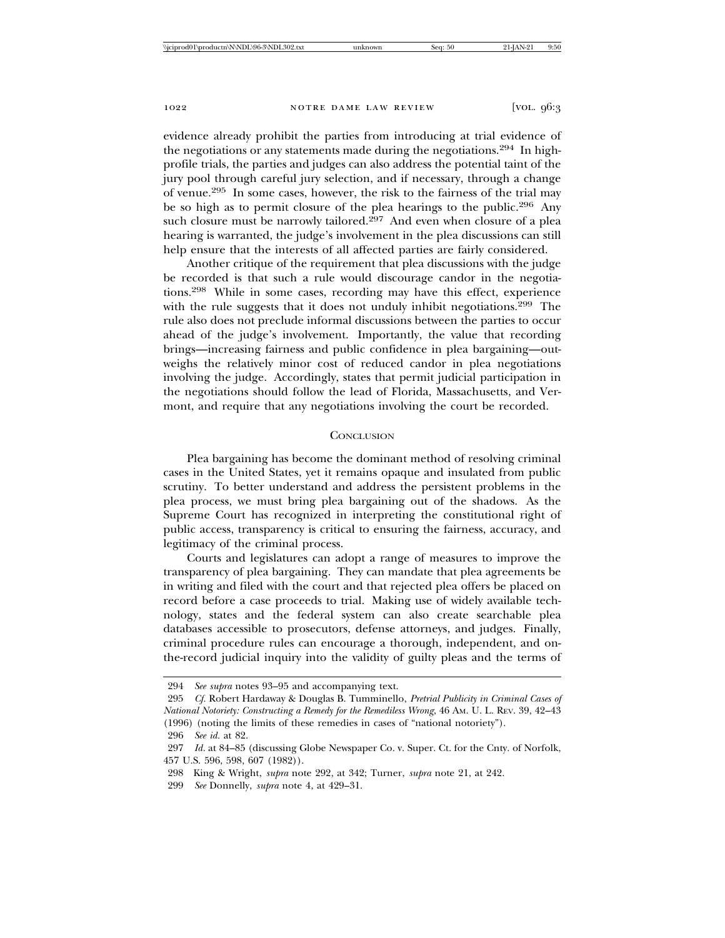evidence already prohibit the parties from introducing at trial evidence of the negotiations or any statements made during the negotiations.294 In highprofile trials, the parties and judges can also address the potential taint of the jury pool through careful jury selection, and if necessary, through a change of venue.295 In some cases, however, the risk to the fairness of the trial may be so high as to permit closure of the plea hearings to the public.<sup>296</sup> Any such closure must be narrowly tailored.<sup>297</sup> And even when closure of a plea hearing is warranted, the judge's involvement in the plea discussions can still help ensure that the interests of all affected parties are fairly considered.

Another critique of the requirement that plea discussions with the judge be recorded is that such a rule would discourage candor in the negotiations.298 While in some cases, recording may have this effect, experience with the rule suggests that it does not unduly inhibit negotiations.<sup>299</sup> The rule also does not preclude informal discussions between the parties to occur ahead of the judge's involvement. Importantly, the value that recording brings—increasing fairness and public confidence in plea bargaining—outweighs the relatively minor cost of reduced candor in plea negotiations involving the judge. Accordingly, states that permit judicial participation in the negotiations should follow the lead of Florida, Massachusetts, and Vermont, and require that any negotiations involving the court be recorded.

# **CONCLUSION**

Plea bargaining has become the dominant method of resolving criminal cases in the United States, yet it remains opaque and insulated from public scrutiny. To better understand and address the persistent problems in the plea process, we must bring plea bargaining out of the shadows. As the Supreme Court has recognized in interpreting the constitutional right of public access, transparency is critical to ensuring the fairness, accuracy, and legitimacy of the criminal process.

Courts and legislatures can adopt a range of measures to improve the transparency of plea bargaining. They can mandate that plea agreements be in writing and filed with the court and that rejected plea offers be placed on record before a case proceeds to trial. Making use of widely available technology, states and the federal system can also create searchable plea databases accessible to prosecutors, defense attorneys, and judges. Finally, criminal procedure rules can encourage a thorough, independent, and onthe-record judicial inquiry into the validity of guilty pleas and the terms of

296 *See id.* at 82.

299 *See* Donnelly, *supra* note 4, at 429–31.

<sup>294</sup> *See supra* notes 93–95 and accompanying text.

<sup>295</sup> *Cf.* Robert Hardaway & Douglas B. Tumminello, *Pretrial Publicity in Criminal Cases of National Notoriety: Constructing a Remedy for the Remediless Wrong*, 46 AM. U. L. REV. 39, 42–43 (1996) (noting the limits of these remedies in cases of "national notoriety").

<sup>297</sup> *Id.* at 84–85 (discussing Globe Newspaper Co. v. Super. Ct. for the Cnty. of Norfolk, 457 U.S. 596, 598, 607 (1982)).

<sup>298</sup> King & Wright, *supra* note 292, at 342; Turner, *supra* note 21, at 242.